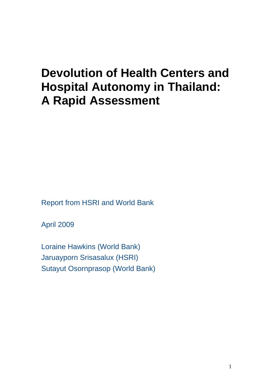# **Devolution of Health Centers and Hospital Autonomy in Thailand: A Rapid Assessment**

Report from HSRI and World Bank

April 2009

Loraine Hawkins (World Bank) Jaruayporn Srisasalux (HSRI) Sutayut Osornprasop (World Bank)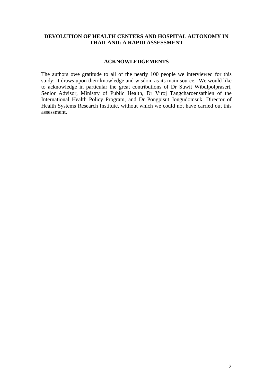#### **DEVOLUTION OF HEALTH CENTERS AND HOSPITAL AUTONOMY IN THAILAND: A RAPID ASSESSMENT**

#### **ACKNOWLEDGEMENTS**

The authors owe gratitude to all of the nearly 100 people we interviewed for this study: it draws upon their knowledge and wisdom as its main source. We would like to acknowledge in particular the great contributions of Dr Suwit Wibulpolprasert, Senior Advisor, Ministry of Public Health, Dr Viroj Tangcharoensathien of the International Health Policy Program, and Dr Pongpisut Jongudomsuk, Director of Health Systems Research Institute, without which we could not have carried out this assessment.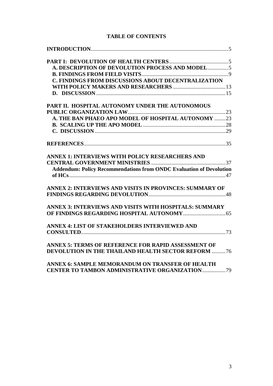# **TABLE OF CONTENTS**

| A. DESCRIPTION OF DEVOLUTION PROCESS AND MODEL5                            |  |
|----------------------------------------------------------------------------|--|
|                                                                            |  |
| <b>C. FINDINGS FROM DISCUSSIONS ABOUT DECENTRALIZATION</b>                 |  |
|                                                                            |  |
|                                                                            |  |
| PART II. HOSPITAL AUTONOMY UNDER THE AUTONOMOUS                            |  |
|                                                                            |  |
| A. THE BAN PHAEO APO MODEL OF HOSPITAL AUTONOMY 23                         |  |
|                                                                            |  |
|                                                                            |  |
|                                                                            |  |
| ANNEX 1: INTERVIEWS WITH POLICY RESEARCHERS AND                            |  |
|                                                                            |  |
| <b>Addendum: Policy Recommendations from ONDC Evaluation of Devolution</b> |  |
|                                                                            |  |
| ANNEX 2: INTERVIEWS AND VISITS IN PROVINCES: SUMMARY OF                    |  |
|                                                                            |  |
| ANNEX 3: INTERVIEWS AND VISITS WITH HOSPITALS: SUMMARY                     |  |
|                                                                            |  |
| ANNEX 4: LIST OF STAKEHOLDERS INTERVIEWED AND                              |  |
|                                                                            |  |
| ANNEX 5: TERMS OF REFERENCE FOR RAPID ASSESSMENT OF                        |  |
| <b>DEVOLUTION IN THE THAILAND HEALTH SECTOR REFORM 76</b>                  |  |
| ANNEX 6: SAMPLE MEMORANDUM ON TRANSFER OF HEALTH                           |  |
|                                                                            |  |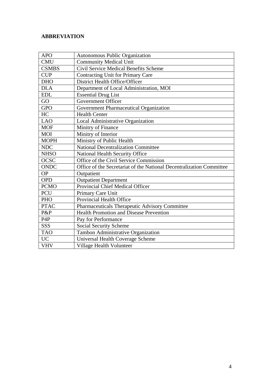# **ABBREVIATION**

| <b>APO</b>       | Autonomous Public Organization                                       |
|------------------|----------------------------------------------------------------------|
| <b>CMU</b>       | <b>Community Medical Unit</b>                                        |
| <b>CSMBS</b>     | Civil Service Medical Benefits Scheme                                |
| <b>CUP</b>       | Contracting Unit for Primary Care                                    |
| <b>DHO</b>       | District Health Office/Officer                                       |
| <b>DLA</b>       | Department of Local Administration, MOI                              |
| <b>EDL</b>       | <b>Essential Drug List</b>                                           |
| GO               | Government Officer                                                   |
| <b>GPO</b>       | Government Pharmaceutical Organization                               |
| HC               | <b>Health Center</b>                                                 |
| <b>LAO</b>       | Local Administrative Organization                                    |
| <b>MOF</b>       | Minitry of Finance                                                   |
| <b>MOI</b>       | Minitry of Interior                                                  |
| <b>MOPH</b>      | Ministry of Public Health                                            |
| <b>NDC</b>       | <b>National Decentralization Committee</b>                           |
| <b>NHSO</b>      | National Health Security Office                                      |
| OCSC             | Office of the Civil Service Commission                               |
| <b>ONDC</b>      | Office of the Secretariat of the National Decentralization Committee |
| <b>OP</b>        | Outpatient                                                           |
| <b>OPD</b>       | <b>Outpatient Department</b>                                         |
| <b>PCMO</b>      | Provincial Chief Medical Officer                                     |
| PCU              | Primary Care Unit                                                    |
| PHO              | Provincial Health Office                                             |
| <b>PTAC</b>      | Pharmaceuticals Therapeutic Advisory Committee                       |
| P&P              | <b>Health Promotion and Disease Prevention</b>                       |
| P <sub>4</sub> P | Pay for Performance                                                  |
| <b>SSS</b>       | Social Security Scheme                                               |
| <b>TAO</b>       | Tambon Administrative Organization                                   |
| <b>UC</b>        | <b>Universal Health Coverage Scheme</b>                              |
| <b>VHV</b>       | Village Health Volunteer                                             |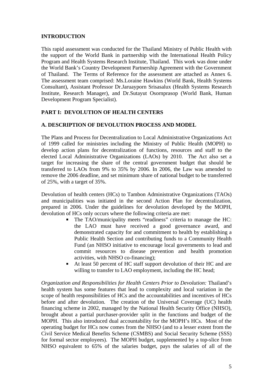### <span id="page-4-0"></span>**INTRODUCTION**

This rapid assessment was conducted for the Thailand Ministry of Public Health with the support of the World Bank in partnership with the International Health Policy Program and Health Systems Research Institute, Thailand. This work was done under the World Bank's Country Development Partnership Agreement with the Government of Thailand. The Terms of Reference for the assessment are attached as Annex 6. The assessment team comprised: Ms.Loraine Hawkins (World Bank, Health Systems Consultant), Assistant Professor Dr.Jaruayporn Srisasalux (Health Systems Research Institute, Research Manager), and Dr.Sutayut Osornprasop (World Bank, Human Development Program Specialist).

## **PART I: DEVOLUTION OF HEALTH CENTERS**

#### **A. DESCRIPTION OF DEVOLUTION PROCESS AND MODEL**

The Plans and Process for Decentralization to Local Administrative Organizations Act of 1999 called for ministries including the Ministry of Public Health (MOPH) to develop action plans for decentralization of functions, resources and staff to the elected Local Administrative Organizations (LAOs) by 2010. The Act also set a target for increasing the share of the central government budget that should be transferred to LAOs from 9% to 35% by 2006. In 2006, the Law was amended to remove the 2006 deadline, and set minimum share of national budget to be transferred of 25%, with a target of 35%.

Devolution of health centers (HCs) to Tambon Administrative Organizations (TAOs) and municipalities was initiated in the second Action Plan for decentralization, prepared in 2006. Under the guidelines for devolution developed by the MOPH, devolution of HCs only occurs where the following criteria are met:

- The TAO/municipality meets "readiness" criteria to manage the HC: the LAO must have received a good governance award, and demonstrated capacity for and commitment to health by establishing a Public Health Section and contributing funds to a Community Health Fund (an NHSO initiative to encourage local governments to lead and commit resources to disease prevention and health promotion activities, with NHSO co-financing);
- At least 50 percent of HC staff support devolution of their HC and are willing to transfer to LAO employment, including the HC head;

*Organization and Responsibilities for Health Centers Prior to Devolution:* Thailand's health system has some features that lead to complexity and local variation in the scope of health responsibilities of HCs and the accountabilities and incentives of HCs before and after devolution. The creation of the Universal Coverage (UC) health financing scheme in 2002, managed by the National Health Security Office (NHSO), brought about a partial purchaser-provider split in the functions and budget of the MOPH. This also introduced dual accountability for the MOPH's HCs. Most of the operating budget for HCs now comes from the NHSO (and to a lesser extent from the Civil Service Medical Benefits Scheme (CSMBS) and Social Security Scheme (SSS) for formal sector employees). The MOPH budget, supplemented by a top-slice from NHSO equivalent to 65% of the salaries budget, pays the salaries of all of the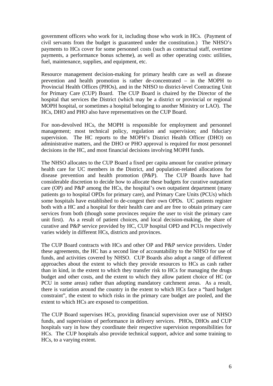government officers who work for it, including those who work in HCs. (Payment of civil servants from the budget is guaranteed under the constitution.) The NHSO's payments to HCs cover for some personnel costs (such as contractual staff, overtime payments, a performance bonus scheme), as well as other operating costs: utilities, fuel, maintenance, supplies, and equipment, etc.

Resource management decision-making for primary health care as well as disease prevention and health promotion is rather de-concentrated – in the MOPH to Provincial Health Offices (PHOs), and in the NHSO to district-level Contracting Unit for Primary Care (CUP) Board. The CUP Board is chaired by the Director of the hospital that services the District (which may be a district or provincial or regional MOPH hospital, or sometimes a hospital belonging to another Ministry or LAO). The HCs, DHO and PHO also have representatives on the CUP Board.

For non-devolved HCs, the MOPH is responsible for employment and personnel management; most technical policy, regulation and supervision; and fiduciary supervision. The HC reports to the MOPH's District Health Officer (DHO) on administrative matters, and the DHO or PHO approval is required for most personnel decisions in the HC, and most financial decisions involving MOPH funds.

The NHSO allocates to the CUP Board a fixed per capita amount for curative primary health care for UC members in the District, and population-related allocations for disease prevention and health promotion (P&P). The CUP Boards have had considerable discretion to decide how to allocate these budgets for curative outpatient care (OP) and P&P among the HCs, the hospital's own outpatient department (many patients go to hospital OPDs for primary care), and Primary Care Units (PCUs) which some hospitals have established to de-congest their own OPDs. UC patients register both with a HC and a hospital for their health care and are free to obtain primary care services from both (though some provinces require the user to visit the primary care unit first). As a result of patient choices, and local decision-making, the share of curative and P&P service provided by HC, CUP hospital OPD and PCUs respectively varies widely in different HCs, districts and provinces.

The CUP Board contracts with HCs and other OP and P&P service providers. Under these agreements, the HC has a second line of accountability to the NHSO for use of funds, and activities covered by NHSO. CUP Boards also adopt a range of different approaches about the extent to which they provide resources to HCs as cash rather than in kind, in the extent to which they transfer risk to HCs for managing the drugs budget and other costs, and the extent to which they allow patient choice of HC (or PCU in some areas) rather than adopting mandatory catchment areas. As a result, there is variation around the country in the extent to which HCs face a "hard budget constraint", the extent to which risks in the primary care budget are pooled, and the extent to which HCs are exposed to competition.

The CUP Board supervises HCs, providing financial supervision over use of NHSO funds, and supervision of performance in delivery services. PHOs, DHOs and CUP hospitals vary in how they coordinate their respective supervision responsibilities for HCs. The CUP hospitals also provide technical support, advice and some training to HCs, to a varying extent.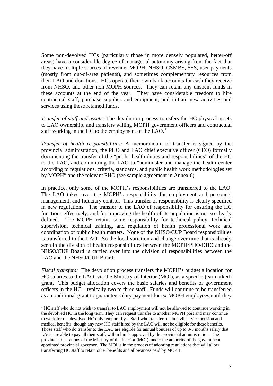Some non-devolved HCs (particularly those in more densely populated, better-off areas) have a considerable degree of managerial autonomy arising from the fact that they have multiple sources of revenue: MOPH, NHSO, CSMBS, SSS, user payments (mostly from out-of-area patients), and sometimes complementary resources from their LAO and donations. HCs operate their own bank accounts for cash they receive from NHSO, and other non-MOPH sources. They can retain any unspent funds in these accounts at the end of the year. They have considerable freedom to hire contractual staff, purchase supplies and equipment, and initiate new activities and services using these retained funds.

*Transfer of staff and assets:* The devolution process transfers the HC physical assets to LAO ownership, and transfers willing MOPH government officers and contractual staff working in the HC to the employment of the  $LAO<sup>1</sup>$  $LAO<sup>1</sup>$  $LAO<sup>1</sup>$ .

*Transfer of health responsibilities:* A memorandum of transfer is signed by the provincial administration, the PHO and LAO chief executive officer (CEO) formally documenting the transfer of the "public health duties and responsibilities" of the HC to the LAO, and committing the LAO to "administer and manage the health center according to regulations, criteria, standards, and public health work methodologies set by MOPH" and the relevant PHO (see sample agreement in Annex 6).

In practice, only some of the MOPH's responsibilities are transferred to the LAO. The LAO takes over the MOPH's responsibility for employment and personnel management, and fiduciary control. This transfer of responsibility is clearly specified in new regulations. The transfer to the LAO of responsibility for ensuring the HC functions effectively, and for improving the health of its population is not so clearly defined. The MOPH retains some responsibility for technical policy, technical supervision, technical training, and regulation of health professional work and coordination of public health matters. None of the NHSO/CUP Board responsibilities is transferred to the LAO. So the local variation and change over time that is already seen in the division of health responsibilities between the MOPH/PHO/DHO and the NHSO/CUP Board is carried over into the division of responsibilities between the LAO and the NHSO/CUP Board.

*Fiscal transfers:* The devolution process transfers the MOPH's budget allocation for HC salaries to the LAO, via the Ministry of Interior (MOI), as a specific (earmarked) grant. This budget allocation covers the basic salaries and benefits of government officers in the HC – typically two to three staff. Funds will continue to be transferred as a conditional grant to guarantee salary payment for ex-MOPH employees until they

1

<span id="page-6-0"></span><sup>&</sup>lt;sup>1</sup> HC staff who do not wish to transfer to LAO employment will not be allowed to continue working in the devolved HC in the long term. They can request transfer to another MOPH post and may continue to work for the devolved HC only temporarily.. Staff who transfer retain civil service pension and medical benefits, though any new HC staff hired by the LAO will not be eligible for these benefits. Those staff who do transfer to the LAO are eligible for annual bonuses of up to 3-5 months salary that LAOs are able to pay all their staff, within limits approved by the provincial administration – the provincial operations of the Ministry of the Interior (MOI), under the authority of the governmentappointed provincial governor. The MOI is in the process of adopting regulations that will allow transferring HC staff to retain other benefits and allowances paid by MOPH.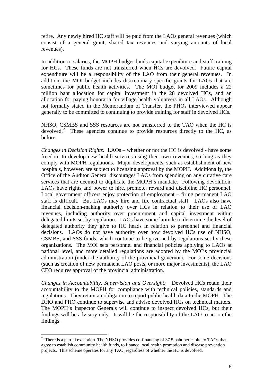<span id="page-7-0"></span>retire. Any newly hired HC staff will be paid from the LAOs general revenues (which consist of a general grant, shared tax revenues and varying amounts of local revenues).

In addition to salaries, the MOPH budget funds capital expenditure and staff training for HCs. These funds are not transferred when HCs are devolved. Future capital expenditure will be a responsibility of the LAO from their general revenues. In addition, the MOI budget includes discretionary specific grants for LAOs that are sometimes for public health activities. The MOI budget for 2009 includes a 22 million baht allocation for capital investment in the 28 devolved HCs, and an allocation for paying honoraria for village health volunteers in all LAOs. Although not formally stated in the Memorandum of Transfer, the PHOs interviewed appear generally to be committed to continuing to provide training for staff in devolved HCs.

NHSO, CSMBS and SSS resources are not transferred to the TAO when the HC is devolved.<sup>[2](#page-7-0)</sup> These agencies continue to provide resources directly to the HC, as before.

*Changes in Decision Rights:* LAOs – whether or not the HC is devolved - have some freedom to develop new health services using their own revenues, so long as they comply with MOPH regulations. Major developments, such as establishment of new hospitals, however, are subject to licensing approval by the MOPH. Additionally, the Office of the Auditor General discourages LAOs from spending on any curative care services that are deemed to duplicate the MOPH's mandate. Following devolution, LAOs have rights and power to hire, promote, reward and discipline HC personnel. Local government officers enjoy protection of employment – firing permanent LAO staff is difficult. But LAOs may hire and fire contractual staff. LAOs also have financial decision-making authority over HCs in relation to their use of LAO revenues, including authority over procurement and capital investment within delegated limits set by regulation. LAOs have some latitude to determine the level of delegated authority they give to HC heads in relation to personnel and financial decisions. LAOs do not have authority over how devolved HCs use of NHSO, CSMBS, and SSS funds, which continue to be governed by regulations set by these organizations. The MOI sets personnel and financial policies applying to LAOs at national level, and more detailed regulations are adopted by the MOI's provincial administration (under the authority of the provincial governor). For some decisions (such as creation of new permanent LAO posts, or more major investments), the LAO CEO requires approval of the provincial administration.

*Changes in Accountability, Supervision and Oversight:* Devolved HCs retain their accountability to the MOPH for compliance with technical policies, standards and regulations. They retain an obligation to report public health data to the MOPH. The DHO and PHO continue to supervise and advise devolved HCs on technical matters. The MOPH's Inspector Generals will continue to inspect devolved HCs, but their findings will be advisory only. It will be the responsibility of the LAO to act on the findings.

1

 $2$  There is a partial exception. The NHSO provides co-financing of 37.5 baht per capita to TAOs that agree to establish community health funds, to finance local health promotion and disease prevention projects. This scheme operates for any TAO, regardless of whether the HC is devolved.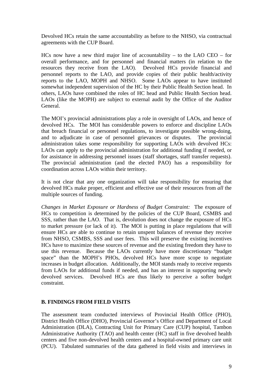<span id="page-8-0"></span>Devolved HCs retain the same accountability as before to the NHSO, via contractual agreements with the CUP Board.

HCs now have a new third major line of accountability – to the LAO CEO – for overall performance, and for personnel and financial matters (in relation to the resources they receive from the LAO). Devolved HCs provide financial and personnel reports to the LAO, and provide copies of their public health/activity reports to the LAO, MOPH and NHSO. Some LAOs appear to have instituted somewhat independent supervision of the HC by their Public Health Section head. In others, LAOs have combined the roles of HC head and Public Health Section head. LAOs (like the MOPH) are subject to external audit by the Office of the Auditor General.

The MOI's provincial administrations play a role in oversight of LAOs, and hence of devolved HCs. The MOI has considerable powers to enforce and discipline LAOs that breach financial or personnel regulations, to investigate possible wrong-doing, and to adjudicate in case of personnel grievances or disputes. The provincial administration takes some responsibility for supporting LAOs with devolved HCs: LAOs can apply to the provincial administration for additional funding if needed, or for assistance in addressing personnel issues (staff shortages, staff transfer requests). The provincial administration (and the elected PAO) has a responsibility for coordination across LAOs within their territory.

It is not clear that any one organization will take responsibility for ensuring that devolved HCs make proper, efficient and effective use of their resources from *all* the multiple sources of funding.

*Changes in Market Exposure or Hardness of Budget Constraint:* The exposure of HCs to competition is determined by the policies of the CUP Board, CSMBS and SSS, rather than the LAO. That is, devolution does not change the exposure of HCs to market pressure (or lack of it). The MOI is putting in place regulations that will ensure HCs are able to continue to retain unspent balances of revenue they receive from NHSO, CSMBS, SSS and user fees. This will preserve the existing incentives HCs have to maximize these sources of revenue and the existing freedom they have to use this revenue. Because the LAOs currently have more discretionary "budget space" than the MOPH's PHOs, devolved HCs have more scope to negotiate increases in budget allocation. Additionally, the MOI stands ready to receive requests from LAOs for additional funds if needed, and has an interest in supporting newly devolved services. Devolved HCs are thus likely to perceive a softer budget constraint.

#### **B. FINDINGS FROM FIELD VISITS**

The assessment team conducted interviews of Provincial Health Office (PHO), District Health Office (DHO), Provincial Governor's Office and Department of Local Administration (DLA), Contracting Unit for Primary Care (CUP) hospital, Tambon Administrative Authority (TAO) and health center (HC) staff in five devolved health centers and five non-devolved health centers and a hospital-owned primary care unit (PCU). Tabulated summaries of the data gathered in field visits and interviews in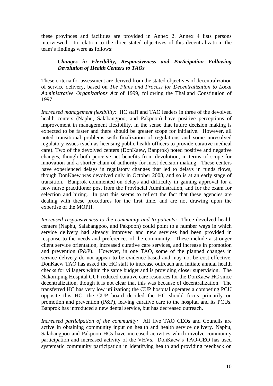these provinces and facilities are provided in Annex 2. Annex 4 lists persons interviewed. In relation to the three stated objectives of this decentralization, the team's findings were as follows:

### - *Changes in Flexibility, Responsiveness and Participation Following Devolution of Health Centers to TAOs*

These criteria for assessment are derived from the stated objectives of decentralization of service delivery, based on *The Plans and Process for Decentralization to Local Administrative Organizations Act* of 1999, following the Thailand Constitution of 1997.

*Increased management flexibility:* HC staff and TAO leaders in three of the devolved health centers (Naphu, Salabangpoo, and Pakpoon) have positive perceptions of improvement in management flexibility, in the sense that future decision making is expected to be faster and there should be greater scope for initiative. However, all noted transitional problems with finalization of regulations and some unresolved regulatory issues (such as licensing public health officers to provide curative medical care). Two of the devolved centers (DonKaew, Banprok) noted positive and negative changes, though both perceive net benefits from devolution, in terms of scope for innovation and a shorter chain of authority for most decision making. These centers have experienced delays in regulatory changes that led to delays in funds flows, though DonKaew was devolved only in October 2008, and so is at an early stage of transition. Banprok commented on delays and difficulty in gaining approval for a new nurse practitioner post from the Provincial Administration, and for the exam for selection and hiring. In part this seems to reflect the fact that these agencies are dealing with these procedures for the first time, and are not drawing upon the expertise of the MOPH.

*Increased responsiveness to the community and to patients:* Three devolved health centers (Naphu, Salabangpoo, and Pakpoon) could point to a number ways in which service delivery had already improved and new services had been provided in response to the needs and preferences of the community. These include a stronger client service orientation, increased curative care services, and increase in promotion and prevention (P&P). However, in one TAO, some of the planned changes in service delivery do not appear to be evidence-based and may not be cost-effective. DonKaew TAO has asked the HC staff to increase outreach and initiate annual health checks for villagers within the same budget and is providing closer supervision. The Nakornping Hospital CUP reduced curative care resources for the DonKaew HC since decentralization, though it is not clear that this was because of decentralization. The transferred HC has very low utilization; the CUP hospital operates a competing PCU opposite this HC; the CUP board decided the HC should focus primarily on promotion and prevention (P&P), leaving curative care to the hospital and its PCUs. Banprok has introduced a new dental service, but has decreased outreach.

*Increased participation of the community:* All five TAO CEOs and Councils are active in obtaining community input on health and health service delivery. Naphu, Salabangpoo and Pakpoon HCs have increased activities which involve community participation and increased activity of the VHVs. DonKaew's TAO-CEO has used systematic community participation in identifying health and providing feedback on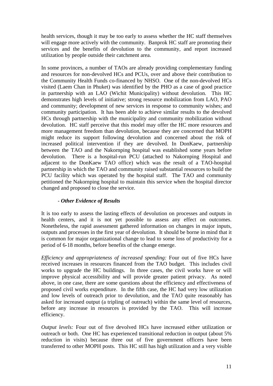health services, though it may be too early to assess whether the HC staff themselves will engage more actively with the community. Banprok HC staff are promoting their services and the benefits of devolution to the community, and report increased utilization by people outside their catchment area.

In some provinces, a number of TAOs are already providing complementary funding and resources for non-devolved HCs and PCUs, over and above their contribution to the Community Health Funds co-financed by NHSO. One of the non-devolved HCs visited (Laem Chan in Phuket) was identified by the PHO as a case of good practice in partnership with an LAO (Wichit Municipality) without devolution. This HC demonstrates high levels of initiative; strong resource mobilization from LAO, PAO and community; development of new services in response to community wishes; and community participation. It has been able to achieve similar results to the devolved HCs through partnership with the municipality and community mobilization without devolution. HC staff perceive that this model may offer the HC more resources and more management freedom than devolution, because they are concerned that MOPH might reduce its support following devolution and concerned about the risk of increased political intervention if they are devolved. In DonKaew, partnership between the TAO and the Nakornping hospital was established some years before devolution. There is a hospital-run PCU (attached to Nakornping Hospital and adjacent to the DonKaew TAO office) which was the result of a TAO-hospital partnership in which the TAO and community raised substantial resources to build the PCU facility which was operated by the hospital staff. The TAO and community petitioned the Nakornping hospital to maintain this service when the hospital director changed and proposed to close the service.

## *- Other Evidence of Results*

It is too early to assess the lasting effects of devolution on processes and outputs in health centers, and it is not yet possible to assess any effect on outcomes. Nonetheless, the rapid assessment gathered information on changes in major inputs, outputs and processes in the first year of devolution. It should be borne in mind that it is common for major organizational change to lead to some loss of productivity for a period of 6-18 months, before benefits of the change emerge.

*Efficiency and appropriateness of increased spending:* Four out of five HCs have received increases in resources financed from the TAO budget. This includes civil works to upgrade the HC buildings. In three cases, the civil works have or will improve physical accessibility and will provide greater patient privacy. As noted above, in one case, there are some questions about the efficiency and effectiveness of proposed civil works expenditure. In the fifth case, the HC had very low utilization and low levels of outreach prior to devolution, and the TAO quite reasonably has asked for increased output (a tripling of outreach) within the same level of resources, before any increase in resources is provided by the TAO. This will increase efficiency.

*Output levels:* Four out of five devolved HCs have increased either utilization or outreach or both. One HC has experienced transitional reduction in output (about 5% reduction in visits) because three out of five government officers have been transferred to other MOPH posts. This HC still has high utilization and a very visible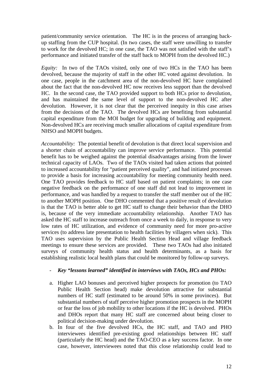patient/community service orientation. The HC is in the process of arranging backup staffing from the CUP hospital. (In two cases, the staff were unwilling to transfer to work for the devolved HC; in one case, the TAO was not satisfied with the staff's performance and initiated transfer of the staff back to MOPH from the devolved HC.)

*Equity:* In two of the TAOs visited, only one of two HCs in the TAO has been devolved, because the majority of staff in the other HC voted against devolution. In one case, people in the catchment area of the non-devolved HC have complained about the fact that the non-devolved HC now receives less support than the devolved HC. In the second case, the TAO provided support to both HCs prior to devolution, and has maintained the same level of support to the non-devolved HC after devolution. However, it is not clear that the perceived inequity in this case arises from the decisions of the TAO. The devolved HCs are benefiting from substantial capital expenditure from the MOI budget for upgrading of building and equipment. Non-devolved HCs are receiving much smaller allocations of capital expenditure from NHSO and MOPH budgets.

*Accountability:* The potential benefit of devolution is that direct local supervision and a shorter chain of accountability can improve service performance. This potential benefit has to be weighed against the potential disadvantages arising from the lower technical capacity of LAOs. Two of the TAOs visited had taken actions that pointed to increased accountability for "patient perceived quality", and had initiated processes to provide a basis for increasing accountability for meeting community health need. One TAO provides feedback to HC staff based on patient complaints; in one case negative feedback on the performance of one staff did not lead to improvement in performance, and was handled by a request to transfer the staff member out of the HC to another MOPH position. One DHO commented that a positive result of devolution is that the TAO is better able to get HC staff to change their behavior than the DHO is, because of the very immediate accountability relationship. Another TAO has asked the HC staff to increase outreach from once a week to daily, in response to very low rates of HC utilization, and evidence of community need for more pro-active services (to address late presentation to health facilities by villagers when sick). This TAO uses supervision by the Public Health Section Head and village feedback meetings to ensure these services are provided. These two TAOs had also initiated surveys of community health status and health determinants, as a basis for establishing realistic local health plans that could be monitored by follow-up surveys.

## *- Key "lessons learned" identified in interviews with TAOs, HCs and PHOs:*

- a. Higher LAO bonuses and perceived higher prospects for promotion (to TAO Public Health Section head) make devolution attractive for substantial numbers of HC staff (estimated to be around 50% in some provinces). But substantial numbers of staff perceive higher promotion prospects in the MOPH or fear the loss of job mobility to other locations if the HC is devolved. PHOs and DHOs report that many HC staff are concerned about being closer to political decision-making under devolution.
- b. In four of the five devolved HCs, the HC staff, and TAO and PHO interviewees identified pre-existing good relationships between HC staff (particularly the HC head) and the TAO-CEO as a key success factor. In one case, however, interviewees noted that this close relationship could lead to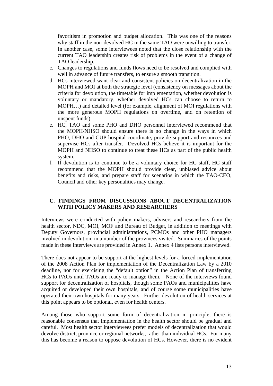<span id="page-12-0"></span>favoritism in promotion and budget allocation. This was one of the reasons why staff in the non-devolved HC in the same TAO were unwilling to transfer. In another case, some interviewees noted that the close relationship with the current TAO leadership creates risk of problems in the event of a change of TAO leadership.

- c. Changes to regulations and funds flows need to be resolved and complied with well in advance of future transfers, to ensure a smooth transition.
- d. HCs interviewed want clear and consistent policies on decentralization in the MOPH and MOI at both the strategic level (consistency on messages about the criteria for devolution, the timetable for implementation, whether devolution is voluntary or mandatory, whether devolved HCs can choose to return to MOPH…) and detailed level (for example, alignment of MOI regulations with the more generous MOPH regulations on overtime, and on retention of unspent funds).
- e. HC, TAO and some PHO and DHO personnel interviewed recommend that the MOPH/NHSO should ensure there is no change in the ways in which PHO, DHO and CUP hospital coordinate, provide support and resources and supervise HCs after transfer. Devolved HCs believe it is important for the MOPH and NHSO to continue to treat these HCs as part of the public health system.
- f. If devolution is to continue to be a voluntary choice for HC staff, HC staff recommend that the MOPH should provide clear, unbiased advice about benefits and risks, and prepare staff for scenarios in which the TAO-CEO, Council and other key personalities may change.

## **C. FINDINGS FROM DISCUSSIONS ABOUT DECENTRALIZATION WITH POLICY MAKERS AND RESEARCHERS**

Interviews were conducted with policy makers, advisers and researchers from the health sector, NDC, MOI, MOF and Bureau of Budget, in addition to meetings with Deputy Governors, provincial administrations, PCMOs and other PHO managers involved in devolution, in a number of the provinces visited. Summaries of the points made in these interviews are provided in Annex 1. Annex 4 lists persons interviewed.

There does not appear to be support at the highest levels for a forced implementation of the 2008 Action Plan for implementation of the Decentralization Law by a 2010 deadline, nor for exercising the "default option" in the Action Plan of transferring HCs to PAOs until TAOs are ready to manage them. None of the interviews found support for decentralization of hospitals, though some PAOs and municipalities have acquired or developed their own hospitals, and of course some municipalities have operated their own hospitals for many years. Further devolution of health services at this point appears to be optional, even for health centers.

Among those who support some form of decentralization in principle, there is reasonable consensus that implementation in the health sector should be gradual and careful. Most health sector interviewees prefer models of decentralization that would devolve district, province or regional networks, rather than individual HCs. For many this has become a reason to oppose devolution of HCs. However, there is no evident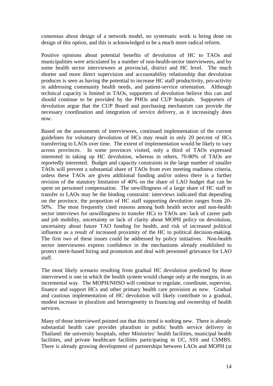consensus about design of a network model, no systematic work is being done on design of this option, and this is acknowledged to be a much more radical reform.

Positive opinions about potential benefits of devolution of HC to TAOs and municipalities were articulated by a number of non-health-sector interviewees, and by some health sector interviewees at provincial, district and HC level. The much shorter and more direct supervision and accountability relationship that devolution produces is seen as having the potential to increase HC staff productivity, pro-activity in addressing community health needs, and patient-service orientation. Although technical capacity is limited in TAOs, supporters of devolution believe this can and should continue to be provided by the PHOs and CUP hospitals. Supporters of devolution argue that the CUP Board and purchasing mechanism can provide the necessary coordination and integration of service delivery, as it increasingly does now.

Based on the assessments of interviewees, continued implementation of the current guidelines for voluntary devolution of HCs may result in only 20 percent of HCs transferring to LAOs over time. The extent of implementation would be likely to vary across provinces. In some provinces visited, only a third of TAOs expressed interested in taking up HC devolution, whereas in others, 70-80% of TAOs are reportedly interested. Budget and capacity constraints in the large number of smaller TAOs will prevent a substantial share of TAOs from ever meeting readiness criteria, unless these TAOs are given additional funding and/or unless there is a further revision of the statutory limitation of 40% on the share of LAO budget that can be spent on personnel compensation. The unwillingness of a large share of HC staff to transfer to LAOs may be the binding constraint: interviews indicated that depending on the province, the proportion of HC staff supporting devolution ranges from 20- 50%. The most frequently cited reasons among both health sector and non-health sector interviews for unwillingness to transfer HCs to TAOs are: lack of career path and job mobility, uncertainty or lack of clarity about MOPH policy on devolution, uncertainty about future TAO funding for health, and risk of increased political influence as a result of increased proximity of the HC to political decision-making. The first two of these issues could be addressed by policy initiatives. Non-health sector interviewees express confidence in the mechanisms already established to protect merit-based hiring and promotion and deal with personnel grievance for LAO staff.

The most likely scenario resulting from gradual HC devolution predicted by those interviewed is one in which the health system would change only at the margins, in an incremental way. The MOPH/NHSO will continue to regulate, coordinate, supervise, finance and support HCs and other primary health care provision as now. Gradual and cautious implementation of HC devolution will likely contribute to a gradual, modest increase in pluralism and heterogeneity in financing and ownership of health services.

Many of those interviewed pointed out that this trend is nothing new. There is already substantial health care provider pluralism in public health service delivery in Thailand: the university hospitals, other Ministries' health facilities, municipal health facilities, and private healthcare facilities participating in UC, SSS and CSMBS. There is already growing development of partnerships between LAOs and MOPH (at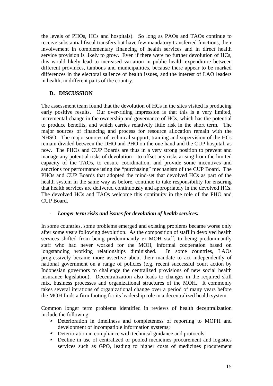<span id="page-14-0"></span>the levels of PHOs, HCs and hospitals). So long as PAOs and TAOs continue to receive substantial fiscal transfers but have few mandatory transferred functions, their involvement in complementary financing of health services and in direct health service provision is likely to grow. Even if there were no further devolution of HCs, this would likely lead to increased variation in public health expenditure between different provinces, tambons and municipalities, because there appear to be marked differences in the electoral salience of health issues, and the interest of LAO leaders in health, in different parts of the country.

## **D. DISCUSSION**

The assessment team found that the devolution of HCs in the sites visited is producing early positive results. Our over-riding impression is that this is a very limited, incremental change in the ownership and governance of HCs, which has the potential to produce benefits, and which carries relatively little risk in the short term. The major sources of financing and process for resource allocation remain with the NHSO. The major sources of technical support, training and supervision of the HCs remain divided between the DHO and PHO on the one hand and the CUP hospital, as now. The PHOs and CUP Boards are thus in a very strong position to prevent and manage any potential risks of devolution – to offset any risks arising from the limited capacity of the TAOs, to ensure coordination, and provide some incentives and sanctions for performance using the "purchasing" mechanism of the CUP Board. The PHOs and CUP Boards that adopted the mind-set that devolved HCs as part of the health system in the same way as before, continue to take responsibility for ensuring that health services are delivered continuously and appropriately in the devolved HCs. The devolved HCs and TAOs welcome this continuity in the role of the PHO and CUP Board.

## *- Longer term risks and issues for devolution of health services:*

In some countries, some problems emerged and existing problems became worse only after some years following devolution. As the composition of staff in devolved health services shifted from being predominantly ex-MOH staff, to being predominantly staff who had never worked for the MOH, informal cooperation based on longstanding working relationships diminished. In some countries, LAOs progressively became more assertive about their mandate to act independently of national government on a range of policies (e.g. recent successful court action by Indonesian governors to challenge the centralized provisions of new social health insurance legislation). Decentralization also leads to changes in the required skill mix, business processes and organizational structures of the MOH. It commonly takes several iterations of organizational change over a period of many years before the MOH finds a firm footing for its leadership role in a decentralized health system.

Common longer term problems identified in reviews of health decentralization include the following:

- Deterioration in timeliness and completeness of reporting to MOPH and development of incompatible information systems;
- **P** Deterioration in compliance with technical guidance and protocols;
- Decline in use of centralized or pooled medicines procurement and logistics services such as GPO, leading to higher costs of medicines procurement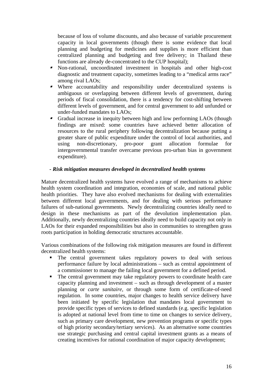because of loss of volume discounts, and also because of variable procurement capacity in local governments (though there is some evidence that local planning and budgeting for medicines and supplies is more efficient than centralized planning and budgeting and free delivery; in Thailand these functions are already de-concentrated to the CUP hospital);

- $\blacksquare$  Non-rational, uncoordinated investment in hospitals and other high-cost diagnostic and treatment capacity, sometimes leading to a "medical arms race" among rival LAOs;
- $\blacksquare$  Where accountability and responsibility under decentralized systems is ambiguous or overlapping between different levels of government, during periods of fiscal consolidation, there is a tendency for cost-shifting between different levels of government, and for central government to add unfunded or under-funded mandates to LAOs;
- $\blacksquare$  Gradual increase in inequity between high and low performing LAOs (though findings are mixed: some countries have achieved better allocation of resources to the rural periphery following decentralization because putting a greater share of public expenditure under the control of local authorities, and using non-discretionary, pro-poor grant allocation formulae for intergovernmental transfer overcame previous pro-urban bias in government expenditure).

#### *- Risk mitigation measures developed in decentralized health systems*

Mature decentralized health systems have evolved a range of mechanisms to achieve health system coordination and integration, economies of scale, and national public health priorities. They have also evolved mechanisms for dealing with externalities between different local governments, and for dealing with serious performance failures of sub-national governments. Newly decentralizing countries ideally need to design in these mechanisms as part of the devolution implementation plan. Additionally, newly decentralizing countries ideally need to build capacity not only in LAOs for their expanded responsibilities but also in communities to strengthen grass roots participation in holding democratic structures accountable.

Various combinations of the following risk mitigation measures are found in different decentralized health systems:

- The central government takes regulatory powers to deal with serious performance failure by local administrations – such as central appointment of a commissioner to manage the failing local government for a defined period.
- The central government may take regulatory powers to coordinate health care capacity planning and investment – such as through development of a master planning or *carte sanitaire*, or through some form of certificate-of-need regulation. In some countries, major changes to health service delivery have been initiated by specific legislation that mandates local government to provide specific types of services to defined standards (e.g. specific legislation is adopted at national level from time to time on changes to service delivery, such as primary care development, new prevention programs or specific types of high priority secondary/tertiary services). As an alternative some countries use strategic purchasing and central capital investment grants as a means of creating incentives for rational coordination of major capacity development;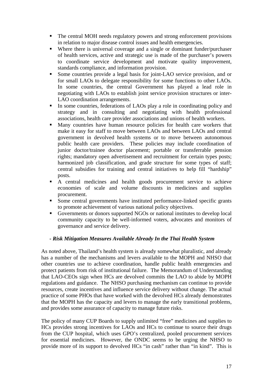- The central MOH needs regulatory powers and strong enforcement provisions in relation to major disease control issues and health emergencies.
- Where there is universal coverage and a single or dominant funder/purchaser of health services, active and strategic use is made of the purchaser's powers to coordinate service development and motivate quality improvement, standards compliance, and information provision.
- Some countries provide a legal basis for joint-LAO service provision, and or for small LAOs to delegate responsibility for some functions to other LAOs. In some countries, the central Government has played a lead role in negotiating with LAOs to establish joint service provision structures or inter-LAO coordination arrangements.
- In some countries, federations of LAOs play a role in coordinating policy and strategy and in consulting and negotiating with health professional associations, health care provider associations and unions of health workers.
- **Many countries have human resource policies for health care workers that** make it easy for staff to move between LAOs and between LAOs and central government in devolved health systems or to move between autonomous public health care providers. These policies may include coordination of junior doctor/trainee doctor placement; portable or transferrable pension rights; mandatory open advertisement and recruitment for certain types posts; harmonized job classification, and grade structure for some types of staff; central subsidies for training and central initiatives to help fill "hardship" posts.
- A central medicines and health goods procurement service to achieve economies of scale and volume discounts in medicines and supplies procurement.
- Some central governments have instituted performance-linked specific grants to promote achievement of various national policy objectives.
- Governments or donors supported NGOs or national institutes to develop local community capacity to be well-informed voters, advocates and monitors of governance and service delivery.

## *- Risk Mitigation Measures Available Already In the Thai Health System*

As noted above, Thailand's health system is already somewhat pluralistic, and already has a number of the mechanisms and levers available to the MOPH and NHSO that other countries use to achieve coordination, handle public health emergencies and protect patients from risk of institutional failure. The Memorandum of Understanding that LAO-CEOs sign when HCs are devolved commits the LAO to abide by MOPH regulations and guidance. The NHSO purchasing mechanism can continue to provide resources, create incentives and influence service delivery without change. The actual practice of some PHOs that have worked with the devolved HCs already demonstrates that the MOPH has the capacity and levers to manage the early transitional problems, and provides some assurance of capacity to manage future risks.

The policy of many CUP Boards to supply unlimited "free" medicines and supplies to HCs provides strong incentives for LAOs and HCs to continue to source their drugs from the CUP hospital, which uses GPO's centralized, pooled procurement services for essential medicines. However, the ONDC seems to be urging the NHSO to provide more of its support to devolved HCs "in cash" rather than "in kind". This is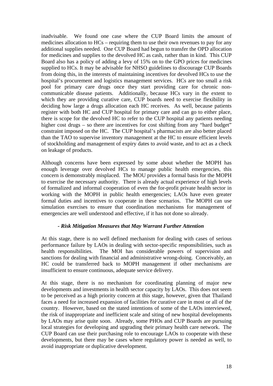inadvisable. We found one case where the CUP Board limits the amount of medicines allocation to HCs – requiring them to use their own revenues to pay for any additional supplies needed. One CUP Board had begun to transfer the OPD allocation for medicines and supplies to the devolved HC as cash, rather than in kind. This CUP Board also has a policy of adding a levy of 15% on to the GPO prices for medicines supplied to HCs. It may be advisable for NHSO guidelines to discourage CUP Boards from doing this, in the interests of maintaining incentives for devolved HCs to use the hospital's procurement and logistics management services. HCs are too small a risk pool for primary care drugs once they start providing care for chronic noncommunicable disease patients. Additionally, because HCs vary in the extent to which they are providing curative care, CUP boards need to exercise flexibility in deciding how large a drugs allocation each HC receives. As well, because patients register with both HC and CUP hospital for primary care and can go to either place, there is scope for the devolved HC to refer to the CUP hospital any patients needing higher cost drugs – so there are incentives for cost shifting from any "hard budget" constraint imposed on the HC. The CUP hospital's pharmacists are also better placed than the TAO to supervise inventory management at the HC to ensure efficient levels of stockholding and management of expiry dates to avoid waste, and to act as a check on leakage of products.

Although concerns have been expressed by some about whether the MOPH has enough leverage over devolved HCs to manage public health emergencies, this concern is demonstrably misplaced. The MOU provides a formal basis for the MOPH to exercise the necessary authority. There is already actual experience of high levels of formalized and informal cooperation of even the for-profit private health sector in working with the MOPH in public health emergencies; LAOs have even greater formal duties and incentives to cooperate in these scenarios. The MOPH can use simulation exercises to ensure that coordination mechanisms for management of emergencies are well understood and effective, if it has not done so already.

## *- Risk Mitigation Measures that May Warrant Further Attention*

At this stage, there is no well defined mechanism for dealing with cases of serious performance failure by LAOs in dealing with sector-specific responsibilities, such as health responsibilities. The MOI has considerable powers of supervision and sanctions for dealing with financial and administrative wrong-doing. Conceivably, an HC could be transferred back to MOPH management if other mechanisms are insufficient to ensure continuous, adequate service delivery.

At this stage, there is no mechanism for coordinating planning of major new developments and investments in health sector capacity by LAOs. This does not seem to be perceived as a high priority concern at this stage, however, given that Thailand faces a need for increased expansion of facilities for curative care in most or all of the country. However, based on the stated intentions of some of the LAOs interviewed, the risk of inappropriate and inefficient scale and siting of new hospital developments by LAOs may arise quite soon. Already, some PHOs and CUP Boards are pursuing local strategies for developing and upgrading their primary health care network. The CUP Board can use their purchasing role to encourage LAOs to cooperate with these developments, but there may be cases where regulatory power is needed as well, to avoid inappropriate or duplicative development.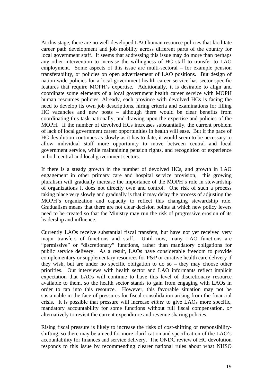At this stage, there are no well-developed LAO human resource policies that facilitate career path development and job mobility across different parts of the country for local government staff. It seems that addressing this issue may do more than perhaps any other intervention to increase the willingness of HC staff to transfer to LAO employment. Some aspects of this issue are multi-sectoral – for example pension transferability, or policies on open advertisement of LAO positions. But design of nation-wide policies for a local government health career service has sector-specific features that require MOPH's expertise. Additionally, it is desirable to align and coordinate some elements of a local government health career service with MOPH human resources policies. Already, each province with devolved HCs is facing the need to develop its own job descriptions, hiring criteria and examinations for filling HC vacancies and new posts – although there would be clear benefits from coordinating this task nationally, and drawing upon the expertise and policies of the MOPH. If the number of devolved HCs increases substantially, the current problem of lack of local government career opportunities in health will ease. But if the pace of HC devolution continues as slowly as it has to date, it would seem to be necessary to allow individual staff more opportunity to move between central and local government service, while maintaining pension rights, and recognition of experience in both central and local government sectors.

If there is a steady growth in the number of devolved HCs, and growth in LAO engagement in other primary care and hospital service provision, this growing pluralism will gradually increase the importance of the MOPH's role in stewardship of organizations it does not directly own and control. One risk of such a process taking place very slowly and gradually is that it may delay the process of adjusting the MOPH's organization and capacity to reflect this changing stewardship role. Gradualism means that there are not clear decision points at which new policy levers need to be created so that the Ministry may run the risk of progressive erosion of its leadership and influence.

Currently LAOs receive substantial fiscal transfers, but have not yet received very major transfers of functions and staff. Until now, many LAO functions are "permissive" or "discretionary" functions, rather than mandatory obligations for public service delivery. As a result, LAOs have considerable freedom to provide complementary or supplementary resources for P&P or curative health care delivery if they wish, but are under no specific obligation to do so – they may choose other priorities. Our interviews with health sector and LAO informants reflect implicit expectation that LAOs will continue to have this level of discretionary resource available to them, so the health sector stands to gain from engaging with LAOs in order to tap into this resource. However, this favorable situation may not be sustainable in the face of pressures for fiscal consolidation arising from the financial crisis. It is possible that pressure will increase *either* to give LAOs more specific, mandatory accountability for some functions without full fiscal compensation, *or* alternatively to revisit the current expenditure and revenue sharing policies.

Rising fiscal pressure is likely to increase the risks of cost-shifting or responsibilityshifting, so there may be a need for more clarification and specification of the LAO's accountability for finances and service delivery. The ONDC review of HC devolution responds to this issue by recommending clearer national rules about what NHSO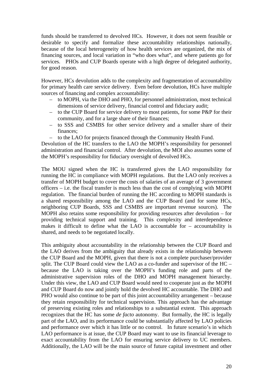funds should be transferred to devolved HCs. However, it does not seem feasible or desirable to specify and formalize these accountability relationships nationally, because of the local heterogeneity of how health services are organized, the mix of financing sources, and local variation in "who does what", and where patients go for services. PHOs and CUP Boards operate with a high degree of delegated authority, for good reason.

However, HCs devolution adds to the complexity and fragmentation of accountability for primary health care service delivery. Even before devolution, HCs have multiple sources of financing and complex accountability:

- to MOPH, via the DHO and PHO, for personnel administration, most technical dimensions of service delivery, financial control and fiduciary audit;
- to the CUP Board for service delivery to most patients, for some P&P for their community, and for a large share of their finances;
- to SSS and CSMBS for other service delivery and a smaller share of their finances;
- to the LAO for projects financed through the Community Health Fund.

Devolution of the HC transfers to the LAO the MOPH's responsibility for personnel administration and financial control. After devolution, the MOI also assumes some of the MOPH's responsibility for fiduciary oversight of devolved HCs.

The MOU signed when the HC is transferred gives the LAO responsibility for running the HC in compliance with MOPH regulations. But the LAO only receives a transfer of MOPH budget to cover the costs of salaries of an average of 3 government officers – i.e. the fiscal transfer is much less than the cost of complying with MOPH regulation. The financial burden of running the HC according to MOPH standards is a shared responsibility among the LAO and the CUP Board (and for some HCs, neighboring CUP Boards, SSS and CSMBS are important revenue sources). The MOPH also retains some responsibility for providing resources after devolution – for providing technical support and training. This complexity and interdependence makes it difficult to define what the LAO is accountable for – accountability is shared, and needs to be negotiated locally.

This ambiguity about accountability in the relationship between the CUP Board and the LAO derives from the ambiguity that already exists in the relationship between the CUP Board and the MOPH, given that there is not a complete purchaser/provider split. The CUP Board could view the LAO as a co-funder and supervisor of the HC – because the LAO is taking over the MOPH's funding role and parts of the administrative supervision roles of the DHO and MOPH management hierarchy. Under this view, the LAO and CUP Board would need to cooperate just as the MOPH and CUP Board do now and jointly hold the devolved HC accountable. The DHO and PHO would also continue to be part of this joint accountability arrangement – because they retain responsibility for technical supervision. This approach has the advantage of preserving existing roles and relationships to a substantial extent. This approach recognizes that the HC has some *de facto* autonomy. But formally, the HC is legally part of the LAO, and its performance could be substantially affected by LAO policies and performance over which it has little or no control. In future scenario's in which LAO performance is at issue, the CUP Board may want to use its financial leverage to exact accountability from the LAO for ensuring service delivery to UC members. Additionally, the LAO will be the main source of future capital investment and other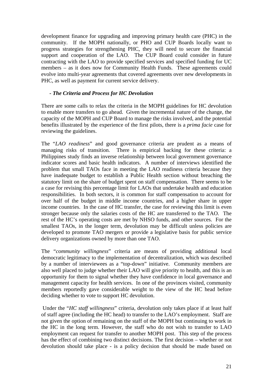development finance for upgrading and improving primary health care (PHC) in the community. If the MOPH nationally, or PHO and CUP Boards locally want to progress strategies for strengthening PHC, they will need to secure the financial support and cooperation of the LAO. The CUP Board could consider in future contracting with the LAO to provide specified services and specified funding for UC members – as it does now for Community Health Funds. These agreements could evolve into multi-year agreements that covered agreements over new developments in PHC, as well as payment for current service delivery.

## *- The Criteria and Process for HC Devolution*

There are some calls to relax the criteria in the MOPH guidelines for HC devolution to enable more transfers to go ahead. Given the incremental nature of the change, the capacity of the MOPH and CUP Board to manage the risks involved, and the potential benefits illustrated by the experience of the first pilots, there is a *prima facie* case for reviewing the guidelines.

The "*LAO readiness*" and good governance criteria are prudent as a means of managing risks of transition. There is empirical backing for these criteria: a Philippines study finds an inverse relationship between local government governance indicator scores and basic health indicators. A number of interviews identified the problem that small TAOs face in meeting the LAO readiness criteria because they have inadequate budget to establish a Public Health section without breaching the statutory limit on the share of budget spent on staff compensation. There seems to be a case for revising this percentage limit for LAOs that undertake health and education responsibilities. In both sectors, it is common for staff compensation to account for over half of the budget in middle income countries, and a higher share in upper income countries. In the case of HC transfer, the case for reviewing this limit is even stronger because only the salaries costs of the HC are transferred to the TAO. The rest of the HC's operating costs are met by NHSO funds, and other sources. For the smallest TAOs, in the longer term, devolution may be difficult unless policies are developed to promote TAO mergers or provide a legislative basis for public service delivery organizations owned by more than one TAO.

The "*community willingness*" criteria are means of providing additional local democratic legitimacy to the implementation of decentralization, which was described by a number of interviewees as a "top-down" initiative. Community members are also well placed to judge whether their LAO will give priority to health, and this is an opportunity for them to signal whether they have confidence in local governance and management capacity for health services. In one of the provinces visited, community members reportedly gave considerable weight to the view of the HC head before deciding whether to vote to support HC devolution.

 Under the "*HC staff willingness*" criteria, devolution only takes place if at least half of staff agree (including the HC head) to transfer to the LAO's employment. Staff are not given the option of remaining on the staff of the MOPH but continuing to work in the HC in the long term. However, the staff who do not wish to transfer to LAO employment can request for transfer to another MOPH post. This step of the process has the effect of combining two distinct decisions. The first decision – whether or not devolution should take place - is a policy decision that should be made based on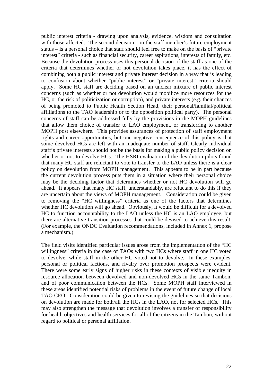public interest criteria - drawing upon analysis, evidence, wisdom and consultation with those affected. The second decision– on the staff member's future employment status – is a personal choice that staff should feel free to make on the basis of "private interest" criteria - such as financial security, career aspirations, interests of family, etc. Because the devolution process uses this personal decision of the staff as one of the criteria that determines whether or not devolution takes place, it has the effect of combining both a public interest and private interest decision in a way that is leading to confusion about whether "public interest" or "private interest" criteria should apply. Some HC staff are deciding based on an unclear mixture of public interest concerns (such as whether or not devolution would mobilize more resources for the HC, or the risk of politicization or corruption), and private interests (e.g. their chances of being promoted to Public Health Section Head, their personal/familial/political affiliations to the TAO leadership or to the opposition political party). The personal concerns of staff can be addressed fully by the provisions in the MOPH guidelines that allow them choice of transfer to LAO employment, or transferring to another MOPH post elsewhere. This provides assurances of protection of staff employment rights and career opportunities, but one negative consequence of this policy is that some devolved HCs are left with an inadequate number of staff. Clearly individual staff's private interests should not be the basis for making a public policy decision on whether or not to devolve HCs. The HSRI evaluation of the devolution pilots found that many HC staff are reluctant to vote to transfer to the LAO unless there is a clear policy on devolution from MOPH management. This appears to be in part because the current devolution process puts them in a situation where their personal choice may be the deciding factor that determines whether or not HC devolution will go ahead. It appears that many HC staff, understandably, are reluctant to do this if they are uncertain about the views of MOPH management. Consideration could be given to removing the "HC willingness" criteria as one of the factors that determines whether HC devolution will go ahead. Obviously, it would be difficult for a devolved HC to function accountability to the LAO unless the HC is an LAO employee, but there are alternative transition processes that could be devised to achieve this result. (For example, the ONDC Evaluation recommendations, included in Annex 1, propose a mechanism.)

The field visits identified particular issues arose from the implementation of the "HC willingness" criteria in the case of TAOs with two HCs where staff in one HC voted to devolve, while staff in the other HC voted not to devolve. In these examples, personal or political factions, and rivalry over promotion prospects were evident. There were some early signs of higher risks in these contexts of visible inequity in resource allocation between devolved and non-devolved HCs in the same Tambon, and of poor communication between the HCs. Some MOPH staff interviewed in these areas identified potential risks of problems in the event of future change of local TAO CEO. Consideration could be given to revising the guidelines so that decisions on devolution are made for both/all the HCs in the LAO, not for selected HCs. This may also strengthen the message that devolution involves a transfer of responsibility for health objectives and health services for all of the citizens in the Tambon, without regard to political or personal affiliation.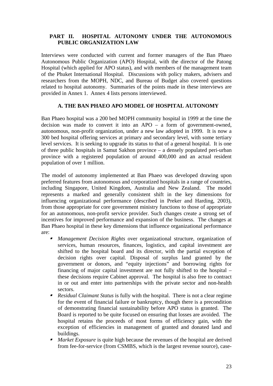### <span id="page-22-0"></span>**PART II. HOSPITAL AUTONOMY UNDER THE AUTONOMOUS PUBLIC ORGANIZATION LAW**

Interviews were conducted with current and former managers of the Ban Phaeo Autonomous Public Organization (APO) Hospital, with the director of the Patong Hospital (which applied for APO status), and with members of the management team of the Phuket International Hospital. Discussions with policy makers, advisers and researchers from the MOPH, NDC, and Bureau of Budget also covered questions related to hospital autonomy. Summaries of the points made in these interviews are provided in Annex 1. Annex 4 lists persons interviewed.

## **A. THE BAN PHAEO APO MODEL OF HOSPITAL AUTONOMY**

Ban Phaeo hospital was a 200 bed MOPH community hospital in 1999 at the time the decision was made to convert it into an APO – a form of government-owned, autonomous, non-profit organization, under a new law adopted in 1999. It is now a 300 bed hospital offering services at primary and secondary level, with some tertiary level services. It is seeking to upgrade its status to that of a general hospital. It is one of three public hospitals in Samut Sakhon province – a densely populated peri-urban province with a registered population of around 400,000 and an actual resident population of over 1 million.

The model of autonomy implemented at Ban Phaeo was developed drawing upon preferred features from autonomous and corporatized hospitals in a range of countries, including Singapore, United Kingdom, Australia and New Zealand. The model represents a marked and generally consistent shift in the key dimensions for influencing organizational performance (described in Preker and Harding, 2003), from those appropriate for core government ministry functions to those of appropriate for an autonomous, non-profit service provider. Such changes create a strong set of incentives for improved performance and expansion of the business. The changes at Ban Phaeo hospital in these key dimensions that influence organizational performance are:

- *Management Decision Rights* over organizational structure, organization of services, human resources, finances, logistics, and capital investment are shifted to the hospital board and its director, with the partial exception of decision rights over capital. Disposal of surplus land granted by the government or donors, and "equity injections" and borrowing rights for financing of major capital investment are not fully shifted to the hospital – these decisions require Cabinet approval. The hospital is also free to contract in or out and enter into partnerships with the private sector and non-health sectors.
- *Residual Claimant Status* is fully with the hospital. There is not a clear regime for the event of financial failure or bankruptcy, though there is a precondition of demonstrating financial sustainability before APO status is granted. The Board is reported to be quite focused on ensuring that losses are avoided. The hospital retains the proceeds of most forms of efficiency gain, with the exception of efficiencies in management of granted and donated land and buildings.
- ı *Market Exposure* is quite high because the revenues of the hospital are derived from fee-for-service (from CSMBS, which is the largest revenue source), case-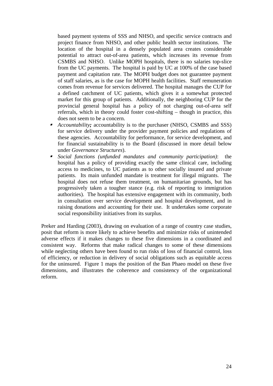based payment systems of SSS and NHSO, and specific service contracts and project finance from NHSO, and other public health sector institutions. The location of the hospital in a densely populated area creates considerable potential to attract out-of-area patients, which increases its revenue from CSMBS and NHSO. Unlike MOPH hospitals, there is no salaries top-slice from the UC payments. The hospital is paid by UC at 100% of the case based payment and capitation rate. The MOPH budget does not guarantee payment of staff salaries, as is the case for MOPH health facilities. Staff remuneration comes from revenue for services delivered. The hospital manages the CUP for a defined catchment of UC patients, which gives it a somewhat protected market for this group of patients. Additionally, the neighboring CUP for the provincial general hospital has a policy of not charging out-of-area self referrals, which in theory could foster cost-shifting – though in practice, this does not seem to be a concern.

- $\blacksquare$  *Accountability;* accountability is to the purchaser (NHSO, CSMBS and SSS) for service delivery under the provider payment policies and regulations of these agencies. Accountability for performance, for service development, and for financial sustainability is to the Board (discussed in more detail below under *Governance Structures*).
- $\blacksquare$  *Social functions (unfunded mandates and community participation)*: the hospital has a policy of providing exactly the same clinical care, including access to medicines, to UC patients as to other socially insured and private patients. Its main unfunded mandate is treatment for illegal migrants. The hospital does not refuse them treatment, on humanitarian grounds, but has progressively taken a tougher stance (e.g. risk of reporting to immigration authorities). The hospital has extensive engagement with its community, both in consultation over service development and hospital development, and in raising donations and accounting for their use. It undertakes some corporate social responsibility initiatives from its surplus.

Preker and Harding (2003), drawing on evaluation of a range of country case studies, posit that reform is more likely to achieve benefits and minimize risks of unintended adverse effects if it makes changes to these five dimensions in a coordinated and consistent way. Reforms that make radical changes to some of these dimensions while neglecting others have been found to run risks of loss of financial control, loss of efficiency, or reduction in delivery of social obligations such as equitable access for the uninsured. Figure 1 maps the position of the Ban Phaeo model on these five dimensions, and illustrates the coherence and consistency of the organizational reform.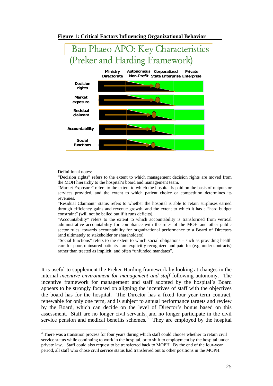

<span id="page-24-0"></span>**Figure 1: Critical Factors Influencing Organizational Behavior** 

Definitional notes:

1

"Decision rights" refers to the extent to which management decision rights are moved from the MOH hierarchy to the hospital's board and management team.

"Market Exposure" refers to the extent to which the hospital is paid on the basis of outputs or services provided, and the extent to which patient choice or competition determines its revenues.

"Residual Claimant" status refers to whether the hospital is able to retain surpluses earned through efficiency gains and revenue growth, and the extent to which it has a "hard budget constraint" (will not be bailed out if it runs deficits).

"Accountability" refers to the extent to which accountability is transformed from vertical administrative accountability for compliance with the rules of the MOH and other public sector rules, towards accountability for organizational performance to a Board of Directors (and ultimately to stakeholder or shareholders).

"Social functions" refers to the extent to which social obligations – such as providing health care for poor, uninsured patients - are explicitly recognized and paid for (e.g. under contracts) rather than treated as implicit and often "unfunded mandates".

It is useful to supplement the Preker Harding framework by looking at changes in the internal *incentive environment for management and staff* following autonomy. The incentive framework for management and staff adopted by the hospital's Board appears to be strongly focused on aligning the incentives of staff with the objectives the board has for the hospital. The Director has a fixed four year term contract, renewable for only one term, and is subject to annual performance targets and review by the Board, which can decide on the level of Director's bonus based on this assessment. Staff are no longer civil servants, and no longer participate in the civil service pension and medical benefits schemes. $3$  They are employed by the hospital

<sup>&</sup>lt;sup>3</sup> There was a transition process for four years during which staff could choose whether to retain civil service status while continuing to work in the hospital, or to shift to employment by the hospital under private law. Staff could also request to be transferred back to MOPH. By the end of the four-year period, all staff who chose civil service status had transferred out to other positions in the MOPH.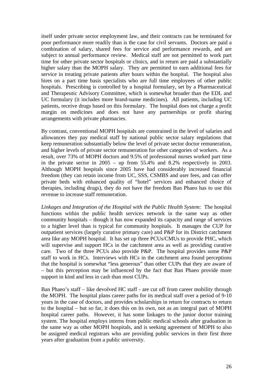itself under private sector employment law, and their contracts can be terminated for poor performance more readily than is the case for civil servants. Doctors are paid a combination of salary, shared fees for service and performance rewards, and are subject to annual performance review. Medical staff are not permitted to work part time for other private sector hospitals or clinics, and in return are paid a substantially higher salary than the MOPH salary. They are permitted to earn additional fees for service in treating private patients after hours within the hospital. The hospital also hires on a part time basis specialists who are full time employees of other public hospitals. Prescribing is controlled by a hospital formulary, set by a Pharmaceutical and Therapeutic Advisory Committee, which is somewhat broader than the EDL and UC formulary (it includes more brand-name medicines). All patients, including UC patients, receive drugs based on this formulary. The hospital does not charge a profit margin on medicines and does not have any partnerships or profit sharing arrangements with private pharmacies.

By contrast, conventional MOPH hospitals are constrained in the level of salaries and allowances they pay medical staff by national public sector salary regulations that keep remuneration substantially below the level of private sector doctor remuneration, and higher levels of private sector remuneration for other categories of workers. As a result, over 73% of MOPH doctors and 9.5% of professional nurses worked part time in the private sector in 2005 – up from 55.4% and 8.2% respectively in 2003. Although MOPH hospitals since 2005 have had considerably increased financial freedom (they can retain income from UC, SSS, CSMBS and user fees, and can offer private beds with enhanced quality of "hotel" services and enhanced choice of therapies, including drugs), they do not have the freedom Ban Phaeo has to use this revenue to increase staff remuneration.

*Linkages and Integration of the Hospital with the Public Health System:* The hospital functions within the public health services network in the same way as other community hospitals – though it has now expanded its capacity and range of services to a higher level than is typical for community hospitals. It manages the CUP for outpatient services (largely curative primary care) and P&P for its District catchment area like any MOPH hospital. It has set up three PCUs/CMUs to provide PHC, which will supervise and support HCs in the catchment area as well as providing curative care. Two of the three PCUs also provide P&P. The hospital provides some P&P staff to work in HCs. Interviews with HCs in the catchment area found perceptions that the hospital is somewhat "less generous" than other CUPs that they are aware of – but this perception may be influenced by the fact that Ban Phaeo provide more support in kind and less in cash than most CUPs.

Ban Phaeo's staff – like devolved HC staff - are cut off from career mobility through the MOPH. The hospital plans career paths for its medical staff over a period of 9-10 years in the case of doctors, and provides scholarships in return for contracts to return to the hospital – but so far, it does this on its own, not as an integral part of MOPH hospital career paths. However, it has some linkages to the junior doctor training system. The hospital employs interns from public medical schools after graduation in the same way as other MOPH hospitals, and is seeking agreement of MOPH to also be assigned medical registrars who are providing public services in their first three years after graduation from a public university.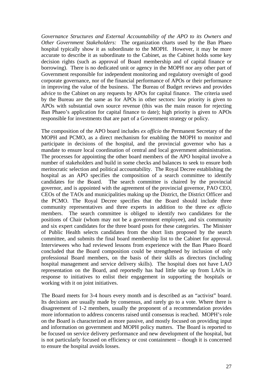*Governance Structures and External Accountability of the APO to its Owners and Other Government Stakeholders:* The organization charts used by the Ban Phaeo hospital typically show it as subordinate to the MOPH. However, it may be more accurate to describe it as subordinate to the Cabinet, as the Cabinet holds some key decision rights (such as approval of Board membership and of capital finance or borrowing). There is no dedicated unit or agency in the MOPH nor any other part of Government responsible for independent monitoring and regulatory oversight of good corporate governance, nor of the financial performance of APOs or their performance in improving the value of the business. The Bureau of Budget reviews and provides advice to the Cabinet on any requests by APOs for capital finance. The criteria used by the Bureau are the same as for APOs in other sectors: low priority is given to APOs with substantial own source revenue (this was the main reason for rejecting Ban Phaeo's application for capital finance to date); high priority is given to APOs responsible for investments that are part of a Government strategy or policy.

The composition of the APO board includes *ex officio* the Permanent Secretary of the MOPH and PCMO, as a direct mechanism for enabling the MOPH to monitor and participate in decisions of the hospital, and the provincial governor who has a mandate to ensure local coordination of central and local government administration. The processes for appointing the other board members of the APO hospital involve a number of stakeholders and build in some checks and balances to seek to ensure both meritocratic selection and political accountability. The Royal Decree establishing the hospital as an APO specifies the composition of a search committee to identify candidates for the Board. The search committee is chaired by the provincial governor, and is appointed with the agreement of the provincial governor, PAO CEO, CEOs of the TAOs and municipalities making up the District, the District Officer and the PCMO. The Royal Decree specifies that the Board should include three community representatives and three experts in addition to the three *ex officio*  members. The search committee is obliged to identify two candidates for the positions of Chair (whom may not be a government employee), and six community and six expert candidates for the three board posts for these categories. The Minister of Public Health selects candidates from the short lists proposed by the search committee, and submits the final board membership list to the Cabinet for approval. Interviewees who had reviewed lessons from experience with the Ban Phaeo Board concluded that the Board composition could be strengthened by inclusion of only professional Board members, on the basis of their skills as directors (including hospital management and service delivery skills). The hospital does not have LAO representation on the Board, and reportedly has had little take up from LAOs in response to initiatives to enlist their engagement in supporting the hospitals or working with it on joint initiatives.

The Board meets for 3-4 hours every month and is described as an "activist" board. Its decisions are usually made by consensus, and rarely go to a vote. Where there is disagreement of 1-2 members, usually the proponent of a recommendation provides more information to address concerns raised until consensus is reached. MOPH's role on the Board is characterized as more passive, and mostly focused on providing input and information on government and MOPH policy matters. The Board is reported to be focused on service delivery performance and new development of the hospital, but is not particularly focused on efficiency or cost containment – though it is concerned to ensure the hospital avoids losses.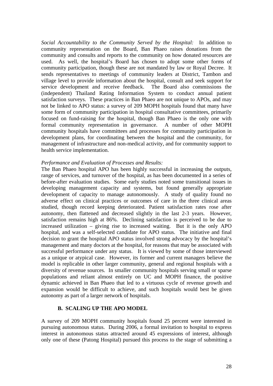<span id="page-27-0"></span>*Social Accountability to the Community Served by the Hospital:* In addition to community representation on the Board, Ban Phaeo raises donations from the community and consults and reports to the community on how donated resources are used. As well, the hospital's Board has chosen to adopt some other forms of community participation, though these are not mandated by law or Royal Decree. It sends representatives to meetings of community leaders at District, Tambon and village level to provide information about the hospital, consult and seek support for service development and receive feedback. The Board also commissions the (independent) Thailand Rating Information System to conduct annual patient satisfaction surveys. These practices in Ban Phaeo are not unique to APOs, and may not be linked to APO status: a survey of 209 MOPH hospitals found that many have some form of community participation in hospital consultative committees, primarily focused on fund-raising for the hospital, though Ban Phaeo is the only one with formal community representation in governance. A number of other MOPH community hospitals have committees and processes for community participation in development plans, for coordinating between the hospital and the community, for management of infrastructure and non-medical activity, and for community support to health service implementation.

#### *Performance and Evaluation of Processes and Results:*

The Ban Phaeo hospital APO has been highly successful in increasing the outputs, range of services, and turnover of the hospital, as has been documented in a series of before-after evaluation studies. Some early studies noted some transitional issues in developing management capacity and systems, but found generally appropriate development of capacity to manage autonomously. A study of quality found no adverse effect on clinical practices or outcomes of care in the three clinical areas studied, though record keeping deteriorated. Patient satisfaction rates rose after autonomy, then flattened and decreased slightly in the last 2-3 years. However, satisfaction remains high at 86%. Declining satisfaction is perceived to be due to increased utilization – giving rise to increased waiting. But it is the only APO hospital, and was a self-selected candidate for APO status. The initiative and final decision to grant the hospital APO status involved strong advocacy by the hospital's management and many doctors at the hospital, for reasons that may be associated with successful performance under any status. It is viewed by some of those interviewed as a unique or atypical case. However, its former and current managers believe the model is replicable in other larger community, general and regional hospitals with a diversity of revenue sources. In smaller community hospitals serving small or sparse populations and reliant almost entirely on UC and MOPH finance, the positive dynamic achieved in Ban Phaeo that led to a virtuous cycle of revenue growth and expansion would be difficult to achieve, and such hospitals would best be given autonomy as part of a larger network of hospitals.

#### **B. SCALING UP THE APO MODEL**

A survey of 209 MOPH community hospitals found 25 percent were interested in pursuing autonomous status. During 2006, a formal invitation to hospital to express interest in autonomous status attracted around 45 expressions of interest, although only one of these (Patong Hospital) pursued this process to the stage of submitting a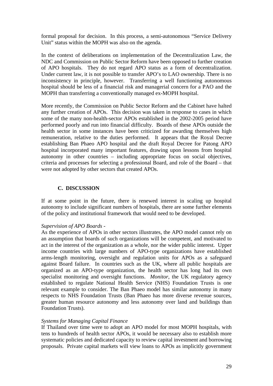<span id="page-28-0"></span>formal proposal for decision. In this process, a semi-autonomous "Service Delivery Unit" status within the MOPH was also on the agenda.

In the context of deliberations on implementation of the Decentralization Law, the NDC and Commission on Public Sector Reform have been opposed to further creation of APO hospitals. They do not regard APO status as a form of decentralization. Under current law, it is not possible to transfer APO's to LAO ownership. There is no inconsistency in principle, however. Transferring a well functioning autonomous hospital should be less of a financial risk and managerial concern for a PAO and the MOPH than transferring a conventionally managed ex-MOPH hospital.

More recently, the Commission on Public Sector Reform and the Cabinet have halted any further creation of APOs. This decision was taken in response to cases in which some of the many non-health-sector APOs established in the 2002-2005 period have performed poorly and run into financial difficulty. Boards of these APOs outside the health sector in some instances have been criticized for awarding themselves high remuneration, relative to the duties performed. It appears that the Royal Decree establishing Ban Phaeo APO hospital and the draft Royal Decree for Patong APO hospital incorporated many important features, drawing upon lessons from hospital autonomy in other countries – including appropriate focus on social objectives, criteria and processes for selecting a professional Board, and role of the Board – that were not adopted by other sectors that created APOs.

#### **C. DISCUSSION**

If at some point in the future, there is renewed interest in scaling up hospital autonomy to include significant numbers of hospitals, there are some further elements of the policy and institutional framework that would need to be developed.

#### *Supervision of APO Boards -*

As the experience of APOs in other sectors illustrates, the APO model cannot rely on an assumption that boards of such organizations will be competent, and motivated to act in the interest of the organization as a whole, nor the wider public interest. Upper income countries with large numbers of APO-type organizations have established arms-length monitoring, oversight and regulation units for APOs as a safeguard against Board failure. In countries such as the UK, where all public hospitals are organized as an APO-type organization, the health sector has long had its own specialist monitoring and oversight functions. *Monitor*, the UK regulatory agency established to regulate National Health Service (NHS) Foundation Trusts is one relevant example to consider. The Ban Phaeo model has similar autonomy in many respects to NHS Foundation Trusts (Ban Phaeo has more diverse revenue sources, greater human resource autonomy and less autonomy over land and buildings than Foundation Trusts).

#### *Systems for Managing Capital Finance*

If Thailand over time were to adopt an APO model for most MOPH hospitals, with tens to hundreds of health sector APOs, it would be necessary also to establish more systematic policies and dedicated capacity to review capital investment and borrowing proposals. Private capital markets will view loans to APOs as implicitly government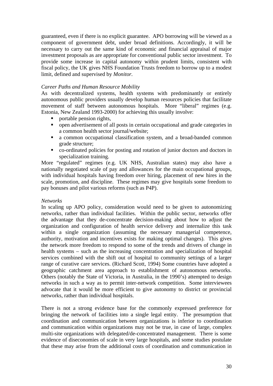guaranteed, even if there is no explicit guarantee. APO borrowing will be viewed as a component of government debt, under broad definitions. Accordingly, it will be necessary to carry out the same kind of economic and financial appraisal of major investment proposals as are appropriate for conventional public sector investment. To provide some increase in capital autonomy within prudent limits, consistent with fiscal policy, the UK gives NHS Foundation Trusts freedom to borrow up to a modest limit, defined and supervised by *Monitor.*

#### *Career Paths and Human Resource Mobility*

As with decentralized systems, health systems with predominantly or entirely autonomous public providers usually develop human resources policies that facilitate movement of staff between autonomous hospitals. More "liberal" regimes (e.g. Estonia, New Zealand 1993-2000) for achieving this usually involve:

- portable pension rights,
- open advertisement of all posts in certain occupational and grade categories in a common health sector journal/website;
- a common occupational classification system, and a broad-banded common grade structure;
- co-ordinated policies for posting and rotation of junior doctors and doctors in specialization training.

More "regulated" regimes (e.g. UK NHS, Australian states) may also have a nationally negotiated scale of pay and allowances for the main occupational groups, with individual hospitals having freedom over hiring, placement of new hires in the scale, promotion, and discipline. These regimes may give hospitals some freedom to pay bonuses and pilot various reforms (such as P4P).

#### *Networks*

In scaling up APO policy, consideration would need to be given to autonomizing networks, rather than individual facilities. Within the public sector, networks offer the advantage that they de-concentrate decision-making about how to adjust the organization and configuration of health service delivery and internalize this task within a single organization (assuming the necessary managerial competence, authority, motivation and incentives exists for making optimal changes). This gives the network more freedom to respond to some of the trends and drivers of change in health systems – such as the increasing concentration and specialization of hospital services combined with the shift out of hospital to community settings of a larger range of curative care services. (Richard Scott, 1994) Some countries have adopted a geographic catchment area approach to establishment of autonomous networks. Others (notably the State of Victoria, in Australia, in the 1990's) attempted to design networks in such a way as to permit inter-network competition. Some interviewees advocate that it would be more efficient to give autonomy to district or provincial networks, rather than individual hospitals.

There is not a strong evidence base for the commonly expressed preference for bringing the network of facilities into a single legal entity. The presumption that coordination and communication between organizations is inferior to coordination and communication within organizations may not be true, in case of large, complex multi-site organizations with delegated/de-concentrated management. There is some evidence of diseconomies of scale in very large hospitals, and some studies postulate that these may arise from the additional costs of coordination and communication in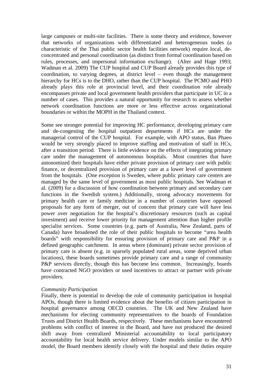large campuses or multi-site facilities. There is some theory and evidence, however that networks of organizations with differentiated and heterogeneous nodes (a characteristic of the Thai public sector health facilities network) require local, deconcentrated and personal coordination (as distinct from formal coordination based on rules, processes, and impersonal information exchange). (Alter and Hage 1993; Wadman et al. 2009) The CUP hospital and CUP Board already provides this type of coordination, to varying degrees, at district level – even though the management hierarchy for HCs is to the DHO, rather than the CUP hospital. The PCMO and PHO already plays this role at provincial level, and their coordination role already encompasses private and local government health providers that participate in UC in a number of cases. This provides a natural opportunity for research to assess whether network coordination functions are more or less effective across organizational boundaries or within the MOPH in the Thailand context.

Some see stronger potential for improving HC performance, developing primary care and de-congesting the hospital outpatient departments if HCs are under the managerial control of the CUP hospital. For example, with APO status, Ban Phaeo would be very strongly placed to improve staffing and motivation of staff in HCs, after a transition period. There is little evidence on the effects of integrating primary care under the management of autonomous hospitals. Most countries that have autonomized their hospitals have either private provision of primary care with public finance, or decentralized provision of primary care at a lower level of government from the hospitals. (One exception is Sweden, where public primary care centers are managed by the same level of government as most public hospitals. See Wadman et al. (2009) for a discussion of how coordination between primary and secondary care functions in the Swedish system.) Additionally, strong advocacy movements for primary health care or family medicine in a number of countries have opposed proposals for any form of merger, out of concern that primary care will have less power over negotiation for the hospital's discretionary resources (such as capital investment) and receive lower priority for management attention than higher profile specialist services. Some countries (e.g. parts of Australia, New Zealand, parts of Canada) have broadened the role of their public hospitals to become "area health boards" with responsibility for ensuring provision of primary care and P&P in a defined geographic catchment. In areas where (dominant) private sector provision of primary care is absent (e.g. in sparsely populated rural areas, some deprived urban locations), these boards sometimes provide primary care and a range of community P&P services directly, though this has become less common. Increasingly, boards have contracted NGO providers or used incentives to attract or partner with private providers.

#### *Community Participation*

Finally, there is potential to develop the role of community participation in hospital APOs, though there is limited evidence about the benefits of citizen participation in hospital governance among OECD countries. The UK and New Zealand have mechanisms for electing community representatives to the boards of Foundation Trusts and District Health Boards, respectively. These mechanisms have encountered problems with conflict of interest in the Board, and have not produced the desired shift away from centralized Ministerial accountability to local participatory accountability for local health service delivery. Under models similar to the APO model, the Board members identify closely with the hospital and their duties require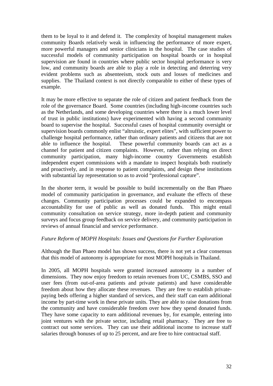them to be loyal to it and defend it. The complexity of hospital management makes community Boards relatively weak in influencing the performance of more expert, more powerful managers and senior clinicians in the hospital. The case studies of successful models of community participation on hospital boards or in hospital supervision are found in countries where public sector hospital performance is very low, and community boards are able to play a role in detecting and deterring very evident problems such as absenteeism, stock outs and losses of medicines and supplies. The Thailand context is not directly comparable to either of these types of example.

It may be more effective to separate the role of citizen and patient feedback from the role of the governance Board. Some countries (including high-income countries such as the Netherlands, and some developing countries where there is a much lower level of trust in public institutions) have experimented with having a second community board to supervise the hospital. Successful cases of hospital community oversight or supervision boards commonly enlist "altruistic, expert elites", with sufficient power to challenge hospital performance, rather than ordinary patients and citizens that are not able to influence the hospital. These powerful community boards can act as a channel for patient and citizen complaints. However, rather than relying on direct community participation, many high-income country Governments establish independent expert commissions with a mandate to inspect hospitals both routinely and proactively, and in response to patient complaints, and design these institutions with substantial lay representation so as to avoid "professional capture".

In the shorter term, it would be possible to build incrementally on the Ban Phaeo model of community participation in governance, and evaluate the effects of these changes. Community participation processes could be expanded to encompass accountability for use of public as well as donated funds. This might entail community consultation on service strategy, more in-depth patient and community surveys and focus group feedback on service delivery, and community participation in reviews of annual financial and service performance.

#### *Future Reform of MOPH Hospitals: Issues and Questions for Further Exploration*

Although the Ban Phaeo model has shown success, there is not yet a clear consensus that this model of autonomy is appropriate for most MOPH hospitals in Thailand.

In 2005, all MOPH hospitals were granted increased autonomy in a number of dimensions. They now enjoy freedom to retain revenues from UC, CSMBS, SSO and user fees (from out-of-area patients and private patients) and have considerable freedom about how they allocate these revenues. They are free to establish privatepaying beds offering a higher standard of services, and their staff can earn additional income by part-time work in these private units. They are able to raise donations from the community and have considerable freedom over how they spend donated funds. They have some capacity to earn additional revenues by, for example, entering into joint ventures with the private sector, including retail pharmacy. They are free to contract out some services. They can use their additional income to increase staff salaries through bonuses of up to 25 percent, and are free to hire contractual staff.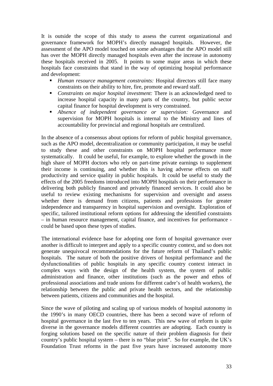It is outside the scope of this study to assess the current organizational and governance framework for MOPH's directly managed hospitals. However, the assessment of the APO model touched on some advantages that the APO model still has over the MOPH directly managed hospitals even after the increase in autonomy these hospitals received in 2005. It points to some major areas in which these hospitals face constraints that stand in the way of optimizing hospital performance and development:

- *Human resource management constraints:* Hospital directors still face many constraints on their ability to hire, fire, promote and reward staff.
- *Constraints on major hospital investment:* There is an acknowledged need to increase hospital capacity in many parts of the country, but public sector capital finance for hospital development is very constrained.
- *Absence of independent governance or supervision:* Governance and supervision for MOPH hospitals is internal to the Ministry and lines of accountability for provincial and regional hospitals are centralized.

In the absence of a consensus about options for reform of public hospital governance, such as the APO model, decentralization or community participation, it may be useful to study these and other constraints on MOPH hospital performance more systematically. It could be useful, for example, to explore whether the growth in the high share of MOPH doctors who rely on part-time private earnings to supplement their income is continuing, and whether this is having adverse effects on staff productivity and service quality in public hospitals. It could be useful to study the effects of the 2005 freedoms introduced into MOPH hospitals on their performance in delivering both publicly financed and privately financed services. It could also be useful to review existing mechanisms for supervision and oversight and assess whether there is demand from citizens, patients and professions for greater independence and transparency in hospital supervision and oversight. Exploration of specific, tailored institutional reform options for addressing the identified constraints – in human resource management, capital finance, and incentives for performance could be based upon these types of studies.

The international evidence base for adopting one form of hospital governance over another is difficult to interpret and apply to a specific country context, and so does not generate unequivocal recommendations for the future reform of Thailand's public hospitals. The nature of both the positive drivers of hospital performance and the dysfunctionalities of public hospitals in any specific country context interact in complex ways with the design of the health system, the system of public administration and finance, other institutions (such as the power and ethos of professional associations and trade unions for different cadre's of health workers), the relationship between the public and private health sectors, and the relationship between patients, citizens and communities and the hospital.

Since the wave of piloting and scaling up of various models of hospital autonomy in the 1990's in many OECD countries, there has been a second wave of reform of hospital governance in the last five to ten years. This new wave of reform is quite diverse in the governance models different countries are adopting. Each country is forging solutions based on the specific nature of their problem diagnosis for their country's public hospital system – there is no "blue print". So for example, the UK's Foundation Trust reforms in the past five years have increased autonomy more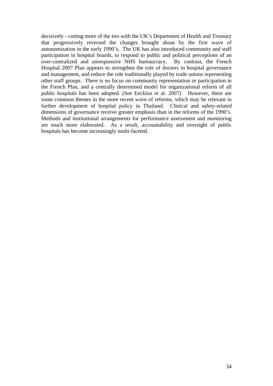decisively - cutting more of the ties with the UK's Department of Health and Treasury that progressively reversed the changes brought about by the first wave of autonomization in the early 1990's. The UK has also introduced community and staff participation in hospital boards, to respond to public and political perceptions of an over-centralized and unresponsive NHS bureaucracy. By contrast, the French Hospital 2007 Plan appears to strengthen the role of doctors in hospital governance and management, and reduce the role traditionally played by trade unions representing other staff groups. There is no focus on community representation or participation in the French Plan, and a centrally determined model for organizational reform of all public hospitals has been adopted. (See Eeckloo et al. 2007) However, there are some common themes in the more recent wave of reforms, which may be relevant in further development of hospital policy in Thailand. Clinical and safety-related dimensions of governance receive greater emphasis than in the reforms of the 1990's. Methods and institutional arrangements for performance assessment and monitoring are much more elaborated. As a result, accountability and oversight of public hospitals has become increasingly multi-faceted.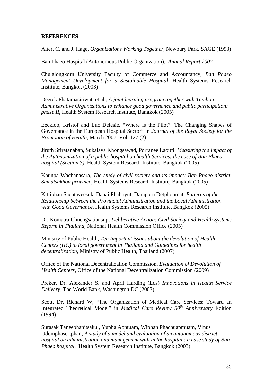#### <span id="page-34-0"></span>**REFERENCES**

Alter, C. and J. Hage, *Organizations Working Together,* Newbury Park, SAGE (1993)

Ban Phaeo Hospital (Autonomous Public Organization), *Annual Report 2007*

Chulalongkorn University Faculty of Commerce and Accountancy, *Ban Phaeo Management Development for a Sustainable Hospital,* Health Systems Research Institute, Bangkok (2003)

Deerek Phatamasiriwat, et al., *A joint learning program together with Tambon Administrative Organizations to enhance good governance and public participation: phase II*, Health System Research Institute, Bangkok (2005)

Eeckloo, Kristof and Luc Delesie, "Where is the Pilot?: The Changing Shapes of Governance in the European Hospital Sector" in *Journal of the Royal Society for the Promotion of Health*, March 2007, Vol. 127 (2)

Jiruth Sriratanaban, Sukalaya Khongsawad, Porranee Laoitti: *Measuring the Impact of the Autonomization of a public hospital on health Services; the case of Ban Phaeo hospital (Section 3)*, Health System Research Institute, Bangkok (2005)

Khunpa Wachanasara, *The study of civil society and its impact: Ban Phaeo district, Samutsakhon province,* Health Systems Research Institute, Bangkok (2005)

Kittiphan Saentaveesuk, Danai Phahuyut, Daraporn Detphonmat, *Patterns of the Relationship between the Provincial Administration and the Local Administration with Good Governance*, Health Systems Research Institute, Bangkok (2005)

Dr. Komatra Chuengsatiansup, *Deliberative Action: Civil Society and Health Systems Reform in Thailand,* National Health Commission Office (2005)

Ministry of Public Health, *Ten Important issues about the devolution of Health Centers (HC) to local government in Thailand and Guidelines for health decentralization*, Ministry of Public Health, Thailand (2007)

Office of the National Decentralization Commission, *Evaluation of Devolution of Health Centers*, Office of the National Decentralization Commission (2009)

Preker, Dr. Alexander S. and April Harding (Eds) *Innovations in Health Service Delivery,* The World Bank, Washington DC (2003)

Scott, Dr. Richard W, "The Organization of Medical Care Services: Toward an Integrated Theoretical Model" in *Medical Care Review 50th Anniversary* Edition (1994)

Surasak Taneephanitsakul, Yupha Aontuam, Wiphan Phachuapmuam, Vinus Udomphasertphan, *A study of a model and evaluation of an autonomous district hospital on administration and management with in the hospital : a case study of Ban Phaeo hospital,* Health System Research Institute, Bangkok (2003)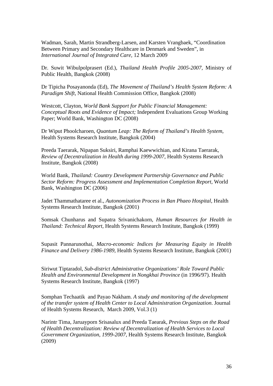Wadman, Sarah, Martin Strandberg-Larsen, and Karsten Vrangbaek, "Coordination Between Primary and Secondary Healthcare in Denmark and Sweden", in *International Journal of Integrated Care,* 12 March 2009

Dr. Suwit Wibulpolprasert (Ed.), *Thailand Health Profile 2005-2007,* Ministry of Public Health, Bangkok (2008)

Dr Tipicha Posayanonda (Ed), *The Movement of Thailand's Health System Reform: A Paradigm Shift,* National Health Commission Office, Bangkok (2008)

Westcott, Clayton, *World Bank Support for Public Financial Management: Conceptual Roots and Evidence of Impact;* Independent Evaluations Group Working Paper; World Bank, Washington DC (2008)

Dr Wiput Phoolcharoen, *Quantum Leap: The Reform of Thailand's Health System*, Health Systems Research Institute, Bangkok (2004)

Preeda Taerarak, Nipapan Suksiri, Ramphai Kaewwichian, and Kirana Taerarak, *Review of Decentralization in Health during 1999-2007,* Health Systems Research Institute, Bangkok (2008)

World Bank, *Thailand: Country Development Partnership Governance and Public Sector Reform: Progress Assessment and Implementation Completion Report,* World Bank, Washington DC (2006)

Jadet Thammathataree et al., *Autonomization Process in Ban Phaeo Hospital,* Health Systems Research Institute, Bangkok (2001)

Somsak Chunharus and Supatra Srivanichakorn, *Human Resources for Health in Thailand: Technical Report,* Health Systems Research Institute, Bangkok (1999)

Supasit Pannarunothai, *Macro-economic Indices for Measuring Equity in Health Finance and Delivery 1986-1989,* Health Systems Research Institute, Bangkok (2001)

Siriwut Tiptaradol, *Sub-district Administrative Organizations' Role Toward Public Health and Environmental Development in Nongkhai Province* (in 1996/97). Health Systems Research Institute, Bangkok (1997)

Somphan Techaatik and Payao Nakham. *A study and monitoring of the development of the transfer system of Health Center to Local Administration Organization*. Journal of Health Systems Research, March 2009, Vol.3 (1)

Narintr Tima, Jaruayporn Srisasalux and Preeda Taearak, *Previous Steps on the Road of Health Decentralization: Review of Decentralization of Health Services to Local Government Organization, 1999-2007*, Health Systems Research Institute, Bangkok (2009)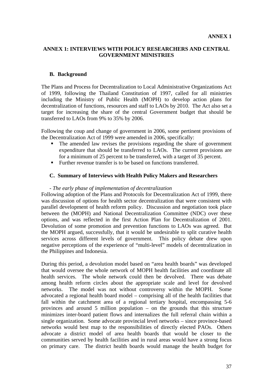## **ANNEX 1: INTERVIEWS WITH POLICY RESEARCHERS AND CENTRAL GOVERNMENT MINISTRIES**

#### **B. Background**

The Plans and Process for Decentralization to Local Administrative Organizations Act of 1999, following the Thailand Constitution of 1997, called for all ministries including the Ministry of Public Health (MOPH) to develop action plans for decentralization of functions, resources and staff to LAOs by 2010. The Act also set a target for increasing the share of the central Government budget that should be transferred to LAOs from 9% to 35% by 2006.

Following the coup and change of government in 2006, some pertinent provisions of the Decentralization Act of 1999 were amended in 2006, specifically:

- The amended law revises the provisions regarding the share of government expenditure that should be transferred to LAOs. The current provisions are for a minimum of 25 percent to be transferred, with a target of 35 percent.
- Further revenue transfer is to be based on functions transferred.

#### **C. Summary of Interviews with Health Policy Makers and Researchers**

#### *- The early phase of implementation of decentralization*

Following adoption of the Plans and Protocols for Decentralization Act of 1999, there was discussion of options for health sector decentralization that were consistent with parallel development of health reform policy. Discussion and negotiation took place between the (MOPH) and National Decentralization Committee (NDC) over these options, and was reflected in the first Action Plan for Decentralization of 2001. Devolution of some promotion and prevention functions to LAOs was agreed. But the MOPH argued, successfully, that it would be undesirable to split curative health services across different levels of government. This policy debate drew upon negative perceptions of the experience of "multi-level" models of decentralization in the Philippines and Indonesia.

During this period, a devolution model based on "area health boards" was developed that would oversee the whole network of MOPH health facilities and coordinate all health services. The whole network could then be devolved. There was debate among health reform circles about the appropriate scale and level for devolved networks. The model was not without controversy within the MOPH. Some advocated a regional health board model – comprising all of the health facilities that fall within the catchment area of a regional tertiary hospital, encompassing 5-6 provinces and around 5 million population – on the grounds that this structure minimizes inter-board patient flows and internalizes the full referral chain within a single organization. Some advocate provincial level networks – since province-based networks would best map to the responsibilities of directly elected PAOs. Others advocate a district model of area health boards that would be closer to the communities served by health facilities and in rural areas would have a strong focus on primary care. The district health boards would manage the health budget for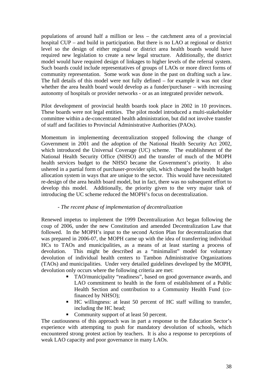populations of around half a million or less – the catchment area of a provincial hospital CUP – and build in participation. But there is no LAO at regional or district level so the design of either regional or district area health boards would have required new legislation to create a new legal structure. Additionally, the district model would have required design of linkages to higher levels of the referral system. Such boards could include representatives of groups of LAOs or more direct forms of community representation. Some work was done in the past on drafting such a law. The full details of this model were not fully defined – for example it was not clear whether the area health board would develop as a funder/purchaser – with increasing autonomy of hospitals or provider networks - or as an integrated provider network.

Pilot development of provincial health boards took place in 2002 in 10 provinces. These boards were not legal entities. The pilot model introduced a multi-stakeholder committee within a de-concentrated health administration, but did not involve transfer of staff and facilities to Provincial Administrative Authorities (PAOs).

Momentum in implementing decentralization stopped following the change of Government in 2001 and the adoption of the National Health Security Act 2002, which introduced the Universal Coverage (UC) scheme. The establishment of the National Health Security Office (NHSO) and the transfer of much of the MOPH health services budget to the NHSO became the Government's priority. It also ushered in a partial form of purchaser-provider split, which changed the health budget allocation system in ways that are unique to the sector. This would have necessitated re-design of the area health board model, but in fact, there was no subsequent effort to develop this model. Additionally, the priority given to the very major task of introducing the UC scheme reduced the MOPH's focus on decentralization.

#### *- The recent phase of implementation of decentralization*

Renewed impetus to implement the 1999 Decentralization Act began following the coup of 2006, under the new Constitution and amended Decentralization Law that followed. In the MOPH's input to the second Action Plan for decentralization that was prepared in 2006-07, the MOPH came up with the idea of transferring individual HCs to TAOs and municipalities, as a means of at least starting a process of devolution. This might be described as a "minimalist" model for voluntary devolution of individual health centers to Tambon Administrative Organizations (TAOs) and municipalities. Under very detailed guidelines developed by the MOPH, devolution only occurs where the following criteria are met:

- TAO/municipality "readiness", based on good governance awards, and LAO commitment to health in the form of establishment of a Public Health Section and contribution to a Community Health Fund (cofinanced by NHSO);
- HC willingness: at least 50 percent of HC staff willing to transfer, including the HC head;
- Community support of at least 50 percent.

The cautiousness of this approach was in part a response to the Education Sector's experience with attempting to push for mandatory devolution of schools, which encountered strong protest action by teachers. It is also a response to perceptions of weak LAO capacity and poor governance in many LAOs.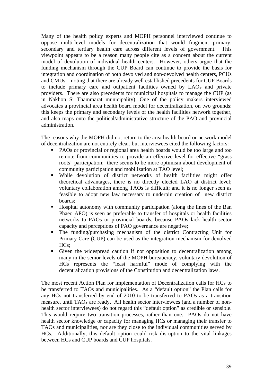Many of the health policy experts and MOPH personnel interviewed continue to oppose multi-level models for decentralization that would fragment primary, secondary and tertiary health care across different levels of government. This viewpoint appears to be a reason many people cite as a concern about the current model of devolution of individual health centers. However, others argue that the funding mechanism through the CUP Board can continue to provide the basis for integration and coordination of both devolved and non-devolved health centers, PCUs and CMUs – noting that there are already well established precedents for CUP Boards to include primary care and outpatient facilities owned by LAOs and private providers. There are also precedents for municipal hospitals to manage the CUP (as in Nakhon Si Thammarat municipality). One of the policy makers interviewed advocates a provincial area health board model for decentralization, on two grounds: this keeps the primary and secondary levels of the health facilities network together, and also maps onto the political/administrative structure of the PAO and provincial administration.

The reasons why the MOPH did not return to the area health board or network model of decentralization are not entirely clear, but interviewees cited the following factors:

- PAOs or provincial or regional area health boards would be too large and too remote from communities to provide an effective level for effective "grass roots" participation; there seems to be more optimism about development of community participation and mobilization at TAO level;
- While devolution of district networks of health facilities might offer theoretical advantages, there is no directly elected LAO at district level; voluntary collaboration among TAOs is difficult; and it is no longer seen as feasible to adopt new law necessary to underpin creation of new district boards;
- Hospital autonomy with community participation (along the lines of the Ban Phaeo APO) is seen as preferable to transfer of hospitals or health facilities networks to PAOs or provincial boards, because PAOs lack health sector capacity and perceptions of PAO governance are negative;
- The funding/purchasing mechanism of the district Contracting Unit for Primary Care (CUP) can be used as the integration mechanism for devolved HCs;
- Given the widespread caution if not opposition to decentralization among many in the senior levels of the MOPH bureaucracy, voluntary devolution of HCs represents the "least harmful" mode of complying with the decentralization provisions of the Constitution and decentralization laws.

The most recent Action Plan for implementation of Decentralization calls for HCs to be transferred to TAOs and municipalities. As a "default option" the Plan calls for any HCs not transferred by end of 2010 to be transferred to PAOs as a transition measure, until TAOs are ready. All health sector interviewees (and a number of nonhealth sector interviewees) do not regard this "default option" as credible or sensible. This would require two transition processes, rather than one. PAOs do not have health sector knowledge or capacity for managing HCs or managing their transfer to TAOs and municipalities, nor are they close to the individual communities served by HCs. Additionally, this default option could risk disruption to the vital linkages between HCs and CUP boards and CUP hospitals.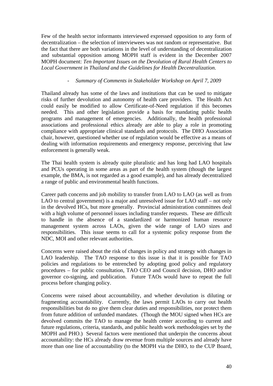Few of the health sector informants interviewed expressed opposition to any form of decentralization – the selection of interviewees was not random or representative. But the fact that there are both variations in the level of understanding of decentralization and substantial opposition among MOPH staff is evident in the December 2007 MOPH document: *Ten Important Issues on the Devolution of Rural Health Centers to Local Government in Thailand and the Guidelines for Health Decentralization*.

## *- Summary of Comments in Stakeholder Workshop on April 7, 2009*

Thailand already has some of the laws and institutions that can be used to mitigate risks of further devolution and autonomy of health care providers. The Health Act could easily be modified to allow Certificate-of-Need regulation if this becomes needed. This and other legislation provide a basis for mandating public health programs and management of emergencies. Additionally, the health professional associations and professional ethics already are able to play a role in promoting compliance with appropriate clinical standards and protocols. The DHO Association chair, however, questioned whether use of regulation would be effective as a means of dealing with information requirements and emergency response, perceiving that law enforcement is generally weak.

The Thai health system is already quite pluralistic and has long had LAO hospitals and PCUs operating in some areas as part of the health system (though the largest example, the BMA, is not regarded as a good example), and has already decentralized a range of public and environmental health functions.

Career path concerns and job mobility to transfer from LAO to LAO (as well as from LAO to central government) is a major and unresolved issue for LAO staff – not only in the devolved HCs, but more generally. Provincial administration committees deal with a high volume of personnel issues including transfer requests. These are difficult to handle in the absence of a standardized or harmonized human resource management system across LAOs, given the wide range of LAO sizes and responsibilities. This issue seems to call for a systemic policy response from the NDC, MOI and other relevant authorities.

Concerns were raised about the risk of changes in policy and strategy with changes in LAO leadership. The TAO response to this issue is that it is possible for TAO policies and regulations to be entrenched by adopting good policy and regulatory procedures – for public consultation, TAO CEO and Council decision, DHO and/or governor co-signing, and publication. Future TAOs would have to repeat the full process before changing policy.

Concerns were raised about accountability, and whether devolution is diluting or fragmenting accountability. Currently, the laws permit LAOs to carry out health responsibilities but do no give them clear duties and responsibilities, nor protect them from future addition of unfunded mandates. (Though the MOU signed when HCs are devolved commits the TAO to manage the health center according to current and future regulations, criteria, standards, and public health work methodologies set by the MOPH and PHO.) Several factors were mentioned that underpin the concerns about accountability: the HCs already draw revenue from multiple sources and already have more than one line of accountability (to the MOPH via the DHO, to the CUP Board,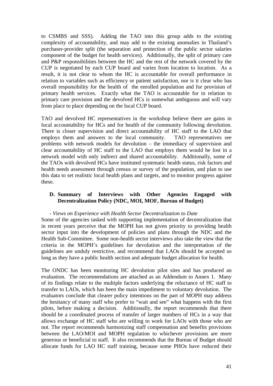to CSMBS and SSS). Adding the TAO into this group adds to the existing complexity of accountability, and may add to the existing anomalies in Thailand's purchaser-provider split (the separation and protection of the public sector salaries component of the budget for health services). Additionally, the split of primary care and P&P responsibilities between the HC and the rest of the network covered by the CUP is negotiated by each CUP board and varies from location to location. As a result, it is not clear to whom the HC is accountable for overall performance in relation to variables such as efficiency or patient satisfaction, nor is it clear who has overall responsibility for the health of the enrolled population and for provision of primary health services. Exactly what the TAO is accountable for in relation to primary care provision and the devolved HCs is somewhat ambiguous and will vary from place to place depending on the local CUP board.

TAO and devolved HC representatives in the workshop believe there are gains in local accountability for HCs and for health of the community following devolution. There is closer supervision and direct accountability of HC staff to the LAO that employs them and answers to the local community. TAO representatives see problems with network models for devolution – the immediacy of supervision and clear accountability of HC staff to the LAO that employs them would be lost in a network model with only indirect and shared accountability. Additionally, some of the TAOs with devolved HCs have instituted systematic health status, risk factors and health needs assessment through census or survey of the population, and plan to use this data to set realistic local health plans and targets, and to monitor progress against these.

## **D. Summary of Interviews with Other Agencies Engaged with Decentralization Policy (NDC, MOI, MOF, Bureau of Budget)**

#### *- Views on Experience with Health Sector Decentralization to Date*

Some of the agencies tasked with supporting implementation of decentralization that in recent years perceive that the MOPH has not given priority to providing health sector input into the development of policies and plans through the NDC and the Health Sub-Committee. Some non-health sector interviews also take the view that the criteria in the MOPH's guidelines for devolution and the interpretation of the guidelines are unduly restrictive, and recommend that LAOs should be accepted so long as they have a public health section and adequate budget allocation for health.

The ONDC has been monitoring HC devolution pilot sites and has produced an evaluation. The recommendations are attached as an Addendum to Annex 1. Many of its findings relate to the multiple factors underlying the reluctance of HC staff to transfer to LAOs, which has been the main impediment to voluntary devolution. The evaluators conclude that clearer policy intentions on the part of MOPH may address the hesitancy of many staff who prefer to "wait and see" what happens with the first pilots, before making a decision. Additionally, the report recommends that there should be a coordinated process of transfer of larger numbers of HCs in a way that allows exchange of HC staff who are willing to work for LAOs with those who are not. The report recommends harmonizing staff compensation and benefits provisions between the LAO/MOI and MOPH regulation to whichever provisions are more generous or beneficial to staff. It also recommends that the Bureau of Budget should allocate funds for LAO HC staff training, because some PHOs have reduced their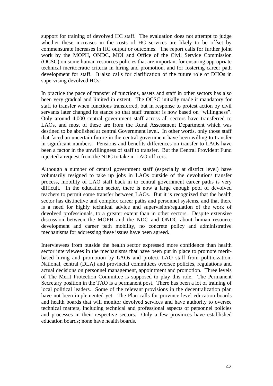support for training of devolved HC staff. The evaluation does not attempt to judge whether these increases in the costs of HC services are likely to be offset by commensurate increases in HC output or outcomes. The report calls for further joint work by the MOPH, ONDC, MOI and Office of the Civil Service Commission (OCSC) on some human resources policies that are important for ensuring appropriate technical meritocratic criteria in hiring and promotion, and for fostering career path development for staff. It also calls for clarification of the future role of DHOs in supervising devolved HCs.

In practice the pace of transfer of functions, assets and staff in other sectors has also been very gradual and limited in extent. The OCSC initially made it mandatory for staff to transfer when functions transferred, but in response to protest action by civil servants later changed its stance so that staff transfer is now based on "willingness". Only around 4,000 central government staff across all sectors have transferred to LAOs, and most of these are from the Rural Assessment Department which was destined to be abolished at central Government level. In other words, only those staff that faced an uncertain future in the central government have been willing to transfer in significant numbers. Pensions and benefits differences on transfer to LAOs have been a factor in the unwillingness of staff to transfer. But the Central Provident Fund rejected a request from the NDC to take in LAO officers.

Although a number of central government staff (especially at district level) have voluntarily resigned to take up jobs in LAOs outside of the devolution/ transfer process, mobility of LAO staff back in to central government career paths is very difficult. In the education sector, there is now a large enough pool of devolved teachers to permit some transfer between LAOs. But it is recognized that the health sector has distinctive and complex career paths and personnel systems, and that there is a need for highly technical advice and supervision/regulation of the work of devolved professionals, to a greater extent than in other sectors. Despite extensive discussion between the MOPH and the NDC and ONDC about human resource development and career path mobility, no concrete policy and administrative mechanisms for addressing these issues have been agreed.

Interviewees from outside the health sector expressed more confidence than health sector interviewees in the mechanisms that have been put in place to promote meritbased hiring and promotion by LAOs and protect LAO staff from politicization. National, central (DLA) and provincial committees oversee policies, regulations and actual decisions on personnel management, appointment and promotion. Three levels of The Merit Protection Committee is supposed to play this role. The Permanent Secretary position in the TAO is a permanent post. There has been a lot of training of local political leaders. Some of the relevant provisions in the decentralization plan have not been implemented yet. The Plan calls for province-level education boards and health boards that will monitor devolved services and have authority to oversee technical matters, including technical and professional aspects of personnel policies and processes in their respective sectors. Only a few provinces have established education boards; none have health boards.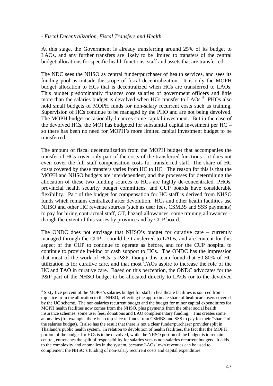#### <span id="page-42-0"></span>*- Fiscal Decentralization, Fiscal Transfers and Health*

At this stage, the Government is already transferring around 25% of its budget to LAOs, and any further transfers are likely to be limited to transfers of the central budget allocations for specific health functions, staff and assets that are transferred.

The NDC sees the NHSO as central funder/purchaser of health services, and sees its funding pool as outside the scope of fiscal decentralization. It is only the MOPH budget allocation to HCs that is decentralized when HCs are transferred to LAOs. This budget predominantly finances core salaries of government officers and little more than the salaries budget is devolved when HCs transfer to LAOs.<sup>[4](#page-42-0)</sup> PHOs also hold small budgets of MOPH funds for non-salary recurrent costs such as training. Supervision of HCs continue to be managed by the PHO and are not being devolved. The MOPH budget occasionally finances some capital investment. But in the case of the devolved HCs, the MOI has budgeted for substantial capital investment per HC – so there has been no need for MOPH's more limited capital investment budget to be transferred.

The amount of fiscal decentralization from the MOPH budget that accompanies the transfer of HCs cover only part of the costs of the transferred functions – it does not even cover the full staff compensation costs for transferred staff. The share of HC costs covered by these transfers varies from HC to HC. The reason for this is that the MOPH and NHSO budgets are interdependent, and the processes for determining the allocation of these two funding sources to HCs are highly de-concentrated. PHOs, provincial health security budget committees, and CUP boards have considerable flexibility. Part of the budget for compensation for HC staff is derived from NHSO funds which remains centralized after devolution. HCs and other health facilities use NHSO and other HC revenue sources (such as user fees, CSMBS and SSS payments) to pay for hiring contractual staff, OT, hazard allowances, some training allowances – though the extent of this varies by province and by CUP board.

The ONDC does not envisage that NHSO's budget for curative care – currently managed through the CUP – should be transferred to LAOs, and are content for this aspect of the CUP to continue to operate as before, and for the CUP hospital to continue to provide in-kind or cash support to HCs. The ONDC has the impression that most of the work of HCs is P&P, though this team found that 50-80% of HC utilization is for curative care, and that most TAOs aspire to increase the role of the HC and TAO in curative care. Based on this perception, the ONDC advocates for the P&P part of the NHSO budget to be allocated directly to LAOs (or to the devolved

1

<sup>&</sup>lt;sup>4</sup> Sixty five percent of the MOPH's salaries budget for staff in healthcare facilities is sourced from a top-slice from the allocation to the NHSO, reflecting the approximate share of healthcare users covered by the UC scheme. The non-salaries recurrent budget and the budget for minor capital expenditures for MOPH health facilities now comes from the NHSO, plus payments from the other social health insurance schemes, some user fees, donations and LAO complementary funding. This creates some anomalies (for example, there is no top-slice of funds from CSMBS and SSS to pay for their "share" of the salaries budget). It also has the result that there is not a clear funder/purchaser provider split in Thailand's public health system. In relation to devolution of health facilities, the fact that the MOPH portion of the budget for HCs is to be devolved, while the NHSO portion of the budget is to remain central, entrenches the split of responsibility for salaries versus non-salaries recurrent budgets. It adds to the complexity and anomalies in the system, because LAOs' own revenues can be used to complement the NHSO's funding of non-salary recurrent costs and capital expenditure.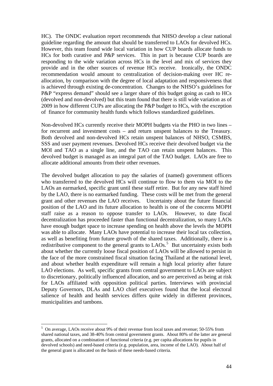<span id="page-43-0"></span>HC). The ONDC evaluation report recommends that NHSO develop a clear national guideline regarding the amount that should be transferred to LAOs for devolved HCs. However, this team found wide local variation in how CUP boards allocate funds to HCs for both curative and P&P services. This in part is because CUP boards are responding to the wide variation across HCs in the level and mix of services they provide and in the other sources of revenue HCs receive. Ironically, the ONDC recommendation would amount to centralization of decision-making over HC reallocation, by comparison with the degree of local adaptation and responsiveness that is achieved through existing de-concentration. Changes to the NHSO's guidelines for P&P "express demand" should see a larger share of this budget going as cash to HCs (devolved and non-devolved) but this team found that there is still wide variation as of 2009 in how different CUPs are allocating the P&P budget to HCs, with the exception of finance for community health funds which follows standardized guidelines.

Non-devolved HCs currently receive their MOPH budgets via the PHO in two lines – for recurrent and investment costs – and return unspent balances to the Treasury. Both devolved and non-devolved HCs retain unspent balances of NHSO, CSMBS, SSS and user payment revenues. Devolved HCs receive their devolved budget via the MOI and TAO as a single line, and the TAO can retain unspent balances. This devolved budget is managed as an integral part of the TAO budget. LAOs are free to allocate additional amounts from their other revenues.

The devolved budget allocation to pay the salaries of (named) government officers who transferred to the devolved HCs will continue to flow to them via MOI to the LAOs an earmarked, specific grant until these staff retire. But for any new staff hired by the LAO, there is no earmarked funding. These costs will be met from the general grant and other revenues the LAO receives. Uncertainty about the future financial position of the LAO and its future allocation to health is one of the concerns MOPH staff raise as a reason to oppose transfer to LAOs. However, to date fiscal decentralization has proceeded faster than functional decentralization, so many LAOs have enough budget space to increase spending on health above the levels the MOPH was able to allocate. Many LAOs have potential to increase their local tax collection, as well as benefiting from future growth of the shared taxes. Additionally, there is a redistributive component to the general grants to  $LAOs<sup>5</sup>$  $LAOs<sup>5</sup>$  $LAOs<sup>5</sup>$ . But uncertainty exists both about whether the currently loose fiscal position of LAOs will be allowed to persist in the face of the more constrained fiscal situation facing Thailand at the national level, and about whether health expenditure will remain a high local priority after future LAO elections. As well, specific grants from central government to LAOs are subject to discretionary, politically influenced allocation, and so are perceived as being at risk for LAOs affiliated with opposition political parties. Interviews with provincial Deputy Governors, DLAs and LAO chief executives found that the local electoral salience of health and health services differs quite widely in different provinces, municipalities and tambons.

<u>.</u>

<sup>&</sup>lt;sup>5</sup> On average, LAOs receive about 9% of their revenue from local taxes and revenue; 50-55% from shared national taxes, and 38-40% from central government grants. About 80% of the latter are general grants, allocated on a combination of functional criteria (e.g. per capita allocations for pupils in devolved schools) and need-based criteria (e.g. population, area, income of the LAO). About half of the general grant is allocated on the basis of these needs-based criteria.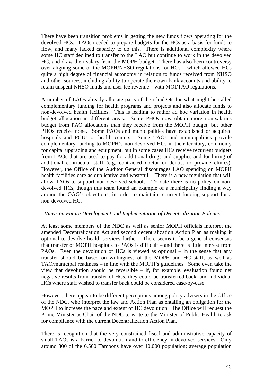There have been transition problems in getting the new funds flows operating for the devolved HCs. TAOs needed to prepare budgets for the HCs as a basis for funds to flow, and many lacked capacity to do this. There is additional complexity where some HC staff declined to transfer to the LAO but continue to work in the devolved HC, and draw their salary from the MOPH budget. There has also been controversy over aligning some of the MOPH/NHSO regulations for HCs – which allowed HCs quite a high degree of financial autonomy in relation to funds received from NHSO and other sources, including ability to operate their own bank accounts and ability to retain unspent NHSO funds and user fee revenue – with MOI/TAO regulations.

A number of LAOs already allocate parts of their budgets for what might be called complementary funding for health programs and projects and also allocate funds to non-devolved health facilities. This is leading to rather ad hoc variation in health budget allocation in different areas. Some PHOs now obtain more non-salaries budget from PAO allocations than they receive from the MOPH budget, but other PHOs receive none. Some PAOs and municipalities have established or acquired hospitals and PCUs or health centers. Some TAOs and municipalities provide complementary funding to MOPH's non-devolved HCs in their territory, commonly for capital upgrading and equipment, but in some cases HCs receive recurrent budgets from LAOs that are used to pay for additional drugs and supplies and for hiring of additional contractual staff (e.g. contracted doctor or dentist to provide clinics). However, the Office of the Auditor General discourages LAO spending on MOPH health facilities care as duplicative and wasteful. There is a new regulation that will allow TAOs to support non-devolved schools. To date there is no policy on nondevolved HCs, though this team found an example of a municipality finding a way around the OAG's objections, in order to maintain recurrent funding support for a non-devolved HC.

#### - *Views on Future Development and Implementation of Decentralization Policies*

At least some members of the NDC as well as senior MOPH officials interpret the amended Decentralization Act and second decentralization Action Plan as making it optional to devolve health services further. There seems to be a general consensus that transfer of MOPH hospitals to PAOs is difficult – and there is little interest from PAOs. Even the devolution of HCs is viewed as optional – in the sense that any transfer should be based on willingness of the MOPH and HC staff, as well as TAO/municipal readiness – in line with the MOPH's guidelines. Some even take the view that devolution should be reversible – if, for example, evaluation found net negative results from transfer of HCs, they could be transferred back; and individual HCs where staff wished to transfer back could be considered case-by-case.

However, there appear to be different perceptions among policy advisers in the Office of the NDC, who interpret the law and Action Plan as entailing an obligation for the MOPH to increase the pace and extent of HC devolution. The Office will request the Prime Minister as Chair of the NDC to write to the Minister of Public Health to ask for compliance with the current Decentralization Action Plan.

There is recognition that the very constrained fiscal and administrative capacity of small TAOs is a barrier to devolution and to efficiency in devolved services. Only around 800 of the 6,500 Tambons have over 10,000 population; average population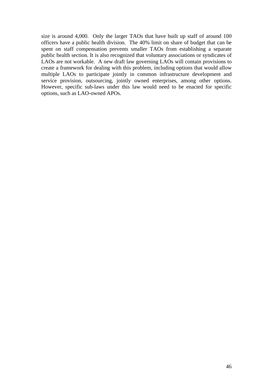size is around 4,000. Only the larger TAOs that have built up staff of around 100 officers have a public health division. The 40% limit on share of budget that can be spent on staff compensation prevents smaller TAOs from establishing a separate public health section. It is also recognized that voluntary associations or syndicates of LAOs are not workable. A new draft law governing LAOs will contain provisions to create a framework for dealing with this problem, including options that would allow multiple LAOs to participate jointly in common infrastructure development and service provision, outsourcing, jointly owned enterprises, among other options. However, specific sub-laws under this law would need to be enacted for specific options, such as LAO-owned APOs.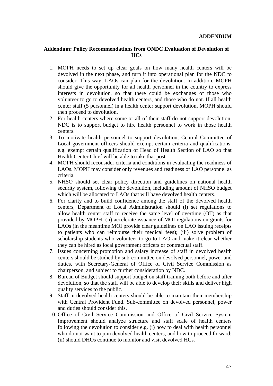### **Addendum: Policy Recommendations from ONDC Evaluation of Devolution of HCs**

- 1. MOPH needs to set up clear goals on how many health centers will be devolved in the next phase, and turn it into operational plan for the NDC to consider. This way, LAOs can plan for the devolution. In addition, MOPH should give the opportunity for all health personnel in the country to express interests in devolution, so that there could be exchanges of those who volunteer to go to devolved health centers, and those who do not. If all health center staff (5 personnel) in a health center support devolution, MOPH should then proceed to devolution.
- 2. For health centers where some or all of their staff do not support devolution, NDC is to support budget to hire health personnel to work in those health centers.
- 3. To motivate health personnel to support devolution, Central Committee of Local government officers should exempt certain criteria and qualifications, e.g. exempt certain qualification of Head of Health Section of LAO so that Health Center Chief will be able to take that post.
- 4. MOPH should reconsider criteria and conditions in evaluating the readiness of LAOs. MOPH may consider only revenues and readiness of LAO personnel as criteria.
- 5. NHSO should set clear policy direction and guidelines on national health security system, following the devolution, including amount of NHSO budget which will be allocated to LAOs that will have devolved health centers.
- 6. For clarity and to build confidence among the staff of the devolved health centers, Department of Local Administration should (i) set regulations to allow health center staff to receive the same level of overtime (OT) as that provided by MOPH; (ii) accelerate issuance of MOI regulations on grants for LAOs (in the meantime MOI provide clear guidelines on LAO issuing receipts to patients who can reimburse their medical fees); (iii) solve problem of scholarship students who volunteer to go to LAO and make it clear whether they can be hired as local government officers or contractual staff.
- 7. Issues concerning promotion and salary increase of staff in devolved health centers should be studied by sub-committee on devolved personnel, power and duties, with Secretary-General of Office of Civil Service Commission as chairperson, and subject to further consideration by NDC.
- 8. Bureau of Budget should support budget on staff training both before and after devolution, so that the staff will be able to develop their skills and deliver high quality services to the public.
- 9. Staff in devolved health centers should be able to maintain their membership with Central Provident Fund. Sub-committee on devolved personnel, power and duties should consider this.
- 10. Office of Civil Service Commission and Office of Civil Service System Improvement should analyze structure and staff scale of health centers following the devolution to consider e.g. (i) how to deal with health personnel who do not want to join devolved health centers, and how to proceed forward; (ii) should DHOs continue to monitor and visit devolved HCs.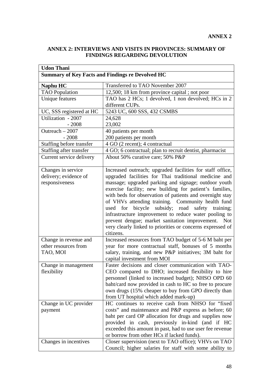# **ANNEX 2: INTERVIEWS AND VISITS IN PROVINCES: SUMMARY OF FINDINGS REGARDING DEVOLUTION**

| <b>Udon Thani</b>        |                                                            |
|--------------------------|------------------------------------------------------------|
|                          | <b>Summary of Key Facts and Findings re Devolved HC</b>    |
| Naphu HC                 | Transferred to TAO November 2007                           |
| <b>TAO</b> Population    | 12,500; 18 km from province capital; not poor              |
| Unique features          | TAO has 2 HCs; 1 devolved, 1 non devolved; HCs in 2        |
|                          | different CUPs.                                            |
| UC, SSS registered at HC | 5243 UC, 600 SSS, 432 CSMBS                                |
| Utilization - 2007       | 24,628                                                     |
| $-2008$                  | 23,002                                                     |
| Outreach - 2007          | 40 patients per month                                      |
| $-2008$                  | 200 patients per month                                     |
| Staffing before transfer | $\overline{4}$ GO (2 recent); 4 contractual                |
| Staffing after transfer  | 4 GO; 6 contractual; plan to recruit dentist, pharmacist   |
| Current service delivery | About 50% curative care; 50% P&P                           |
|                          |                                                            |
| Changes in service       | Increased outreach; upgraded facilities for staff office,  |
| delivery; evidence of    | upgraded facilities for Thai traditional medicine and      |
| responsiveness           | massage; upgraded parking and signage; outdoor youth       |
|                          | exercise facility; new building for patient's families,    |
|                          | with beds for observation of patients and overnight stay   |
|                          | of VHVs attending training. Community health fund          |
|                          | used for bicycle subsidy; road<br>safety<br>training;      |
|                          | infrastructure improvement to reduce water pooling to      |
|                          | prevent dengue; market sanitation improvement.<br>Not      |
|                          | very clearly linked to priorities or concerns expressed of |
|                          | citizens.                                                  |
| Change in revenue and    | Increased resources from TAO budget of 5-6 M baht per      |
| other resources from     | year for more contractual staff, bonuses of 5 months       |
| TAO, MOI                 | salary, training, and new P&P initiatives; 3M baht for     |
|                          | capital investment from MOI                                |
| Change in management     | Faster decisions and closer communication with TAO-        |
| flexibility              | CEO compared to DHO; increased flexibility to hire         |
|                          | personnel (linked to increased budget); NHSO OPD 60        |
|                          | baht/card now provided in cash to HC so free to procure    |
|                          | own drugs (15% cheaper to buy from GPO directly than       |
|                          | from UT hospital which added mark-up)                      |
| Change in UC provider    | HC continues to receive cash from NHSO for "fixed          |
| payment                  | costs" and maintenance and P&P express as before; 60       |
|                          | baht per card OP allocation for drugs and supplies now     |
|                          | provided in cash, previously in-kind (and if HC            |
|                          | exceeded this amount in past, had to use user fee revenue  |
|                          | or borrow from other HCs if lacked funds).                 |
| Changes in incentives    | Closer supervision (next to TAO office); VHVs on TAO       |
|                          | Council; higher salaries for staff with some ability to    |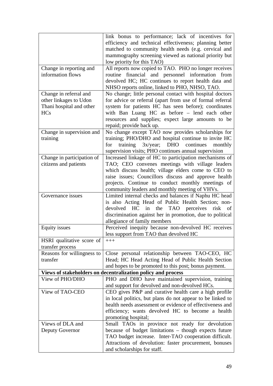|                            | link bonus to performance; lack of incentives for                                     |
|----------------------------|---------------------------------------------------------------------------------------|
|                            | efficiency and technical effectiveness; planning better                               |
|                            | matched to community health needs (e.g. cervical and                                  |
|                            | mammography screening viewed as national priority but                                 |
|                            | low priority for this TAO)                                                            |
| Change in reporting and    | All reports now copied to TAO. PHO no longer receives                                 |
| information flows          | routine financial and personnel information from                                      |
|                            | devolved HC; HC continues to report health data and                                   |
|                            | NHSO reports online, linked to PHO, NHSO, TAO.                                        |
| Change in referral and     | No change; little personal contact with hospital doctors                              |
| other linkages to Udon     | for advice or referral (apart from use of formal referral                             |
| Thani hospital and other   | system for patients HC has seen before); coordinates                                  |
| <b>HCs</b>                 | with Ban Luang HC as before - lend each other                                         |
|                            | resources and supplies; expect large amounts to be                                    |
|                            | repaid; provide back up.                                                              |
| Change in supervision and  | No change except TAO now provides scholarships for                                    |
| training                   | training; PHO/DHO and hospital continue to invite HC                                  |
|                            | training $3x/year$ ; DHO continues<br>for<br>monthly                                  |
|                            | supervision visits; PHO continues annual supervision                                  |
| Change in participation of | Increased linkage of HC to participation mechanisms of                                |
| citizens and patients      | TAO; CEO convenes meetings with village leaders                                       |
|                            | which discuss health; village elders come to CEO to                                   |
|                            | raise issues; Councillors discuss and approve health                                  |
|                            | projects. Continue to conduct monthly meetings of                                     |
|                            | community leaders and monthly meeting of VHVs.                                        |
| Governance issues          | Limited internal checks and balances if Naphu HC head                                 |
|                            |                                                                                       |
|                            | is also Acting Head of Public Health Section; non-                                    |
|                            | devolved HC<br>in<br>the<br>TAO perceives<br>risk<br>of                               |
|                            | discrimination against her in promotion, due to political                             |
|                            | allegiance of family members                                                          |
| <b>Equity</b> issues       | Perceived inequity because non-devolved HC receives                                   |
|                            | less support from TAO than devolved HC                                                |
| HSRI qualitative score of  | $+++$                                                                                 |
| transfer process           |                                                                                       |
| Reasons for willingness to | Close personal relationship between TAO-CEO, HC                                       |
| transfer                   | Head; HC Head Acting Head of Public Health Section                                    |
|                            | and hopes to be promoted to this post; bonus payment.                                 |
|                            | Views of stakeholders on decentralization policy and process                          |
| View of PHO/DHO            | PHO and DHO have maintained supervision, training                                     |
|                            | and support for devolved and non-devolved HCs.                                        |
| View of TAO-CEO            | CEO gives P&P and curative health care a high profile                                 |
|                            | in local politics, but plans do not appear to be linked to                            |
|                            | health needs assessment or evidence of effectiveness and                              |
|                            | efficiency; wants devolved HC to become a health                                      |
|                            | promoting hospital;                                                                   |
| Views of DLA and           | Small TAOs in province not ready for devolution                                       |
| Deputy Governor            | because of budget limitations – though expects future                                 |
|                            | TAO budget increase. Inter-TAO cooperation difficult.                                 |
|                            | Attractions of devolution: faster procurement, bonuses<br>and scholarships for staff. |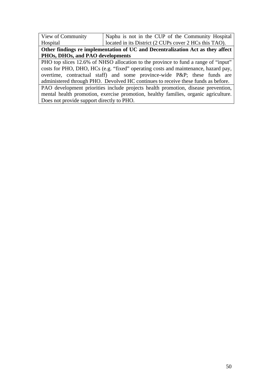| View of Community                                                  | Naphu is not in the CUP of the Community Hospital |
|--------------------------------------------------------------------|---------------------------------------------------|
| located in its District (2 CUPs cover 2 HCs this TAO).<br>Hospital |                                                   |

**Other findings re implementation of UC and Decentralization Act as they affect PHOs, DHOs, and PAO developments** 

PHO top slices 12.6% of NHSO allocation to the province to fund a range of "input" costs for PHO, DHO, HCs (e.g. "fixed" operating costs and maintenance, hazard pay, overtime, contractual staff) and some province-wide P&P; these funds are administered through PHO. Devolved HC continues to receive these funds as before. PAO development priorities include projects health promotion, disease prevention,

mental health promotion, exercise promotion, healthy families, organic agriculture. Does not provide support directly to PHO.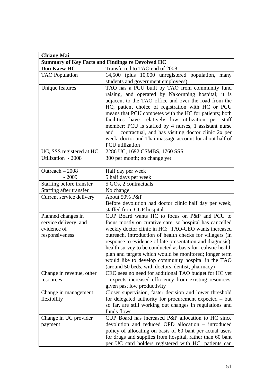| <b>Chiang Mai</b>                                                            |                                                                                                                                                                                                                                                                                                                                                                                                                                                                                                                                                 |
|------------------------------------------------------------------------------|-------------------------------------------------------------------------------------------------------------------------------------------------------------------------------------------------------------------------------------------------------------------------------------------------------------------------------------------------------------------------------------------------------------------------------------------------------------------------------------------------------------------------------------------------|
|                                                                              | <b>Summary of Key Facts and Findings re Devolved HC</b>                                                                                                                                                                                                                                                                                                                                                                                                                                                                                         |
| <b>Don Kaew HC</b>                                                           | Transferred to TAO end of 2008                                                                                                                                                                                                                                                                                                                                                                                                                                                                                                                  |
| <b>TAO</b> Population                                                        | 14,500 (plus 10,000 unregistered population, many                                                                                                                                                                                                                                                                                                                                                                                                                                                                                               |
|                                                                              | students and government employees)                                                                                                                                                                                                                                                                                                                                                                                                                                                                                                              |
| Unique features                                                              | TAO has a PCU built by TAO from community fund<br>raising, and operated by Nakornping hospital; it is<br>adjacent to the TAO office and over the road from the<br>HC; patient choice of registration with HC or PCU<br>means that PCU competes with the HC for patients; both<br>facilities have relatively low utilization per staff<br>member; PCU is staffed by 4 nurses, 1 assistant nurse<br>and 1 contractual, and has visiting doctor clinic 2x per<br>week; doctor and Thai massage account for about half of<br><b>PCU</b> utilization |
| UC, SSS registered at HC                                                     | 2286 UC, 1692 CSMBS, 1760 SSS                                                                                                                                                                                                                                                                                                                                                                                                                                                                                                                   |
| Utilization - 2008                                                           | 300 per month; no change yet                                                                                                                                                                                                                                                                                                                                                                                                                                                                                                                    |
| Outreach $-2008$<br>$-2009$                                                  | Half day per week<br>5 half days per week                                                                                                                                                                                                                                                                                                                                                                                                                                                                                                       |
| Staffing before transfer                                                     | 5 GOs, 2 contractuals                                                                                                                                                                                                                                                                                                                                                                                                                                                                                                                           |
| Staffing after transfer                                                      | No change                                                                                                                                                                                                                                                                                                                                                                                                                                                                                                                                       |
| Current service delivery                                                     | About 50% P&P<br>Before devolution had doctor clinic half day per week,<br>staffed from CUP hospital                                                                                                                                                                                                                                                                                                                                                                                                                                            |
| Planned changes in<br>service delivery, and<br>evidence of<br>responsiveness | CUP Board wants HC to focus on P&P and PCU to<br>focus mostly on curative care, so hospital has cancelled<br>weekly doctor clinic in HC; TAO-CEO wants increased<br>outreach, introduction of health checks for villagers (in<br>response to evidence of late presentation and diagnosis),<br>health survey to be conducted as basis for realistic health<br>plan and targets which would be monitored; longer term<br>would like to develop community hospital in the TAO<br>(around 50 beds, with doctors, dentist, pharmacy)                 |
| Change in revenue, other<br>resources                                        | CEO sees no need for additional TAO budget for HC yet<br>- expects increased efficiency from existing resources,<br>given past low productivity                                                                                                                                                                                                                                                                                                                                                                                                 |
| Change in management<br>flexibility                                          | Closer supervision, faster decision and lower threshold<br>for delegated authority for procurement expected – but<br>so far, are still working out changes in regulations and<br>funds flows                                                                                                                                                                                                                                                                                                                                                    |
| Change in UC provider<br>payment                                             | CUP Board has increased P&P allocation to HC since<br>devolution and reduced OPD allocation – introduced<br>policy of allocating on basis of 60 baht per actual users<br>for drugs and supplies from hospital, rather than 60 baht<br>per UC card holders registered with HC; patients can                                                                                                                                                                                                                                                      |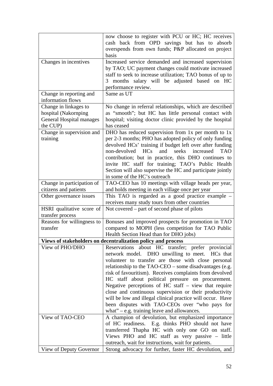|                                 | now choose to register with PCU or HC; HC receives                                                  |
|---------------------------------|-----------------------------------------------------------------------------------------------------|
|                                 | cash back from OPD savings but has to absorb                                                        |
|                                 | overspends from own funds; P&P allocated on project                                                 |
|                                 | basis                                                                                               |
| Changes in incentives           | Increased service demanded and increased supervision                                                |
|                                 | by TAO; UC payment changes could motivate increased                                                 |
|                                 | staff to seek to increase utilization; TAO bonus of up to                                           |
|                                 | months salary will be adjusted based on HC<br>3                                                     |
|                                 | performance review.                                                                                 |
| Change in reporting and         | Same as UT                                                                                          |
| information flows               |                                                                                                     |
| Change in linkages to           | No change in referral relationships, which are described                                            |
| hospital (Nakornping            | as "smooth"; but HC has little personal contact with                                                |
| <b>General Hospital manages</b> | hospital; visiting doctor clinic provided by the hospital                                           |
| the CUP)                        | has ceased                                                                                          |
| Change in supervision and       | DHO has reduced supervision from 1x per month to 1x                                                 |
| training                        | per 2-3 months; PHO has adopted policy of only funding                                              |
|                                 | devolved HCs' training if budget left over after funding                                            |
|                                 | non-devolved HCs<br>and<br>seeks<br>increased<br><b>TAO</b>                                         |
|                                 | contribution; but in practice, this DHO continues to                                                |
|                                 | invite HC staff for training; TAO's Public Health                                                   |
|                                 | Section will also supervise the HC and participate jointly                                          |
|                                 | in some of the HC's outreach                                                                        |
| Change in participation of      | TAO-CEO has 10 meetings with village heads per year,                                                |
| citizens and patients           | and holds meeting in each village once per year                                                     |
| Other governance issues         | This TAO is regarded as a good practice example –                                                   |
|                                 | receives many study tours from other countries                                                      |
| HSRI qualitative score of       | Not covered – part of second phase of pilots                                                        |
| transfer process                |                                                                                                     |
| Reasons for willingness to      | Bonuses and improved prospects for promotion in TAO                                                 |
| transfer                        | compared to MOPH (less competition for TAO Public                                                   |
|                                 | Health Section Head than for DHO jobs)                                                              |
|                                 | Views of stakeholders on decentralization policy and process                                        |
| View of PHO/DHO                 | Reservations about HC transfer; prefer provincial                                                   |
|                                 | network model. DHO unwilling to meet. HCs that                                                      |
|                                 | volunteer to transfer are those with close personal                                                 |
|                                 | relationship to the TAO-CEO – some disadvantages (e.g.                                              |
|                                 | risk of favouritism). Receives complaints from devolved                                             |
|                                 | HC staff about political pressure on procurement.                                                   |
|                                 | Negative perceptions of HC staff - view that require                                                |
|                                 | close and continuous supervision or their productivity                                              |
|                                 | will be low and illegal clinical practice will occur. Have                                          |
|                                 | been disputes with TAO-CEOs over "who pays for                                                      |
|                                 | what" $-$ e.g. training leave and allowances.                                                       |
| View of TAO-CEO                 | A champion of devolution, but emphasized importance                                                 |
|                                 | of HC readiness. E.g. thinks PHO should not have                                                    |
|                                 | transferred Thapha HC with only one GO on staff.<br>Views PHO and HC staff as very passive - little |
|                                 | outreach, wait for instructions, wait for patients.                                                 |
| View of Deputy Governor         | Strong advocacy for further, faster HC devolution, and                                              |
|                                 |                                                                                                     |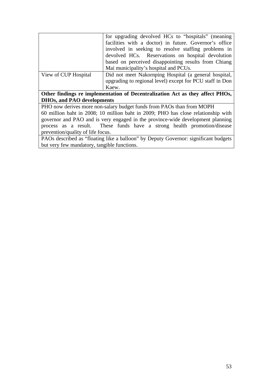|                                                                               | for upgrading devolved HCs to "hospitals" (meaning                                |
|-------------------------------------------------------------------------------|-----------------------------------------------------------------------------------|
|                                                                               | facilities with a doctor) in future. Governor's office                            |
|                                                                               | involved in seeking to resolve staffing problems in                               |
|                                                                               | devolved HCs. Reservations on hospital devolution                                 |
|                                                                               | based on perceived disappointing results from Chiang                              |
|                                                                               | Mai municipality's hospital and PCUs.                                             |
| View of CUP Hospital                                                          | Did not meet Nakornping Hospital (a general hospital,                             |
|                                                                               | upgrading to regional level) except for PCU staff in Don                          |
|                                                                               | Kaew.                                                                             |
| Other findings re implementation of Decentralization Act as they affect PHOs, |                                                                                   |
| <b>DHOs, and PAO developments</b>                                             |                                                                                   |
|                                                                               | PHO now derives more non-salary budget funds from PAOs than from MOPH             |
|                                                                               | 60 million baht in 2008; 10 million baht in 2009; PHO has close relationship with |
|                                                                               | governor and PAO and is very engaged in the province-wide development planning    |
|                                                                               | process as a result. These funds have a strong health promotion/disease           |
| prevention/quality of life focus.                                             |                                                                                   |

PAOs described as "floating like a balloon" by Deputy Governor: significant budgets but very few mandatory, tangible functions.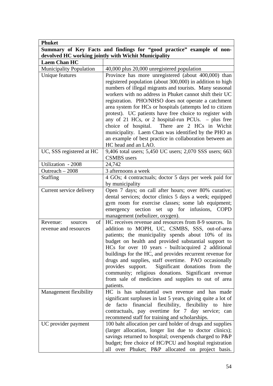| <b>Phuket</b>                                                         |                                                                                                               |  |
|-----------------------------------------------------------------------|---------------------------------------------------------------------------------------------------------------|--|
| Summary of Key Facts and findings for "good practice" example of non- |                                                                                                               |  |
| devolved HC working jointly with Wichit Municipality                  |                                                                                                               |  |
| <b>Laem Chan HC</b>                                                   |                                                                                                               |  |
| Municipality Population                                               | 40,000 plus 20,000 unregistered population                                                                    |  |
| Unique features                                                       | Province has more unregistered (about 400,000) than                                                           |  |
|                                                                       | registered population (about 300,000) in addition to high                                                     |  |
|                                                                       | numbers of illegal migrants and tourists. Many seasonal                                                       |  |
|                                                                       | workers with no address in Phuket cannot shift their UC                                                       |  |
|                                                                       | registration. PHO/NHSO does not operate a catchment                                                           |  |
|                                                                       | area system for HCs or hospitals (attempts led to citizen                                                     |  |
|                                                                       | protest). UC patients have free choice to register with                                                       |  |
|                                                                       | any of 21 HCs, or 2 hospital-run PCUs. - plus free<br>choice of hospital. There are 2 HCs in Wichit           |  |
|                                                                       | municipality. Laem Chan was identified by the PHO as                                                          |  |
|                                                                       | an example of best practice in collaboration between an                                                       |  |
|                                                                       | HC head and an LAO.                                                                                           |  |
| UC, SSS registered at HC                                              | 9,406 total users; 5,450 UC users; 2,070 SSS users; 663                                                       |  |
|                                                                       | <b>CSMBS</b> users                                                                                            |  |
| Utilization - 2008                                                    | 24,742                                                                                                        |  |
| Outreach - 2008                                                       | 3 afternoons a week                                                                                           |  |
| <b>Staffing</b>                                                       | 4 GOs; 4 contractuals; doctor 5 days per week paid for                                                        |  |
|                                                                       | by municipality                                                                                               |  |
| Current service delivery                                              | Open 7 days; on call after hours; over 80% curative;                                                          |  |
|                                                                       | dental services; doctor clinics 5 days a week; equipped<br>gym room for exercise classes; some lab equipment; |  |
|                                                                       | emergency section set up for infusions, COPD                                                                  |  |
|                                                                       | management (nebulizer, oxygen).                                                                               |  |
| Revenue:<br>$\sigma$<br>sources                                       | HC receives revenue and resources from 8-9 sources. In                                                        |  |
| revenue and resources                                                 | addition to MOPH, UC, CSMBS, SSS, out-of-area                                                                 |  |
|                                                                       | patients; the municipality spends about 10% of its                                                            |  |
|                                                                       | budget on health and provided substantial support to                                                          |  |
|                                                                       | HCs for over 10 years - built/acquired 2 additional                                                           |  |
|                                                                       | buildings for the HC, and provides recurrent revenue for                                                      |  |
|                                                                       | drugs and supplies, staff overtime. PAO occasionally                                                          |  |
|                                                                       | provides support. Significant donations from the                                                              |  |
|                                                                       | community; religious donations. Significant revenue<br>from sale of medicines and supplies to out of area     |  |
|                                                                       | patients.                                                                                                     |  |
| Management flexibility                                                | HC is has substantial own revenue and has made                                                                |  |
|                                                                       | significant surpluses in last 5 years, giving quite a lot of                                                  |  |
|                                                                       | facto financial flexibility, flexibility to hire<br>de                                                        |  |
|                                                                       | contractuals, pay overtime for 7 day service; can                                                             |  |
|                                                                       | recommend staff for training and scholarships.                                                                |  |
| UC provider payment                                                   | 100 baht allocation per card holder of drugs and supplies                                                     |  |
|                                                                       | (larger allocation, longer list due to doctor clinics);                                                       |  |
|                                                                       | savings returned to hospital; overspends charged to P&P                                                       |  |
|                                                                       | budget; free choice of HC/PCU and hospital registration                                                       |  |
|                                                                       | over Phuket; P&P allocated on project basis.<br>all                                                           |  |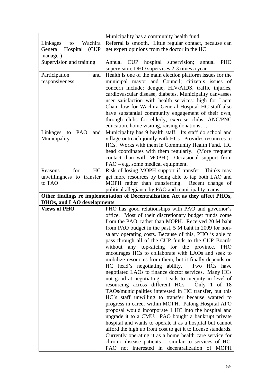|                                   | Municipality has a community health fund.                                                                     |
|-----------------------------------|---------------------------------------------------------------------------------------------------------------|
| Wachira<br>Linkages<br>to         | Referral is smooth. Little regular contact, because can                                                       |
| (CUP)<br>General<br>Hospital      | get expert opinions from the doctor in the HC                                                                 |
| manager)                          |                                                                                                               |
| Supervision and training          | CUP hospital supervision;<br>PHO<br>annual<br>Annual<br>supervision; DHO supervises 2-3 times a year          |
| Participation<br>and              | Health is one of the main election platform issues for the                                                    |
| responsiveness                    | municipal mayor and Council; citizen's issues of                                                              |
|                                   | concern include: dengue, HIV/AIDS, traffic injuries,                                                          |
|                                   | cardiovascular disease, diabetes. Municipality canvasses                                                      |
|                                   | user satisfaction with health services: high for Laem                                                         |
|                                   | Chan; low for Wachira General Hospital HC staff also                                                          |
|                                   | have substantial community engagement of their own,                                                           |
|                                   | through clubs for elderly, exercise clubs, ANC/PNC                                                            |
|                                   | education, home visiting, raising donations                                                                   |
| Linkages<br>PAO<br>and<br>to      | Municipality has 9 health staff. Its staff do school and                                                      |
| Municipality                      | village outreach jointly with HCs. Provides resources to                                                      |
|                                   | HCs. Works with them in Community Health Fund. HC                                                             |
|                                   | head coordinates with them regularly. (More frequent<br>contact than with MOPH.) Occasional support from      |
|                                   | $PAO - e.g.$ some medical equipment.                                                                          |
| for<br>Reasons<br>HC              | Risk of losing MOPH support if transfer. Thinks may                                                           |
| unwillingness to transfer         | get more resources by being able to tap both LAO and                                                          |
| to TAO                            | MOPH rather than transferring. Recent change of                                                               |
|                                   | political allegiance by PAO and municipality teams.                                                           |
|                                   |                                                                                                               |
|                                   | Other findings re implementation of Decentralization Act as they affect PHOs,                                 |
| <b>DHOs, and LAO developments</b> |                                                                                                               |
| <b>Views of PHO</b>               | PHO has good relationships with PAO and governor's                                                            |
|                                   | office. Most of their discretionary budget funds come<br>from the PAO, rather than MOPH. Received 20 M baht   |
|                                   | from PAO budget in the past, 5 M baht in 2009 for non-                                                        |
|                                   | salary operating costs. Because of this, PHO is able to                                                       |
|                                   | pass through all of the CUP funds to the CUP Boards                                                           |
|                                   | without any top-slicing for the province. PHO                                                                 |
|                                   | encourages HCs to collaborate with LAOs and seek to                                                           |
|                                   | mobilize resources from them, but it finally depends on                                                       |
|                                   | HC head's negotiating ability.<br>Two HCs have                                                                |
|                                   | negotiated LAOs to finance doctor services. Many HCs                                                          |
|                                   | not good at negotiating. Leads to inequity in level of                                                        |
|                                   | resourcing across different HCs. Only 1 of 18                                                                 |
|                                   | TAOs/municipalities interested in HC transfer, but this<br>HC's staff unwilling to transfer because wanted to |
|                                   | progress in career within MOPH. Patong Hospital APO                                                           |
|                                   | proposal would incorporate 1 HC into the hospital and                                                         |
|                                   | upgrade it to a CMU. PAO bought a bankrupt private                                                            |
|                                   | hospital and wants to operate it as a hospital but cannot                                                     |
|                                   | afford the high up front cost to get it to license standards.                                                 |
|                                   | Currently operating it as a home health care service for                                                      |
|                                   | chronic disease patients $-$ similar to services of HC.<br>PAO not interested in decentralization of MOPH     |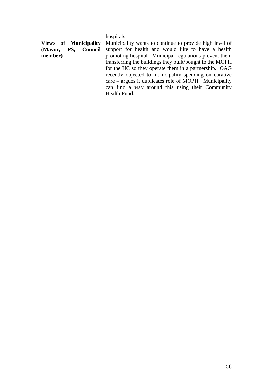|                              | hospitals.                                               |
|------------------------------|----------------------------------------------------------|
| <b>Views of Municipality</b> | Municipality wants to continue to provide high level of  |
| Council<br>PS,<br>(Mayor,    | support for health and would like to have a health       |
| member)                      | promoting hospital. Municipal regulations prevent them   |
|                              | transferring the buildings they built/bought to the MOPH |
|                              | for the HC so they operate them in a partnership. OAG    |
|                              | recently objected to municipality spending on curative   |
|                              | $care - argues it duplicates role of MOPH. Municipality$ |
|                              | can find a way around this using their Community         |
|                              | Health Fund.                                             |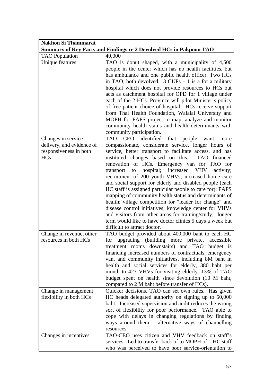| <b>Nakhon Si Thammarat</b>                                                              |                                                                                                                                                                                                                                                                                                                                                                                                                                                                                                                                                                                                                                                                                                                                                                                                                                                           |
|-----------------------------------------------------------------------------------------|-----------------------------------------------------------------------------------------------------------------------------------------------------------------------------------------------------------------------------------------------------------------------------------------------------------------------------------------------------------------------------------------------------------------------------------------------------------------------------------------------------------------------------------------------------------------------------------------------------------------------------------------------------------------------------------------------------------------------------------------------------------------------------------------------------------------------------------------------------------|
|                                                                                         | Summary of Key Facts and Findings re 2 Devolved HCs in Pakpoon TAO                                                                                                                                                                                                                                                                                                                                                                                                                                                                                                                                                                                                                                                                                                                                                                                        |
| <b>TAO</b> Population                                                                   | 40,000                                                                                                                                                                                                                                                                                                                                                                                                                                                                                                                                                                                                                                                                                                                                                                                                                                                    |
| Unique features                                                                         | TAO is donut shaped, with a municipality of 4,500<br>people in the center which has no health facilities, but<br>has ambulance and one public health officer. Two HCs<br>in TAO, both devolved. $3$ CUPs $-1$ is a for a military<br>hospital which does not provide resources to HCs but<br>acts as catchment hospital for OPD for 1 village under<br>each of the 2 HCs. Province will pilot Minister's policy<br>of free patient choice of hospital. HCs receive support<br>from Thai Health Foundation, Walalai University and<br>MOPH for FAPS project to map, analyze and monitor<br>community health status and health determinants with<br>community participation.                                                                                                                                                                                |
| Changes in service<br>delivery, and evidence of<br>responsiveness in both<br><b>HCs</b> | CEO identified that<br>people<br>TAO<br>want<br>more<br>compassionate, considerate service, longer hours of<br>service, better transport to facilitate access, and has<br>instituted changes based on this. TAO financed<br>renovation of HCs. Emergency van for TAO for<br>hospital; increased VHV<br>transport<br>to<br>activity;<br>recruitment of 200 youth VHVs; increased home care<br>and social support for elderly and disabled people (each<br>HC staff is assigned particular people to care for); FAPS<br>mapping of community health status and determinants of<br>health; village competition for "leader for change" and<br>disease control initiatives; knowledge center for VHVs<br>and visitors from other areas for training/study; longer<br>term would like to have doctor clinics 5 days a week but<br>difficult to attract doctor. |
| Change in revenue, other<br>resources in both HCs                                       | TAO budget provided about 400,000 baht to each HC<br>for upgrading (building more private, accessible<br>treatment rooms downstairs) and TAO budget is<br>financing increased numbers of contractuals, emergency<br>van, and community initiatives, including 8M baht in<br>health and social services for elderly, 380 baht per<br>month to 423 VHVs for visiting elderly. 13% of TAO<br>budget spent on health since devolution (10 M baht,<br>compared to 2 M baht before transfer of HCs).                                                                                                                                                                                                                                                                                                                                                            |
| Change in management<br>flexibility in both HCs                                         | Quicker decisions. TAO can set own rules. Has given<br>HC heads delegated authority on signing up to 50,000<br>baht. Increased supervision and audit reduces the wrong<br>sort of flexibility for poor performance. TAO able to<br>cope with delays in changing regulations by finding<br>ways around them $-$ alternative ways of channelling<br>resources.                                                                                                                                                                                                                                                                                                                                                                                                                                                                                              |
| Changes in incentives                                                                   | TAO-CEO uses citizen and VHV feedback on staff's<br>services. Led to transfer back of to MOPH of 1 HC staff<br>who was perceived to have poor service-orientation to                                                                                                                                                                                                                                                                                                                                                                                                                                                                                                                                                                                                                                                                                      |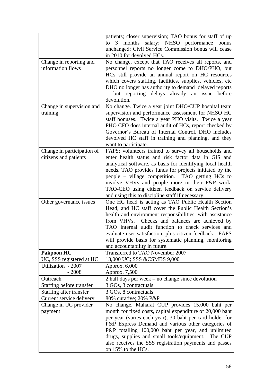|                                                     | patients; closer supervision; TAO bonus for staff of up<br>salary; NHSO performance bonus<br>months<br>3<br>to<br>unchanged; Civil Service Commission bonus will cease<br>in 2010 for devolved HCs.                                                                                                                                                                                                                                                    |
|-----------------------------------------------------|--------------------------------------------------------------------------------------------------------------------------------------------------------------------------------------------------------------------------------------------------------------------------------------------------------------------------------------------------------------------------------------------------------------------------------------------------------|
| Change in reporting and<br>information flows        | No change, except that TAO receives all reports, and<br>personnel reports no longer come to DHO/PHO, but<br>HCs still provide an annual report on HC resources<br>which covers staffing, facilities, supplies, vehicles, etc<br>DHO no longer has authority to demand delayed reports<br>- but reporting delays already an issue<br>before<br>devolution.                                                                                              |
| Change in supervision and<br>training               | No change. Twice a year joint DHO/CUP hospital team<br>supervision and performance assessment for NHSO HC<br>staff bonuses. Twice a year PHO visits. Twice a year<br>PHO CFO does internal audit of HCs, report checked by<br>Governor's Bureau of Internal Control. DHO includes<br>devolved HC staff in training and planning, and they<br>want to participate.                                                                                      |
| Change in participation of<br>citizens and patients | FAPS: volunteers trained to survey all households and<br>enter health status and risk factor data in GIS and<br>analytical software, as basis for identifying local health<br>needs. TAO provides funds for projects initiated by the<br>people - village competition. TAO getting HCs to<br>involve VHVs and people more in their P&P work.<br>TAO-CEO using citizen feedback on service delivery<br>and using this to discipline staff if necessary. |
| Other governance issues                             | One HC head is acting as TAO Public Health Section<br>Head, and HC staff cover the Public Health Section's<br>health and environment responsibilities, with assistance<br>from VHVs. Checks and balances are achieved by<br>TAO internal audit function to check services and<br>evaluate user satisfaction, plus citizen feedback. FAPS<br>will provide basis for systematic planning, monitoring<br>and accountability in future.                    |
| <b>Pakpoon HC</b>                                   | Transferred to TAO November 2007                                                                                                                                                                                                                                                                                                                                                                                                                       |
| UC, SSS registered at HC<br>Utilization - 2007      | 13,000 UC; SSS &CSMBS 9,000<br>Approx. 6,000                                                                                                                                                                                                                                                                                                                                                                                                           |
| $-2008$                                             | Approx. 7,500                                                                                                                                                                                                                                                                                                                                                                                                                                          |
| Outreach                                            | 2 half days per week - no change since devolution                                                                                                                                                                                                                                                                                                                                                                                                      |
| Staffing before transfer                            | 3 GOs, 3 contractuals                                                                                                                                                                                                                                                                                                                                                                                                                                  |
| Staffing after transfer                             | 3 GOs, 8 contractuals                                                                                                                                                                                                                                                                                                                                                                                                                                  |
| Current service delivery                            | 80% curative; 20% P&P                                                                                                                                                                                                                                                                                                                                                                                                                                  |
| Change in UC provider<br>payment                    | No change. Maharat CUP provides 15,000 baht per<br>month for fixed costs, capital expenditure of 20,000 baht<br>per year (varies each year), 30 baht per card holder for<br>P&P Express Demand and various other categories of<br>P&P totalling 100,000 baht per year, and unlimited<br>drugs, supplies and small tools/equipment.<br>The CUP<br>also receives the SSS registration payments and passes<br>on 15% to the HCs.                          |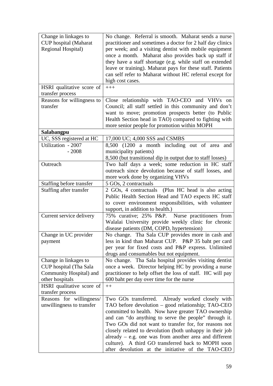| Change in linkages to<br><b>CUP</b> hospital (Maharat<br>Regional Hospital)                   | No change. Referral is smooth. Maharat sends a nurse<br>practitioner and sometimes a doctor for 2 half day clinics<br>per week; and a visiting dentist with mobile equipment<br>once a month. Maharat also provides back up staff if<br>they have a staff shortage (e.g. while staff on extended<br>leave or training). Maharat pays for these staff. Patients<br>can self refer to Maharat without HC referral except for<br>high cost cases.                                                                     |
|-----------------------------------------------------------------------------------------------|--------------------------------------------------------------------------------------------------------------------------------------------------------------------------------------------------------------------------------------------------------------------------------------------------------------------------------------------------------------------------------------------------------------------------------------------------------------------------------------------------------------------|
| HSRI qualitative score of<br>transfer process                                                 | $+++$                                                                                                                                                                                                                                                                                                                                                                                                                                                                                                              |
| Reasons for willingness to<br>transfer                                                        | Close relationship with TAO-CEO and VHVs on<br>Council; all staff settled in this community and don't<br>want to move; promotion prospects better (to Public<br>Health Section head in TAO) compared to fighting with<br>more senior people for promotion within MOPH                                                                                                                                                                                                                                              |
| Salabangpu                                                                                    |                                                                                                                                                                                                                                                                                                                                                                                                                                                                                                                    |
| UC, SSS registered at HC                                                                      | 17,000 UC; 4,000 SSS and CSMBS                                                                                                                                                                                                                                                                                                                                                                                                                                                                                     |
| Utilization - 2007<br>$-2008$                                                                 | 8,500 (1200 a month including out of area and<br>municipality patients)<br>8,500 (but transitional dip in output due to staff losses)                                                                                                                                                                                                                                                                                                                                                                              |
| Outreach                                                                                      | Two half days a week; some reduction in HC staff<br>outreach since devolution because of staff losses, and<br>more work done by organizing VHVs                                                                                                                                                                                                                                                                                                                                                                    |
| Staffing before transfer                                                                      | 5 GOs, 2 contractuals                                                                                                                                                                                                                                                                                                                                                                                                                                                                                              |
| Staffing after transfer                                                                       | 2 GOs, 4 contractuals (Plus HC head is also acting<br>Public Health Section Head and TAO expects HC staff<br>to cover environment responsibilities, with volunteer<br>support, in addition to health.)                                                                                                                                                                                                                                                                                                             |
| Current service delivery                                                                      | 75% curative; 25% P&P. Nurse practitioners from<br>Walalai University provide weekly clinic for chronic<br>disease patients (DM, COPD, hypertension)                                                                                                                                                                                                                                                                                                                                                               |
| Change in UC provider<br>payment                                                              | No change. Tha Sala CUP provides more in cash and<br>less in kind than Maharat CUP. P&P 35 baht per card<br>per year for fixed costs and P&P express. Unlimited<br>drugs and consumables but not equipment.                                                                                                                                                                                                                                                                                                        |
| Change in linkages to<br>CUP hospital (Tha Sala<br>Community Hospital) and<br>other hospitals | No change. Tha Sala hospital provides visiting dentist<br>once a week. Director helping HC by providing a nurse<br>practitioner to help offset the loss of staff. HC will pay<br>600 baht per day over time for the nurse                                                                                                                                                                                                                                                                                          |
| HSRI qualitative score of<br>transfer process                                                 | $++$                                                                                                                                                                                                                                                                                                                                                                                                                                                                                                               |
| Reasons for willingness/<br>unwillingness to transfer                                         | Two GOs transferred. Already worked closely with<br>TAO before devolution – good relationship; TAO-CEO<br>committed to health. Now have greater TAO ownership<br>and can "do anything to serve the people" through it.<br>Two GOs did not want to transfer for, for reasons not<br>closely related to devolution (both unhappy in their job<br>already $-$ e.g. one was from another area and different<br>culture). A third GO transferred back to MOPH soon<br>after devolution at the initiative of the TAO-CEO |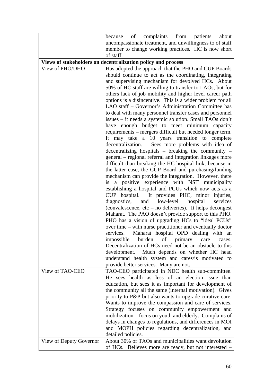|                         | complaints from<br>of<br>patients<br>because<br>about                                                     |
|-------------------------|-----------------------------------------------------------------------------------------------------------|
|                         | uncompassionate treatment, and unwillingness to of staff                                                  |
|                         | member to change working practices. HC is now short                                                       |
|                         | of staff.                                                                                                 |
|                         | Views of stakeholders on decentralization policy and process                                              |
| View of PHO/DHO         | Has adopted the approach that the PHO and CUP Boards                                                      |
|                         | should continue to act as the coordinating, integrating                                                   |
|                         | and supervising mechanism for devolved HCs. About                                                         |
|                         | 50% of HC staff are willing to transfer to LAOs, but for                                                  |
|                         | others lack of job mobility and higher level career path                                                  |
|                         | options is a disincentive. This is a wider problem for all                                                |
|                         | LAO staff - Governor's Administration Committee has                                                       |
|                         | to deal with many personnel transfer cases and personnel                                                  |
|                         | issues – it needs a systemic solution. Small TAOs don't                                                   |
|                         | have enough budget to meet minimum capacity                                                               |
|                         | requirements – mergers difficult but needed longer term.                                                  |
|                         | It may take a 10 years transition to complete                                                             |
|                         | decentralization. Sees more problems with idea of                                                         |
|                         | decentralizing hospitals – breaking the community –                                                       |
|                         | general – regional referral and integration linkages more                                                 |
|                         | difficult than breaking the HC-hospital link, because in                                                  |
|                         | the latter case, the CUP Board and purchasing/funding                                                     |
|                         | mechanism can provide the integration. However, there                                                     |
|                         | a positive experience with NST municipality<br>is<br>establishing a hospital and PCUs which now acts as a |
|                         | CUP hospital. It provides PHC, minor injuries,                                                            |
|                         | diagnostics, and low-level<br>hospital<br>services                                                        |
|                         | (convalescence, etc – no deliveries). It helps decongest                                                  |
|                         | Maharat. The PAO doesn't provide support to this PHO.                                                     |
|                         | PHO has a vision of upgrading HCs to "ideal PCUs"                                                         |
|                         | over time – with nurse practitioner and eventually doctor                                                 |
|                         | Maharat hospital OPD dealing with an<br>services.                                                         |
|                         | impossible burden of primary care<br>cases.                                                               |
|                         | Decentralization of HCs need not be an obstacle to this                                                   |
|                         | development. Much depends on whether HC head                                                              |
|                         | understand health system and cares/is motivated to                                                        |
|                         | provide better services. Many are not.                                                                    |
| View of TAO-CEO         | TAO-CEO participated in NDC health sub-committee.                                                         |
|                         | He sees health as less of an election issue than                                                          |
|                         | education, but sees it as important for development of                                                    |
|                         | the community all the same (internal motivation). Gives                                                   |
|                         | priority to P&P but also wants to upgrade curative care.                                                  |
|                         | Wants to improve the compassion and care of services.                                                     |
|                         | Strategy focuses on community empowerment and                                                             |
|                         | mobilization - focus on youth and elderly. Complains of                                                   |
|                         | delays in changes to regulations, and differences in MOI                                                  |
|                         | and MOPH policies regarding decentralization, and                                                         |
|                         | detailed policies.                                                                                        |
| View of Deputy Governor | About 30% of TAOs and municipalities want devolution                                                      |
|                         | of HCs. Believes more are ready, but not interested -                                                     |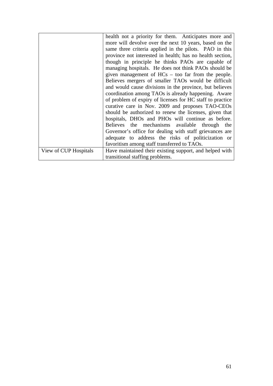|                       | health not a priority for them. Anticipates more and      |
|-----------------------|-----------------------------------------------------------|
|                       | more will devolve over the next 10 years, based on the    |
|                       | same three criteria applied in the pilots. PAO in this    |
|                       | province not interested in health; has no health section, |
|                       | though in principle he thinks PAOs are capable of         |
|                       | managing hospitals. He does not think PAOs should be      |
|                       | given management of $HCs - too$ far from the people.      |
|                       | Believes mergers of smaller TAOs would be difficult       |
|                       | and would cause divisions in the province, but believes   |
|                       | coordination among TAOs is already happening. Aware       |
|                       | of problem of expiry of licenses for HC staff to practice |
|                       | curative care in Nov. 2009 and proposes TAO-CEOs          |
|                       | should be authorized to renew the licenses, given that    |
|                       | hospitals, DHOs and PHOs will continue as before.         |
|                       | Believes the mechanisms available through the             |
|                       | Governor's office for dealing with staff grievances are   |
|                       | adequate to address the risks of politicization or        |
|                       | favoritism among staff transferred to TAOs.               |
| View of CUP Hospitals | Have maintained their existing support, and helped with   |
|                       | transitional staffing problems.                           |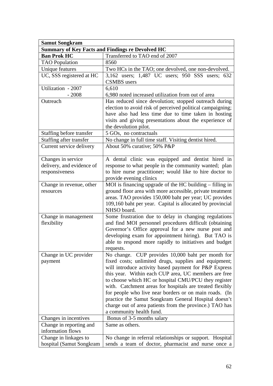| <b>Samut Songkram</b>                                   |                                                                                                                    |  |
|---------------------------------------------------------|--------------------------------------------------------------------------------------------------------------------|--|
| <b>Summary of Key Facts and Findings re Devolved HC</b> |                                                                                                                    |  |
| <b>Ban Prok HC</b>                                      | Transferred to TAO end of 2007                                                                                     |  |
| <b>TAO</b> Population                                   | 8560                                                                                                               |  |
| <b>Unique features</b>                                  | Two HCs in the TAO; one devolved, one non-devolved.                                                                |  |
| UC, SSS registered at HC                                | 3,162 users; 1,487 UC users; 950 SSS users; 632                                                                    |  |
|                                                         | <b>CSMBS</b> users                                                                                                 |  |
| Utilization - 2007                                      | 6,610                                                                                                              |  |
| $-2008$                                                 | 6,980 noted increased utilization from out of area                                                                 |  |
| Outreach                                                | Has reduced since devolution; stopped outreach during                                                              |  |
|                                                         | election to avoid risk of perceived political campaigning;                                                         |  |
|                                                         | have also had less time due to time taken in hosting                                                               |  |
|                                                         | visits and giving presentations about the experience of                                                            |  |
|                                                         | the devolution pilot.                                                                                              |  |
| Staffing before transfer                                | 5 GOs, no contractuals                                                                                             |  |
| Staffing after transfer                                 | No change in full time staff. Visiting dentist hired.                                                              |  |
| Current service delivery                                | About 50% curative; 50% P&P                                                                                        |  |
|                                                         |                                                                                                                    |  |
| Changes in service                                      | A dental clinic was equipped and dentist hired in                                                                  |  |
| delivery, and evidence of                               | response to what people in the community wanted; plan                                                              |  |
| responsiveness                                          | to hire nurse practitioner; would like to hire doctor to                                                           |  |
|                                                         | provide evening clinics                                                                                            |  |
| Change in revenue, other                                | MOI is financing upgrade of the HC building $-$ filling in                                                         |  |
| resources                                               | ground floor area with more accessible, private treatment                                                          |  |
|                                                         | areas. TAO provides 150,000 baht per year; UC provides                                                             |  |
|                                                         | 109,160 baht per year. Capital is allocated by provincial                                                          |  |
|                                                         | NHSO board.                                                                                                        |  |
| Change in management                                    | Some frustration due to delay in changing regulations                                                              |  |
| flexibility                                             | and find MOI personnel procedures difficult (obtaining                                                             |  |
|                                                         | Governor's Office approval for a new nurse post and                                                                |  |
|                                                         | developing exam for appointment hiring). But TAO is                                                                |  |
|                                                         | able to respond more rapidly to initiatives and budget                                                             |  |
|                                                         | requests.                                                                                                          |  |
| Change in UC provider                                   | No change. CUP provides 10,000 baht per month for                                                                  |  |
| payment                                                 | fixed costs; unlimited drugs, supplies and equipment;                                                              |  |
|                                                         | will introduce activity based payment for P&P Express                                                              |  |
|                                                         | this year. Within each CUP area, UC members are free                                                               |  |
|                                                         | to choose which HC or hospital CMU/PCU they register                                                               |  |
|                                                         | with. Catchment areas for hospitals are treated flexibly<br>for people who live near borders or on main roads. (In |  |
|                                                         | practice the Samut Songkram General Hospital doesn't                                                               |  |
|                                                         | charge out of area patients from the province.) TAO has                                                            |  |
|                                                         | a community health fund.                                                                                           |  |
| Changes in incentives                                   | Bonus of 3-5 months salary                                                                                         |  |
| Change in reporting and                                 | Same as others.                                                                                                    |  |
| information flows                                       |                                                                                                                    |  |
| Change in linkages to                                   | No change in referral relationships or support. Hospital                                                           |  |
| hospital (Samut Songkram                                | sends a team of doctor, pharmacist and nurse once a                                                                |  |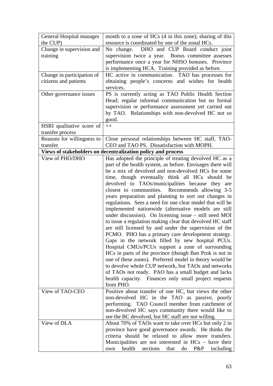| <b>General Hospital manages</b><br>the CUP) | month to a zone of HCs (4 in this zone); sharing of this<br>resource is coordinated by one of the zonal HCs. |
|---------------------------------------------|--------------------------------------------------------------------------------------------------------------|
| Change in supervision and                   | DHO and CUP Board conduct joint<br>No change.                                                                |
| training                                    | supervision twice a year. Bonus committee assesses                                                           |
|                                             | performance once a year for NHSO bonuses. Province                                                           |
|                                             | is implementing HCA. Training provided as before.                                                            |
| Change in participation of                  | HC active in communication. TAO has processes for                                                            |
| citizens and patients                       | obtaining people's concerns and wishes for health                                                            |
|                                             | services.                                                                                                    |
| Other governance issues                     | PS is currently acting as TAO Public Health Section                                                          |
|                                             | Head; regular informal communication but no formal                                                           |
|                                             | supervision or performance assessment yet carried out                                                        |
|                                             | by TAO. Relationships with non-devolved HC not so                                                            |
|                                             | good.                                                                                                        |
| HSRI qualitative score of                   | $++$                                                                                                         |
| transfer process                            |                                                                                                              |
| Reasons for willingness to                  | Close personal relationships between HC staff, TAO-                                                          |
| transfer                                    | CEO and TAO PS. Dissatisfaction with MOPH.                                                                   |
|                                             | Views of stakeholders on decentralization policy and process                                                 |
| View of PHO/DHO                             | Has adopted the principle of treating devolved HC as a                                                       |
|                                             | part of the health system, as before. Envisages there will                                                   |
|                                             | be a mix of devolved and non-devolved HCs for some                                                           |
|                                             | time, though eventually think all HCs should be                                                              |
|                                             | devolved to TAOs/municipalities because they are                                                             |
|                                             | closest to communities. Recommends allowing 3-5                                                              |
|                                             |                                                                                                              |
|                                             | years preparation and planning to sort out changes in                                                        |
|                                             | regulations. Sees a need for one clear model that will be                                                    |
|                                             | implemented nationwide (alternative models are still                                                         |
|                                             | under discussion). On licensing issue – still need MOI                                                       |
|                                             | to issue a regulation making clear that devolved HC staff                                                    |
|                                             | are still licensed by and under the supervision of the                                                       |
|                                             | PCMO. PHO has a primary care development strategy.                                                           |
|                                             | Gaps in the network filled by new hospital PCUs.                                                             |
|                                             | Hospital CMUs/PCUs support a zone of surrounding                                                             |
|                                             | HCs in parts of the province (though Ban Prok is not in                                                      |
|                                             | one of these zones). Preferred model in theory would be                                                      |
|                                             | to devolve whole CUP network, but TAOs and networks                                                          |
|                                             | of TAOs not ready. PAO has a small budget and lacks                                                          |
|                                             | health capacity. Finances only small project requests                                                        |
|                                             | from PHO.                                                                                                    |
| View of TAO-CEO                             | Positive about transfer of one HC, but views the other                                                       |
|                                             | non-devolved HC in the TAO as passive, poorly                                                                |
|                                             | performing. TAO Council member from catchment of                                                             |
|                                             | non-devolved HC says community there would like to                                                           |
|                                             | see the BC devolved, but HC staff are not willing.                                                           |
| View of DLA                                 | About 70% of TAOs want to take over HCs but only 2 in                                                        |
|                                             | province have good governance awards. He thinks the                                                          |
|                                             | criteria should be relaxed to allow more transfers.                                                          |
|                                             | Municipalities are not interested in HCs – have their                                                        |
|                                             | health<br>sections<br>that<br>$P\&P$<br>including<br>do<br>own                                               |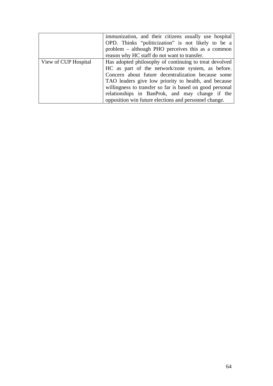|                      | immunization, and their citizens usually use hospital    |
|----------------------|----------------------------------------------------------|
|                      | OPD. Thinks "politicization" is not likely to be a       |
|                      | problem – although PHO perceives this as a common        |
|                      | reason why HC staff do not want to transfer.             |
| View of CUP Hospital | Has adopted philosophy of continuing to treat devolved   |
|                      | HC as part of the network/zone system, as before.        |
|                      | Concern about future decentralization because some       |
|                      | TAO leaders give low priority to health, and because     |
|                      | willingness to transfer so far is based on good personal |
|                      | relationships in BanProk, and may change if the          |
|                      | opposition win future elections and personnel change.    |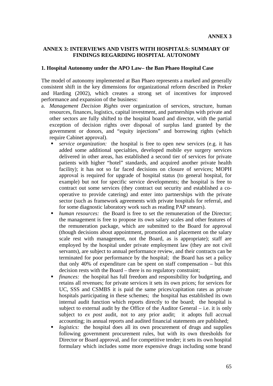### **ANNEX 3: INTERVIEWS AND VISITS WITH HOSPITALS: SUMMARY OF FINDINGS REGARDING HOSPITAL AUTONOMY**

#### **1. Hospital Autonomy under the APO Law– the Ban Phaeo Hospital Case**

The model of autonomy implemented at Ban Phaeo represents a marked and generally consistent shift in the key dimensions for organizational reform described in Preker and Harding (2002), which creates a strong set of incentives for improved performance and expansion of the business:

- a. *Management Decision Rights* over organization of services, structure, human resources, finances, logistics, capital investment, and partnerships with private and other sectors are fully shifted to the hospital board and director, with the partial exception of decision rights over disposal of surplus land granted by the government or donors, and "equity injections" and borrowing rights (which require Cabinet approval).
	- *service organization:* the hospital is free to open new services (e.g. it has added some additional specialties, developed mobile eye surgery services delivered in other areas, has established a second tier of services for private patients with higher "hotel" standards, and acquired another private health facility); it has not so far faced decisions on closure of services; MOPH approval is required for upgrade of hospital status (to general hospital, for example) but not for specific service developments; the hospital is free to contract out some services (they contract out security and established a cooperative to provide catering) and enter into partnerships with the private sector (such as framework agreements with private hospitals for referral, and for some diagnostic laboratory work such as reading PAP smears).
	- *human resources:* the Board is free to set the remuneration of the Director; the management is free to propose its own salary scales and other features of the remuneration package, which are submitted to the Board for approval (though decisions about appointment, promotion and placement on the salary scale rest with management, not the Board, as is appropriate); staff are employed by the hospital under private employment law (they are not civil servants), are subject to annual performance review, and their contracts can be terminated for poor performance by the hospital; the Board has set a policy that only 40% of expenditure can be spent on staff compensation – but this decision rests with the Board – there is no regulatory constraint;
	- *finances:* the hospital has full freedom and responsibility for budgeting, and retains all revenues; for private services it sets its own prices; for services for UC, SSS and CSMBS it is paid the same prices/capitation rates as private hospitals participating in these schemes; the hospital has established its own internal audit function which reports directly to the board; the hospital is subject to external audit by the Office of the Auditor General – i.e. it is only subject to *ex post* audit, not to any prior audit; it adopts full accrual accounting; its annual reports and audited financial statements are published;
	- *logistics:* the hospital does all its own procurement of drugs and supplies following government procurement rules, but with its own thresholds for Director or Board approval, and for competitive tender; it sets its own hospital formulary which includes some more expensive drugs including some brand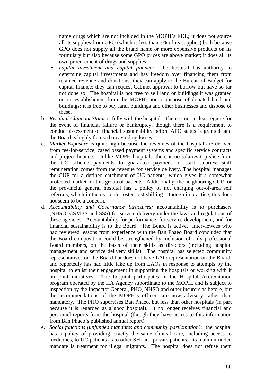name drugs which are not included in the MOPH's EDL; it does not source all its supplies from GPO (which is less than 3% of its supplies) both because GPO does not supply all the brand name or more expensive products on its formulary but also because some GPO prices are above market; it does all its own procurement of drugs and supplies;

- *capital investment and capital finance:*the hospital has authority to determine capital investments and has freedom over financing them from retained revenue and donations; they can apply to the Bureau of Budget for capital finance; they can request Cabinet approval to borrow but have so far not done so. The hospital is not free to sell land or buildings it was granted on its establishment from the MOPH, nor to dispose of donated land and buildings; it is free to buy land, buildings and other businesses and dispose of these.
- b. *Residual Claimant Status* is fully with the hospital. There is not a clear regime for the event of financial failure or bankruptcy, though there is a requirement to conduct assessment of financial sustainability before APO status is granted, and the Board is highly focused on avoiding losses.
- c. *Market Exposure* is quite high because the revenues of the hospital are derived from fee-for-service, cased based payment systems and specific service contracts and project finance. Unlike MOPH hospitals, there is no salaries top-slice from the UC scheme payments to guarantee payment of staff salaries: staff remuneration comes from the revenue for service delivery. The hospital manages the CUP for a defined catchment of UC patients, which gives it a somewhat protected market for this group of patients. Additionally, the neighboring CUP for the provincial general hospital has a policy of not charging out-of-area self referrals, which in theory could foster cost-shifting – though in practice, this does not seem to be a concern.
- d. *Accountability and Governance Structures;* accountability is to purchasers (NHSO, CSMBS and SSS) for service delivery under the laws and regulations of these agencies. Accountability for performance, for service development, and for financial sustainability is to the Board. The Board is active. Interviewees who had reviewed lessons from experience with the Ban Phaeo Board concluded that the Board composition could be strengthened by inclusion of only professional Board members, on the basis of their skills as directors (including hospital management and service delivery skills). The hospital has selected community representatives on the Board but does not have LAO representation on the Board, and reportedly has had little take up from LAOs in response to attempts by the hospital to enlist their engagement in supporting the hospitals or working with it on joint initiatives. The hospital participates in the Hospital Accreditation program operated by the HA Agency subordinate to the MOPH, and is subject to inspection by the Inspector General, PHO, NHSO and other insurers as before, but the recommendations of the MOPH's officers are now advisory rather than mandatory. The PHO supervises Ban Phaeo, but less than other hospitals (in part because it is regarded as a good hospital). It no longer receives financial and personnel reports from the hospital (though they have access to this information from Ban Phaeo's published annual report).
- e. *Social functions (unfunded mandates and community participation)*: the hospital has a policy of providing exactly the same clinical care, including access to medicines, to UC patients as to other SHI and private patients. Its main unfunded mandate is treatment for illegal migrants. The hospital does not refuse them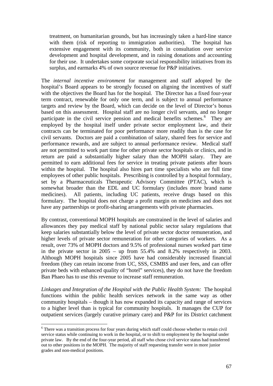<span id="page-66-0"></span>treatment, on humanitarian grounds, but has increasingly taken a hard-line stance with them (risk of reporting to immigration authorities). The hospital has extensive engagement with its community, both in consultation over service development and hospital development, and in raising donations and accounting for their use. It undertakes some corporate social responsibility initiatives from its surplus, and earmarks 4% of own source revenue for P&P initiatives.

The *internal incentive environment* for management and staff adopted by the hospital's Board appears to be strongly focused on aligning the incentives of staff with the objectives the Board has for the hospital. The Director has a fixed four-year term contract, renewable for only one term, and is subject to annual performance targets and review by the Board, which can decide on the level of Director's bonus based on this assessment. Hospital staff are no longer civil servants, and no longer participate in the civil service pension and medical benefits schemes.<sup>[6](#page-66-0)</sup> They are employed by the hospital itself under private sector employment law, and their contracts can be terminated for poor performance more readily than is the case for civil servants. Doctors are paid a combination of salary, shared fees for service and performance rewards, and are subject to annual performance review. Medical staff are not permitted to work part time for other private sector hospitals or clinics, and in return are paid a substantially higher salary than the MOPH salary. They are permitted to earn additional fees for service in treating private patients after hours within the hospital. The hospital also hires part time specialists who are full time employees of other public hospitals. Prescribing is controlled by a hospital formulary, set by a Pharmaceuticals Therapeutic Advisory Committee (PTAC), which is somewhat broader than the EDL and UC formulary (includes more brand name medicines). All patients, including UC patients, receive drugs based on this formulary. The hospital does not charge a profit margin on medicines and does not have any partnerships or profit-sharing arrangements with private pharmacies.

By contrast, conventional MOPH hospitals are constrained in the level of salaries and allowances they pay medical staff by national public sector salary regulations that keep salaries substantially below the level of private sector doctor remuneration, and higher levels of private sector remuneration for other categories of workers. As a result, over 73% of MOPH doctors and 9.5% of professional nurses worked part time in the private sector in 2005 – up from 55.4% and 8.2% respectively in 2003. Although MOPH hospitals since 2005 have had considerably increased financial freedom (they can retain income from UC, SSS, CSMBS and user fees, and can offer private beds with enhanced quality of "hotel" services), they do not have the freedom Ban Phaeo has to use this revenue to increase staff remuneration.

*Linkages and Integration of the Hospital with the Public Health System:* The hospital functions within the public health services network in the same way as other community hospitals – though it has now expanded its capacity and range of services to a higher level than is typical for community hospitals. It manages the CUP for outpatient services (largely curative primary care) and P&P for its District catchment

<u>.</u>

<sup>&</sup>lt;sup>6</sup> There was a transition process for four years during which staff could choose whether to retain civil service status while continuing to work in the hospital, or to shift to employment by the hospital under private law. By the end of the four-year period, all staff who chose civil service status had transferred out to other positions in the MOPH. The majority of staff requesting transfer were in more junior grades and non-medical positions.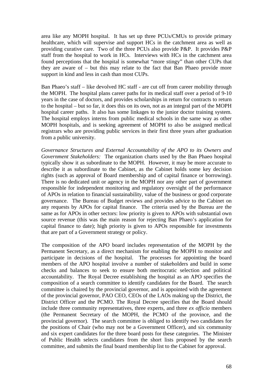area like any MOPH hospital. It has set up three PCUs/CMUs to provide primary healthcare, which will supervise and support HCs in the catchment area as well as providing curative care. Two of the three PCUs also provide P&P. It provides P&P staff from the hospital to work in HCs. Interviews with HCs in the catchment area found perceptions that the hospital is somewhat "more stingy" than other CUPs that they are aware of – but this may relate to the fact that Ban Phaeo provide more support in kind and less in cash than most CUPs.

Ban Phaeo's staff – like devolved HC staff - are cut off from career mobility through the MOPH. The hospital plans career paths for its medical staff over a period of 9-10 years in the case of doctors, and provides scholarships in return for contracts to return to the hospital – but so far, it does this on its own, not as an integral part of the MOPH hospital career paths. It also has some linkages to the junior doctor training system. The hospital employs interns from public medical schools in the same way as other MOPH hospitals, and is seeking agreement of MOPH to also be assigned medical registrars who are providing public services in their first three years after graduation from a public university.

*Governance Structures and External Accountability of the APO to its Owners and Government Stakeholders:* The organization charts used by the Ban Phaeo hospital typically show it as subordinate to the MOPH. However, it may be more accurate to describe it as subordinate to the Cabinet, as the Cabinet holds some key decision rights (such as approval of Board membership and of capital finance or borrowing). There is no dedicated unit or agency in the MOPH nor any other part of government responsible for independent monitoring and regulatory oversight of the performance of APOs in relation to financial sustainability, value of the business or good corporate governance. The Bureau of Budget reviews and provides advice to the Cabinet on any requests by APOs for capital finance. The criteria used by the Bureau are the same as for APOs in other sectors: low priority is given to APOs with substantial own source revenue (this was the main reason for rejecting Ban Phaeo's application for capital finance to date); high priority is given to APOs responsible for investments that are part of a Government strategy or policy.

The composition of the APO board includes representation of the MOPH by the Permanent Secretary, as a direct mechanism for enabling the MOPH to monitor and participate in decisions of the hospital. The processes for appointing the board members of the APO hospital involve a number of stakeholders and build in some checks and balances to seek to ensure both meritocratic selection and political accountability. The Royal Decree establishing the hospital as an APO specifies the composition of a search committee to identify candidates for the Board. The search committee is chaired by the provincial governor, and is appointed with the agreement of the provincial governor, PAO CEO, CEOs of the LAOs making up the District, the District Officer and the PCMO. The Royal Decree specifies that the Board should include three community representatives, three experts, and three *ex officio* members (the Permanent Secretary of the MOPH, the PCMO of the province, and the provincial governor). The search committee is obliged to identify two candidates for the positions of Chair (who may not be a Government Officer), and six community and six expert candidates for the three board posts for these categories. The Minister of Public Health selects candidates from the short lists proposed by the search committee, and submits the final board membership list to the Cabinet for approval.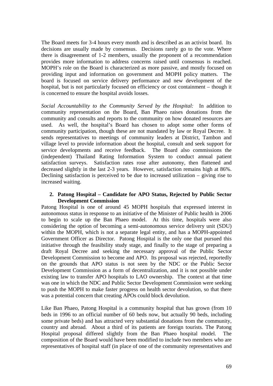The Board meets for 3-4 hours every month and is described as an activist board. Its decisions are usually made by consensus. Decisions rarely go to the vote. Where there is disagreement of 1-2 members, usually the proponent of a recommendation provides more information to address concerns raised until consensus is reached. MOPH's role on the Board is characterized as more passive, and mostly focused on providing input and information on government and MOPH policy matters. The board is focused on service delivery performance and new development of the hospital, but is not particularly focused on efficiency or cost containment – though it is concerned to ensure the hospital avoids losses.

*Social Accountability to the Community Served by the Hospital:* In addition to community representation on the Board, Ban Phaeo raises donations from the community and consults and reports to the community on how donated resources are used. As well, the hospital's Board has chosen to adopt some other forms of community participation, though these are not mandated by law or Royal Decree. It sends representatives to meetings of community leaders at District, Tambon and village level to provide information about the hospital, consult and seek support for service developments and receive feedback. The Board also commissions the (independent) Thailand Rating Information System to conduct annual patient satisfaction surveys. Satisfaction rates rose after autonomy, then flattened and decreased slightly in the last 2-3 years. However, satisfaction remains high at 86%. Declining satisfaction is perceived to be due to increased utilization – giving rise to increased waiting.

#### **2. Patong Hospital – Candidate for APO Status, Rejected by Public Sector Development Commission**

Patong Hospital is one of around 45 MOPH hospitals that expressed interest in autonomous status in response to an initiative of the Minister of Public health in 2006 to begin to scale up the Ban Phaeo model. At this time, hospitals were also considering the option of becoming a semi-autonomous service delivery unit (SDU) within the MOPH, which is not a separate legal entity, and has a MOPH-appointed Government Officer as Director. Patong Hospital is the only one that pursued this initiative through the feasibility study stage, and finally to the stage of preparing a draft Royal Decree and seeking the necessary approval of the Public Sector Development Commission to become and APO. Its proposal was rejected, reportedly on the grounds that APO status is not seen by the NDC or the Public Sector Development Commission as a form of decentralization, and it is not possible under existing law to transfer APO hospitals to LAO ownership. The context at that time was one in which the NDC and Public Sector Development Commission were seeking to push the MOPH to make faster progress on health sector devolution, so that there was a potential concern that creating APOs could block devolution.

Like Ban Phaeo, Patong Hospital is a community hospital that has grown (from 10 beds in 1996 to an official number of 60 beds now, but actually 90 beds, including some private beds) and has attracted very substantial donations from the community, country and abroad. About a third of its patients are foreign tourists. The Patong Hospital proposal differed slightly from the Ban Phaeo hospital model. The composition of the Board would have been modified to include two members who are representatives of hospital staff (in place of one of the community representatives and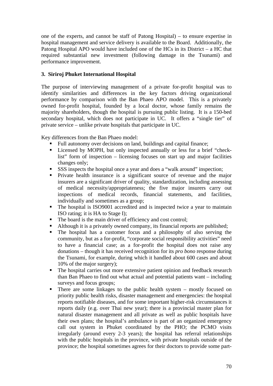one of the experts, and cannot be staff of Patong Hospital) – to ensure expertise in hospital management and service delivery is available to the Board. Additionally, the Patong Hospital APO would have included one of the HCs in its District – a HC that required substantial new investment (following damage in the Tsunami) and performance improvement.

# **3. Siriroj Phuket International Hospital**

The purpose of interviewing management of a private for-profit hospital was to identify similarities and differences in the key factors driving organizational performance by comparison with the Ban Phaeo APO model. This is a privately owned for-profit hospital, founded by a local doctor, whose family remains the majority shareholders, though the hospital is pursuing public listing. It is a 150-bed secondary hospital, which does not participate in UC. It offers a "single tier" of private service – unlike private hospitals that participate in UC.

Key differences from the Ban Phaeo model:

- Full autonomy over decisions on land, buildings and capital finance;
- Licensed by MOPH, but only inspected annually or less for a brief "checklist" form of inspection – licensing focuses on start up and major facilities changes only;
- SSS inspects the hospital once a year and does a "walk around" inspection;
- Private health insurance is a significant source of revenue and the major insurers are a significant driver of quality, standardization, including assessing of medical necessity/appropriateness; the five major insurers carry out inspections of medical records, financial statements, and facilities, individually and sometimes as a group;
- The hospital is ISO9001 accredited and is inspected twice a year to maintain ISO rating; it is HA to Stage I);
- The board is the main driver of efficiency and cost control;
- Although it is a privately owned company, its financial reports are published;
- The hospital has a customer focus and a philosophy of also serving the community, but as a for-profit, "corporate social responsibility activities" need to have a financial case; as a for-profit the hospital does not raise any donations – though it has received recognition for its *pro bono* response during the Tsunami, for example, during which it handled about 600 cases and about 10% of the major surgery);
- The hospital carries out more extensive patient opinion and feedback research than Ban Phaeo to find out what actual and potential patients want – including surveys and focus groups;
- There are some linkages to the public health system mostly focused on priority public health risks, disaster management and emergencies: the hospital reports notifiable diseases, and for some important higher-risk circumstances it reports daily (e.g. over Thai new year); there is a provincial master plan for natural disaster management and all private as well as public hospitals have their own plans; the hospital's ambulance is part of an organized emergency call out system in Phuket coordinated by the PHO; the PCMO visits irregularly (around every 2-3 years); the hospital has referral relationships with the public hospitals in the province, with private hospitals outside of the province; the hospital sometimes agrees for their doctors to provide some part-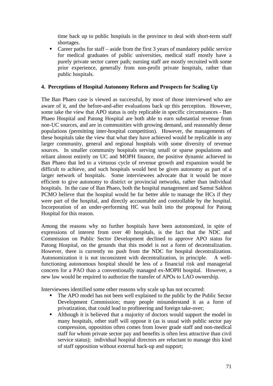time back up to public hospitals in the province to deal with short-term staff shortages.

Career paths for staff – aside from the first 3 years of mandatory public service for medical graduates of public universities, medical staff mostly have a purely private sector career path; nursing staff are mostly recruited with some prior experience, generally from non-profit private hospitals, rather than public hospitals.

# **4. Perceptions of Hospital Autonomy Reform and Prospects for Scaling Up**

The Ban Phaeo case is viewed as successful, by most of those interviewed who are aware of it, and the before-and-after evaluations back up this perception. However, some take the view that APO status is only replicable in specific circumstances - Ban Phaeo Hospital and Patong Hospital are both able to earn substantial revenue from non-UC sources, and are in communities with growing demand, and reasonably dense populations (permitting inter-hospital competition). However, the managements of these hospitals take the view that what they have achieved would be replicable in any larger community, general and regional hospitals with some diversity of revenue sources. In smaller community hospitals serving small or sparse populations and reliant almost entirely on UC and MOPH finance, the positive dynamic achieved in Ban Phaeo that led to a virtuous cycle of revenue growth and expansion would be difficult to achieve, and such hospitals would best be given autonomy as part of a larger network of hospitals. Some interviewees advocate that it would be more efficient to give autonomy to district or provincial networks, rather than individual hospitals. In the case of Ban Phaeo, both the hospital management and Samut Sakhon PCMO believe that the hospital would be far better able to manage the HCs if they were part of the hospital, and directly accountable and controllable by the hospital. Incorporation of an under-performing HC was built into the proposal for Patong Hospital for this reason.

Among the reasons why no further hospitals have been autonomized, in spite of expressions of interest from over 40 hospitals, is the fact that the NDC and Commission on Public Sector Development declined to approve APO status for Patong Hospital, on the grounds that this model is not a form of decentralization. However, there is currently no push from the NDC for hospital decentralization. Autonomization it is not inconsistent with decentralization, in principle. A wellfunctioning autonomous hospital should be less of a financial risk and managerial concern for a PAO than a conventionally managed ex-MOPH hospital. However, a new law would be required to authorize the transfer of APOs to LAO ownership.

Interviewees identified some other reasons why scale up has not occurred:

- The APO model has not been well explained to the public by the Public Sector Development Commission; many people misunderstand it as a form of privatization, that could lead to profiteering and foreign take-over;
- Although it is believed that a majority of doctors would support the model in many hospitals, other staff will oppose it (as is usual with public sector pay compression, opposition often comes from lower grade staff and non-medical staff for whom private sector pay and benefits is often less attractive than civil service status); individual hospital directors are reluctant to manage this kind of staff opposition without external back-up and support;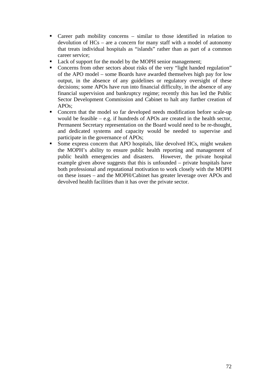- Career path mobility concerns similar to those identified in relation to devolution of HCs – are a concern for many staff with a model of autonomy that treats individual hospitals as "islands" rather than as part of a common career service;
- Lack of support for the model by the MOPH senior management;
- Concerns from other sectors about risks of the very "light handed regulation" of the APO model – some Boards have awarded themselves high pay for low output, in the absence of any guidelines or regulatory oversight of these decisions; some APOs have run into financial difficulty, in the absence of any financial supervision and bankruptcy regime; recently this has led the Public Sector Development Commission and Cabinet to halt any further creation of APOs;
- Concern that the model so far developed needs modification before scale-up would be feasible – e.g. if hundreds of APOs are created in the health sector, Permanent Secretary representation on the Board would need to be re-thought, and dedicated systems and capacity would be needed to supervise and participate in the governance of APOs;
- Some express concern that APO hospitals, like devolved HCs, might weaken the MOPH's ability to ensure public health reporting and management of public health emergencies and disasters. However, the private hospital example given above suggests that this is unfounded – private hospitals have both professional and reputational motivation to work closely with the MOPH on these issues – and the MOPH/Cabinet has greater leverage over APOs and devolved health facilities than it has over the private sector.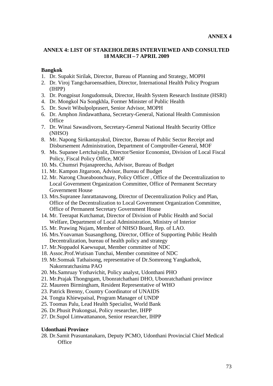# **ANNEX 4: LIST OF STAKEHOLDERS INTERVIEWED AND CONSULTED 18 MARCH – 7 APRIL 2009**

# **Bangkok**

- 1. Dr. Supakit Sirilak, Director, Bureau of Planning and Strategy, MOPH
- 2. Dr. Viroj Tangcharoensathien, Director, International Health Policy Program (IHPP)
- 3. Dr. Pongpisut Jongudomsuk, Director, Health System Research Institute (HSRI)
- 4. Dr. Mongkol Na Songkhla, Former Minister of Public Health
- 5. Dr. Suwit Wibulpolprasert, Senior Advisor, MOPH
- 6. Dr. Amphon Jindawatthana, Secretary-General, National Health Commission **Office**
- 7. Dr. Winai Sawasdivorn, Secretary-General National Health Security Office (NHSO)
- 8. Mr. Napong Sirikantayakul, Director, Bureau of Public Sector Receipt and Disbursement Administration, Department of Comptroller-General, MOF
- 9. Ms. Supanee Lertchaiyalit, Director/Senior Economist, Division of Local Fiscal Policy, Fiscal Policy Office, MOF
- 10. Ms. Chumsri Pojanapreecha, Advisor, Bureau of Budget
- 11. Mr. Kampon Jitgaroon, Advisor, Bureau of Budget
- 12. Mr. Narong Chueaboonchuay, Policy Officer , Office of the Decentralization to Local Government Organization Committee, Office of Permanent Secretary Government House
- 13. Mrs.Supranee Janrattanawong, Director of Decentralization Policy and Plan, Office of the Decentralization to Local Government Organization Committee, Office of Permanent Secretary Government House
- 14. Mr. Teerapat Kutchamat, Director of Division of Public Health and Social Welfare, Department of Local Administration, Ministry of Interior
- 15. Mr. Prawing Nujam, Member of NHSO Board, Rep. of LAO.
- 16. Mrs.Yoavaman Suasangthong, Director, Office of Supporting Public Health Decentralization, bureau of health policy and strategy
- 17. Mr.Noppadol Kaewsupat, Member committee of NDC
- 18. Assoc.Prof.Wutisan Tunchai, Member committee of NDC
- 19. Mr.Somsak Tathaisong, representative of Dr.Somreong Yangkathok, Nakornratchasima PAO
- 20. Ms.Samruay Yothavichit, Policy analyst, Udonthani PHO
- 21. Mr.Prajak Thongngam, Ubonratchathani DHO, Ubonratchathani province
- 22. Maureen Birmingham, Resident Representative of WHO
- 23. Patrick Brenny, Country Coordinator of UNAIDS
- 24. Tongta Khiewpaisal, Program Manager of UNDP
- 25. Toomas Palu, Lead Health Specialist, World Bank
- 26. Dr.Phusit Prakongsai, Policy researcher, IHPP
- 27. Dr.Supol Limwattananon, Senior researcher, IHPP

## **Udonthani Province**

28. Dr.Samit Prasuntanakarn, Deputy PCMO, Udonthani Provincial Chief Medical **Office**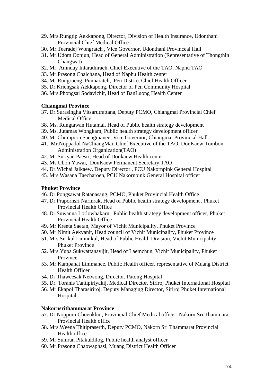- 29. Mrs.Rungtip Aekkapong, Director, Division of Health Insurance, Udonthani Provincial Chief Medical Office
- 30. Mr.Teeradej Wongratch , Vice Governor, Udonthani Provinceal Hall
- 31. Mr.Udom Oonjun, Head of General Administration (Representative of Thongthin Changwat)
- 32. Mr. Amnuay Intarathirach, Chief Executive of the TAO, Naphu TAO
- 33. Mr.Prasong Chaichana, Head of Naphu Health center
- 34. Mr.Rungrueng Punnaratch, Pen District Chief Health Officer
- 35. Dr.Kriengsak Aekkapong, Director of Pen Community Hospital
- 36. Mrs.Phongsai Sodavichit, Head of BanLuong Health Center

#### **Chiangmai Province**

- 37. Dr.Surasingha Vitsarutrattana, Deputy PCMO, Chiangmai Provincial Chief Medical Office
- 38. Ms. Rungtawan Hutamai, Head of Public health strategy development
- 39. Ms. Jutamas Wongkam, Public health strategy development officer
- 40. Mr.Chumporn Saengmanee, Vice Governor, Chiangmai Provincial Hall
- 41. Mr.Noppadol NaChiangMai, Chief Executive of the TAO, DonKaew Tumbon Administration Organization(TAO)
- 42. Mr.Suriyan Paesri, Head of Donkaew Health center
- 43. Ms.Ubon Yawai, DonKaew Permanent Secretary TAO
- 44. Dr.Wichai Jaikaew, Deputy Director , PCU Nakornpink General Hospital
- 45. Mrs.Wasana Taecharoen, PCU Nakornpink General Hospital officer

### **Phuket Province**

- 46. Dr.Pongsawat Ratanasang, PCMO, Phuket Provincial Health Office
- 47. Dr.Prapornsri Narinrak, Head of Public health strategy development , Phuket Provincial Health Office
- 48. Dr.Suwanna Lorlowhakarn, Public health strategy development officer, Phuket Provincial Health Office
- 49. Mr.Kreeta Saetan, Mayor of Vichit Municipality, Phuket Province
- 50. Mr.Nimit Aekvanit, Head council of Vichit Municipality, Phuket Province
- 51. Mrs.Sirikul Limnukul, Head of Public Health Division, Vichit Municipality, Phuket Province
- 52. Mrs.Yupa Sukwattanavijit, Head of Laemchun, Vichit Municipality, Phuket Province
- 53. Mr.Kampanat Limmanee, Public Health officer, representative of Muang District Health Officer
- 54. Dr.Thaweesak Netwong, Director, Patong Hospital
- 55. Dr. Toranis Tantipiriyakij, Medical Director, Siriroj Phuket International Hospital
- 56. Mr.Ekapol Tharasiriroj, Deputy Managing Director, Siriroj Phuket International Hospital

## **Nakornsrithammarat Province**

- 57. Dr.Nopporn Chuenkhin, Provincial Chief Medical officer, Nakorn Sri Thammarat Provincial Health office
- 58. Mrs.Weena Thitipraserth, Deputy PCMO, Nakorn Sri Thammarat Provincial Health office
- 59. Mr.Sumran Pitakuldilog, Public health analyst officer
- 60. Mr.Prasong Chaowaphasi, Muang District Health Officer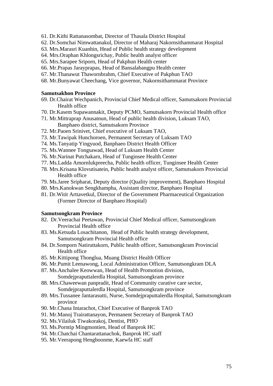- 61. Dr.Kithi Rattanasombat, Director of Thasala District Hospital
- 62. Dr.Somchai Nimwattanakul, Director of Maharaj Nakornsithammarat Hospital
- 63. Mrs.Marasri Kuanhin, Head of Public health strategy development
- 64. Mrs.Oraphan Khlongsrichay, Public health analyst officer
- 65. Mrs.Sarapee Sriporn, Head of Pakphun Health center
- 66. Mr.Prapas Jarayprapas, Head of Bansalabangpu Health center
- 67. Mr.Thanawut Thawornbrahm, Chief Executive of Pakphun TAO
- 68. Mr.Bunyawat Cheechang, Vice governor, Nakornsithammarat Province

## **Samutsakhon Province**

- 69. Dr.Chairat Wechpanich, Provincial Chief Medical officer, Samutsakorn Provincial Health office
- 70. Dr.Kasem Supawannakit, Deputy PCMO, Samutsakorn Provincial Health office
- 71. Mr.Mittraprap Anusatnun, Head of public health division, Luksam TAO, Banphaeo district, Samutsakorn Province
- 72. Mr.Paoen Srinivet, Chief executive of Luksam TAO,
- 73. Mr.Tawipak Hunchoroen, Permanent Secretary of Luksam TAO
- 74. Ms.Tanyatip Yingyuod, Banphaeo District Health Officer
- 75. Ms.Wannee Tongsawad, Head of Luksam Health Center
- 76. Mr.Narinat Putchakarn, Head of Tunginsee Health Center
- 77. Ms.Ladda Amornlukpreecha, Public health officer, Tunginsee Health Center
- 78. Mrs.Krisana Klovutisatein, Public health analyst officer, Samutsakorn Provincial Health office
- 79. Ms.Jaree Sripharat, Deputy director (Quality improvement), Banphaeo Hospital
- 80. Mrs.Kanokwan Sengkhampha, Assistant director, Banphaeo Hospital
- 81. Dr.Witit Arttavetkul, Director of the Government Pharmaceutical Organization (Former Director of Banphaeo Hospital)

#### **Samutsongkram Province**

- 82. Dr.Veerachai Peetawan, Provincial Chief Medical officer, Samutsongkram Provincial Health office
- 83. Ms.Ketsuda Losachitanon, Head of Public health strategy development, Samutsongkram Provincial Health office
- 84. Dr.Somporn Natiruttakorn, Public health officer, Samutsongkram Provincial Health office
- 85. Mr.Kittipong Thonglua, Muang District Health Officer
- 86. Mr.Pumit Leenawong, Local Administration Officer, Samutsongkram DLA
- 87. Ms.Anchalee Keowwan, Head of Health Promotion division, Somdejpraputtalerdla Hospital, Samutsongkram province
- 88. Mrs.Chaweewan panpradit, Head of Community curative care sector, Somdejpraputtalerdla Hospital, Samutsongkram province
- 89. Mrs.Tussanee Jantarasutti, Nurse, Somdejpraputtalerdla Hospital, Samutsongkram province
- 90. Mr.Chana Intarachot, Chief Executive of Banprok TAO
- 91. Mr.Manoj Trairattanayon, Permanent Secretary of Banprok TAO
- 92. Ms.Vilailuk Tiwakorakoj, Dentist, PHO
- 93. Ms.Porntip Mingmontien, Head of Banprok HC
- 94. Mr.Chatchai Chantarattanachok, Banprok HC staff
- 95. Mr.Veerapong Hengboonme, Kaewfa HC staff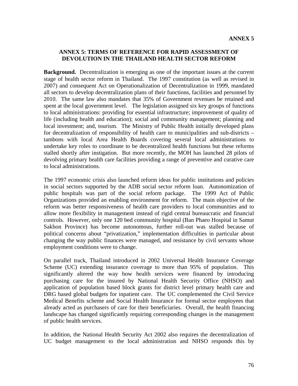## **ANNEX 5: TERMS OF REFERENCE FOR RAPID ASSESSMENT OF DEVOLUTION IN THE THAILAND HEALTH SECTOR REFORM**

**Background.** Decentralization is emerging as one of the important issues at the current stage of health sector reform in Thailand. The 1997 constitution (as well as revised in 2007) and consequent Act on Operationalization of Decentralization in 1999, mandated all sectors to develop decentralization plans of their functions, facilities and personnel by 2010. The same law also mandates that 35% of Government revenues be retained and spent at the local government level. The legislation assigned six key groups of functions to local administrations: providing for essential infrastructure; improvement of quality of life (including health and education); social and community management; planning and local investment; and, tourism. The Ministry of Public Health initially developed plans for decentralization of responsibility of health care to municipalities and sub-districts – tambons with local Area Health Boards covering several local administrations to undertake key roles to coordinate to be decentralized health functions but these reforms stalled shortly after instigation. But more recently, the MOH has launched 28 pilots of devolving primary health care facilities providing a range of preventive and curative care to local administrations.

The 1997 economic crisis also launched reform ideas for public institutions and policies in social sectors supported by the ADB social sector reform loan. Autonomization of public hospitals was part of the social reform package. The 1999 Act of Public Organizations provided an enabling environment for reform. The main objective of the reform was better responsiveness of health care providers to local communities and to allow more flexibility in management instead of rigid central bureaucratic and financial controls. However, only one 120 bed community hospital (Ban Phaeo Hospital in Samut Sakhon Province) has become autonomous, further roll-out was stalled because of political concerns about "privatization," implementation difficulties in particular about changing the way public finances were managed, and resistance by civil servants whose employment conditions were to change.

On parallel track, Thailand introduced in 2002 Universal Health Insurance Coverage Scheme (UC) extending insurance coverage to more than 95% of population. This significantly altered the way how health services were financed by introducing purchasing care for the insured by National Health Security Office (NHSO) and application of population based block grants for district level primary health care and DRG based global budgets for inpatient care. The UC complemented the Civil Service Medical Benefits scheme and Social Health Insurance for formal sector employees that already acted as purchasers of care for their beneficiaries. Overall, the health financing landscape has changed significantly requiring corresponding changes in the management of public health services.

In addition, the National Health Security Act 2002 also requires the decentralization of UC budget management to the local administration and NHSO responds this by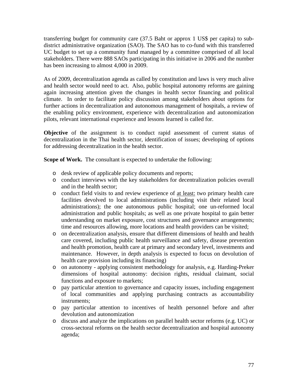transferring budget for community care (37.5 Baht or approx 1 US\$ per capita) to subdistrict administrative organization (SAO). The SAO has to co-fund with this transferred UC budget to set up a community fund managed by a committee comprised of all local stakeholders. There were 888 SAOs participating in this initiative in 2006 and the number has been increasing to almost 4,000 in 2009.

As of 2009, decentralization agenda as called by constitution and laws is very much alive and health sector would need to act. Also, public hospital autonomy reforms are gaining again increasing attention given the changes in health sector financing and political climate. In order to facilitate policy discussion among stakeholders about options for further actions in decentralization and autonomous management of hospitals, a review of the enabling policy environment, experience with decentralization and autonomization pilots, relevant international experience and lessons learned is called for.

**Objective** of the assignment is to conduct rapid assessment of current status of decentralization in the Thai health sector, identification of issues; developing of options for addressing decentralization in the health sector.

**Scope of Work.** The consultant is expected to undertake the following:

- o desk review of applicable policy documents and reports;
- o conduct interviews with the key stakeholders for decentralization policies overall and in the health sector;
- o conduct field visits to and review experience of at least: two primary health care facilities devolved to local administrations (including visit their related local administrations); the one autonomous public hospital; one un-reformed local administration and public hospitals; as well as one private hospital to gain better understanding on market exposure, cost structures and governance arrangements; time and resources allowing, more locations and health providers can be visited;
- o on decentralization analysis, ensure that different dimensions of health and health care covered, including public health surveillance and safety, disease prevention and health promotion, health care at primary and secondary level, investments and maintenance. However, in depth analysis is expected to focus on devolution of health care provision including its financing)
- o on autonomy applying consistent methodology for analysis, e.g. Harding-Preker dimensions of hospital autonomy: decision rights, residual claimant, social functions and exposure to markets;
- o pay particular attention to governance and capacity issues, including engagement of local communities and applying purchasing contracts as accountability instruments;
- o pay particular attention to incentives of health personnel before and after devolution and autonomization
- o discuss and analyze the implications on parallel health sector reforms (e.g. UC) or cross-sectoral reforms on the health sector decentralization and hospital autonomy agenda;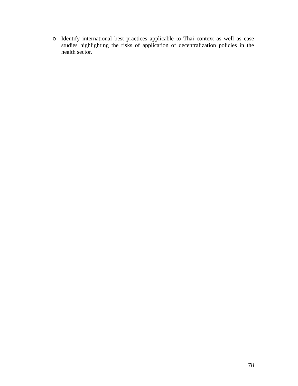o Identify international best practices applicable to Thai context as well as case studies highlighting the risks of application of decentralization policies in the health sector.